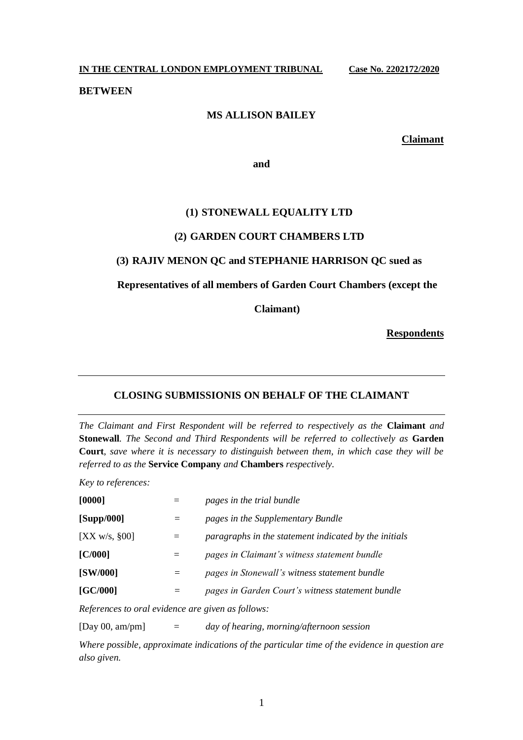**IN THE CENTRAL LONDON EMPLOYMENT TRIBUNAL Case No. 2202172/2020**

**BETWEEN**

## **MS ALLISON BAILEY**

**Claimant**

**and**

## **(1) STONEWALL EQUALITY LTD**

## **(2) GARDEN COURT CHAMBERS LTD**

## **(3) RAJIV MENON QC and STEPHANIE HARRISON QC sued as**

**Representatives of all members of Garden Court Chambers (except the** 

**Claimant)**

**Respondents**

## **CLOSING SUBMISSIONIS ON BEHALF OF THE CLAIMANT**

*The Claimant and First Respondent will be referred to respectively as the* **Claimant** *and*  **Stonewall***. The Second and Third Respondents will be referred to collectively as* **Garden Court**, *save where it is necessary to distinguish between them, in which case they will be referred to as the* **Service Company** *and* **Chambers** *respectively.*

*Key to references:*

| [0000]        |     | pages in the trial bundle                             |
|---------------|-----|-------------------------------------------------------|
| [Supp/000]    |     | pages in the Supplementary Bundle                     |
| [XX w/s, §00] | $=$ | paragraphs in the statement indicated by the initials |
| IC/0001       | $=$ | pages in Claimant's witness statement bundle          |
| [SW/000]      | =   | pages in Stonewall's witness statement bundle         |
| [GC/000]      |     | pages in Garden Court's witness statement bundle      |

*References to oral evidence are given as follows:*

[Day 00, am/pm] = *day of hearing, morning/afternoon session*

*Where possible, approximate indications of the particular time of the evidence in question are also given.*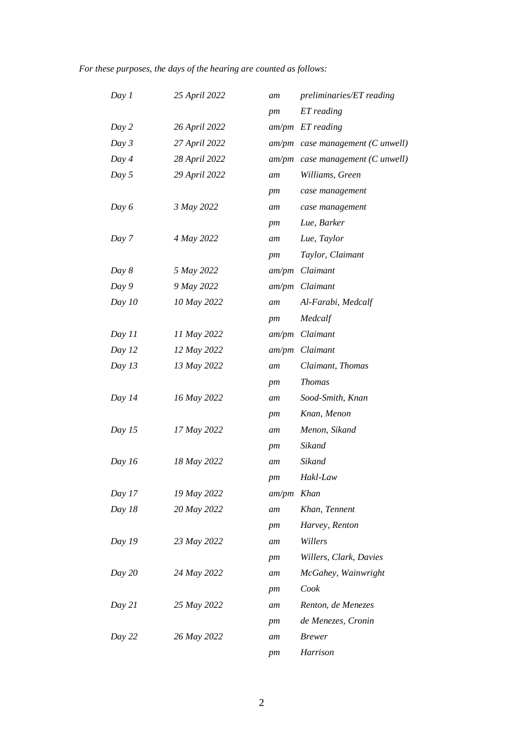# *For these purposes, the days of the hearing are counted as follows:*

| Day 1    | 25 April 2022 | am           | preliminaries/ET reading           |
|----------|---------------|--------------|------------------------------------|
|          |               | pm           | ET reading                         |
| Day 2    | 26 April 2022 |              | $am/pm$ ET reading                 |
| Day $3$  | 27 April 2022 |              | $am/pm$ case management (C unwell) |
| Day $4$  | 28 April 2022 |              | $am/pm$ case management (C unwell) |
| Day $5$  | 29 April 2022 | am           | Williams, Green                    |
|          |               | pm           | case management                    |
| Day $6$  | 3 May 2022    | am           | case management                    |
|          |               | pm           | Lue, Barker                        |
| Day 7    | 4 May 2022    | am           | Lue, Taylor                        |
|          |               | pm           | Taylor, Claimant                   |
| Day 8    | 5 May 2022    | am/pm        | Claimant                           |
| Day 9    | 9 May 2022    |              | am/pm Claimant                     |
| Day $10$ | 10 May 2022   | am           | Al-Farabi, Medcalf                 |
|          |               | pm           | Medcalf                            |
| Day 11   | 11 May 2022   | am/pm        | Claimant                           |
| Day $12$ | 12 May 2022   |              | am/pm Claimant                     |
| Day $13$ | 13 May 2022   | am           | Claimant, Thomas                   |
|          |               | pm           | <b>Thomas</b>                      |
| Day $14$ | 16 May 2022   | am           | Sood-Smith, Knan                   |
|          |               | pm           | Knan, Menon                        |
| Day $15$ | 17 May 2022   | am           | Menon, Sikand                      |
|          |               | pm           | Sikand                             |
| Day $16$ | 18 May 2022   | am           | Sikand                             |
|          |               | pm           | Hakl-Law                           |
| Day 17   | 19 May 2022   | $am/pm$ Khan |                                    |
| Day $18$ | 20 May 2022   | am           | Khan, Tennent                      |
|          |               | pm           | Harvey, Renton                     |
| Day 19   | 23 May 2022   | am           | Willers                            |
|          |               | pm           | Willers, Clark, Davies             |
| Day $20$ | 24 May 2022   | am           | McGahey, Wainwright                |
|          |               | pm           | Cook                               |
| Day $21$ | 25 May 2022   | am           | Renton, de Menezes                 |
|          |               | pm           | de Menezes, Cronin                 |
| Day $22$ | 26 May 2022   | am           | <b>Brewer</b>                      |
|          |               | pm           | Harrison                           |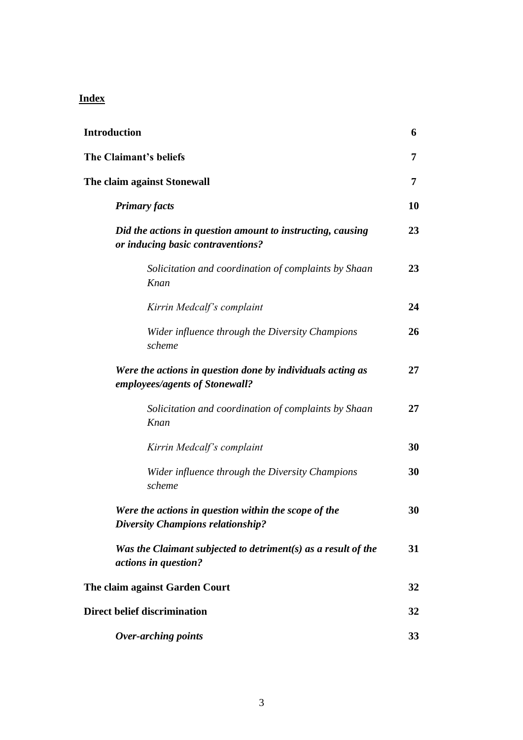# **Index**

| <b>Introduction</b> |                                                                                                  | 6  |
|---------------------|--------------------------------------------------------------------------------------------------|----|
|                     | The Claimant's beliefs                                                                           | 7  |
|                     | The claim against Stonewall                                                                      | 7  |
|                     | <b>Primary facts</b>                                                                             | 10 |
|                     | Did the actions in question amount to instructing, causing<br>or inducing basic contraventions?  | 23 |
|                     | Solicitation and coordination of complaints by Shaan<br>Knan                                     | 23 |
|                     | Kirrin Medcalf's complaint                                                                       | 24 |
|                     | Wider influence through the Diversity Champions<br>scheme                                        | 26 |
|                     | Were the actions in question done by individuals acting as<br>employees/agents of Stonewall?     | 27 |
|                     | Solicitation and coordination of complaints by Shaan<br>Knan                                     | 27 |
|                     | Kirrin Medcalf's complaint                                                                       | 30 |
|                     | Wider influence through the Diversity Champions<br>scheme                                        | 30 |
|                     | Were the actions in question within the scope of the<br><b>Diversity Champions relationship?</b> | 30 |
|                     | Was the Claimant subjected to detriment(s) as a result of the<br><i>actions in question?</i>     | 31 |
|                     | The claim against Garden Court                                                                   | 32 |
|                     | <b>Direct belief discrimination</b>                                                              | 32 |
|                     | <b>Over-arching points</b>                                                                       | 33 |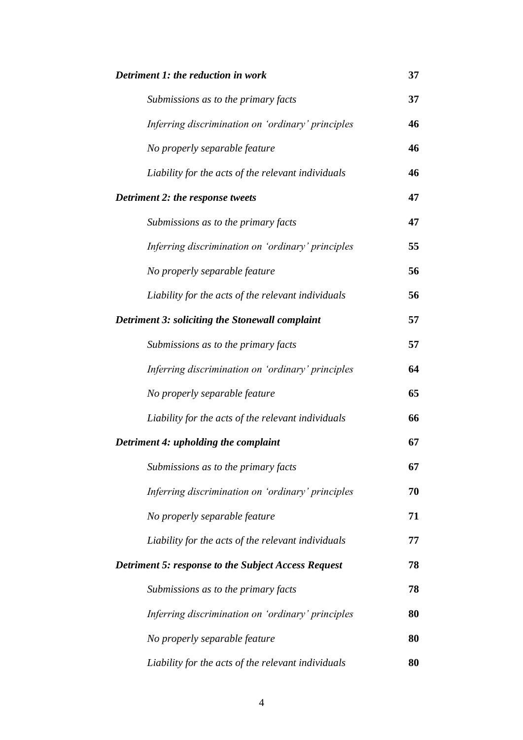| Detriment 1: the reduction in work                         |    |
|------------------------------------------------------------|----|
| Submissions as to the primary facts                        | 37 |
| Inferring discrimination on 'ordinary' principles          | 46 |
| No properly separable feature                              | 46 |
| Liability for the acts of the relevant individuals         | 46 |
| Detriment 2: the response tweets                           | 47 |
| Submissions as to the primary facts                        | 47 |
| Inferring discrimination on 'ordinary' principles          | 55 |
| No properly separable feature                              | 56 |
| Liability for the acts of the relevant individuals         | 56 |
| Detriment 3: soliciting the Stonewall complaint            | 57 |
| Submissions as to the primary facts                        | 57 |
| Inferring discrimination on 'ordinary' principles          | 64 |
| No properly separable feature                              | 65 |
| Liability for the acts of the relevant individuals         | 66 |
| Detriment 4: upholding the complaint                       |    |
| Submissions as to the primary facts                        | 67 |
| Inferring discrimination on 'ordinary' principles          | 70 |
| No properly separable feature                              | 71 |
| Liability for the acts of the relevant individuals         | 77 |
| <b>Detriment 5: response to the Subject Access Request</b> | 78 |
| Submissions as to the primary facts                        | 78 |
| Inferring discrimination on 'ordinary' principles          | 80 |
| No properly separable feature                              | 80 |
| Liability for the acts of the relevant individuals         | 80 |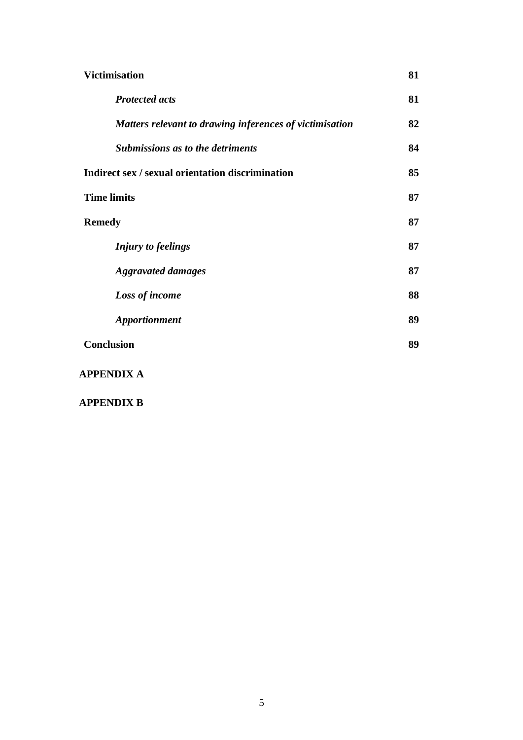| <b>Victimisation</b>                                    |    |
|---------------------------------------------------------|----|
| <b>Protected acts</b>                                   | 81 |
| Matters relevant to drawing inferences of victimisation | 82 |
| <b>Submissions as to the detriments</b>                 | 84 |
| Indirect sex / sexual orientation discrimination        | 85 |
| <b>Time limits</b>                                      | 87 |
| <b>Remedy</b>                                           | 87 |
| <b>Injury to feelings</b>                               | 87 |
| <b>Aggravated damages</b>                               |    |
| Loss of income                                          |    |
| <b>Apportionment</b>                                    | 89 |
| <b>Conclusion</b>                                       | 89 |
| <b>APPENDIX A</b>                                       |    |

**APPENDIX B**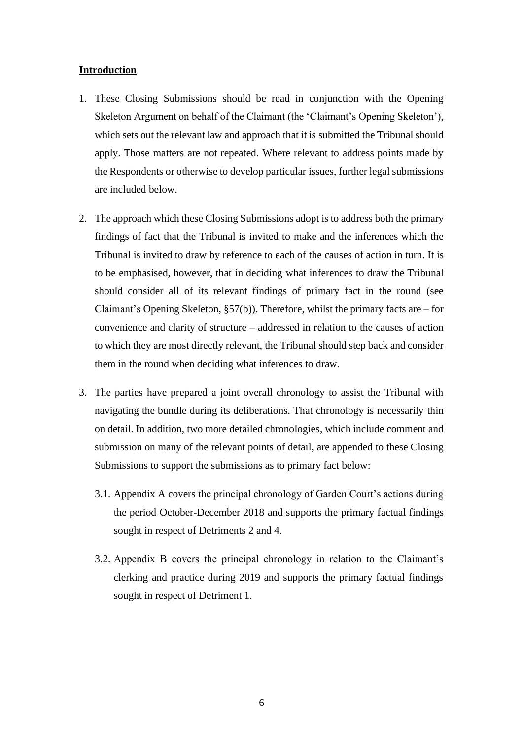### **Introduction**

- 1. These Closing Submissions should be read in conjunction with the Opening Skeleton Argument on behalf of the Claimant (the 'Claimant's Opening Skeleton'), which sets out the relevant law and approach that it is submitted the Tribunal should apply. Those matters are not repeated. Where relevant to address points made by the Respondents or otherwise to develop particular issues, further legal submissions are included below.
- 2. The approach which these Closing Submissions adopt is to address both the primary findings of fact that the Tribunal is invited to make and the inferences which the Tribunal is invited to draw by reference to each of the causes of action in turn. It is to be emphasised, however, that in deciding what inferences to draw the Tribunal should consider all of its relevant findings of primary fact in the round (see Claimant's Opening Skeleton,  $\S57(b)$ ). Therefore, whilst the primary facts are – for convenience and clarity of structure – addressed in relation to the causes of action to which they are most directly relevant, the Tribunal should step back and consider them in the round when deciding what inferences to draw.
- 3. The parties have prepared a joint overall chronology to assist the Tribunal with navigating the bundle during its deliberations. That chronology is necessarily thin on detail. In addition, two more detailed chronologies, which include comment and submission on many of the relevant points of detail, are appended to these Closing Submissions to support the submissions as to primary fact below:
	- 3.1. Appendix A covers the principal chronology of Garden Court's actions during the period October-December 2018 and supports the primary factual findings sought in respect of Detriments 2 and 4.
	- 3.2. Appendix B covers the principal chronology in relation to the Claimant's clerking and practice during 2019 and supports the primary factual findings sought in respect of Detriment 1.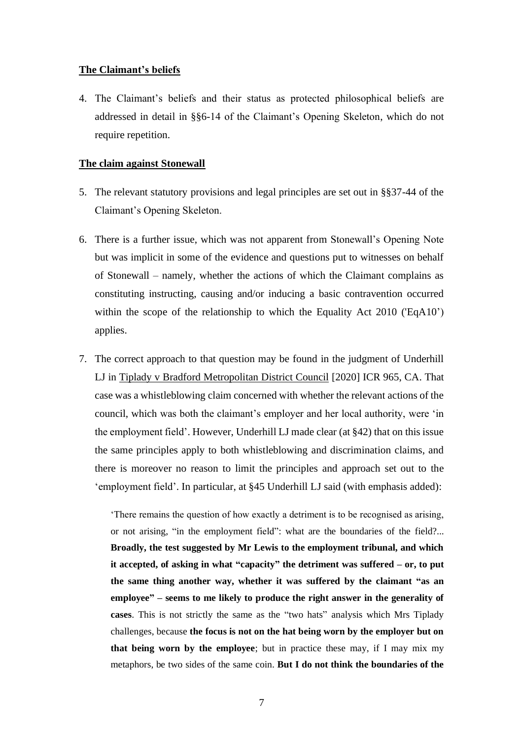### **The Claimant's beliefs**

4. The Claimant's beliefs and their status as protected philosophical beliefs are addressed in detail in §§6-14 of the Claimant's Opening Skeleton, which do not require repetition.

#### **The claim against Stonewall**

- 5. The relevant statutory provisions and legal principles are set out in §§37-44 of the Claimant's Opening Skeleton.
- 6. There is a further issue, which was not apparent from Stonewall's Opening Note but was implicit in some of the evidence and questions put to witnesses on behalf of Stonewall – namely, whether the actions of which the Claimant complains as constituting instructing, causing and/or inducing a basic contravention occurred within the scope of the relationship to which the Equality Act 2010 ('EqA10') applies.
- 7. The correct approach to that question may be found in the judgment of Underhill LJ in Tiplady v Bradford Metropolitan District Council [2020] ICR 965, CA. That case was a whistleblowing claim concerned with whether the relevant actions of the council, which was both the claimant's employer and her local authority, were 'in the employment field'. However, Underhill LJ made clear (at §42) that on this issue the same principles apply to both whistleblowing and discrimination claims, and there is moreover no reason to limit the principles and approach set out to the 'employment field'. In particular, at §45 Underhill LJ said (with emphasis added):

'There remains the question of how exactly a detriment is to be recognised as arising, or not arising, "in the employment field": what are the boundaries of the field?... **Broadly, the test suggested by Mr Lewis to the employment tribunal, and which it accepted, of asking in what "capacity" the detriment was suffered – or, to put the same thing another way, whether it was suffered by the claimant "as an employee" – seems to me likely to produce the right answer in the generality of cases**. This is not strictly the same as the "two hats" analysis which Mrs Tiplady challenges, because **the focus is not on the hat being worn by the employer but on that being worn by the employee**; but in practice these may, if I may mix my metaphors, be two sides of the same coin. **But I do not think the boundaries of the**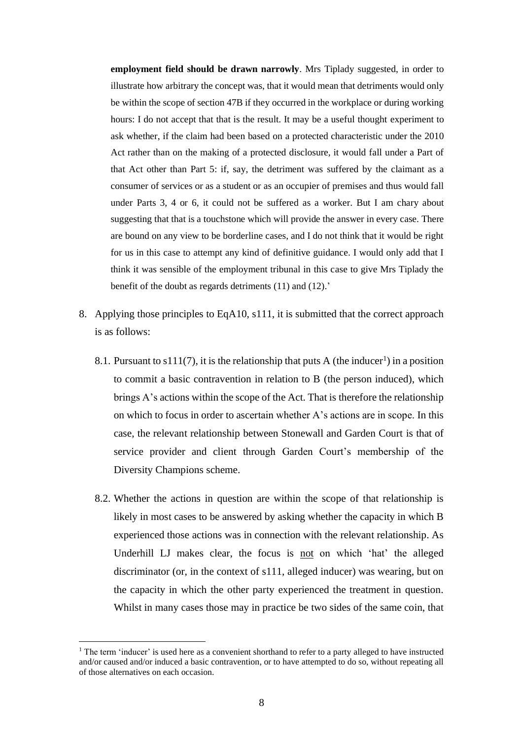**employment field should be drawn narrowly**. Mrs Tiplady suggested, in order to illustrate how arbitrary the concept was, that it would mean that detriments would only be within the scope of section 47B if they occurred in the workplace or during working hours: I do not accept that that is the result. It may be a useful thought experiment to ask whether, if the claim had been based on a protected characteristic under the 2010 Act rather than on the making of a protected disclosure, it would fall under a Part of that Act other than Part 5: if, say, the detriment was suffered by the claimant as a consumer of services or as a student or as an occupier of premises and thus would fall under Parts 3, 4 or 6, it could not be suffered as a worker. But I am chary about suggesting that that is a touchstone which will provide the answer in every case. There are bound on any view to be borderline cases, and I do not think that it would be right for us in this case to attempt any kind of definitive guidance. I would only add that I think it was sensible of the employment tribunal in this case to give Mrs Tiplady the benefit of the doubt as regards detriments (11) and (12).'

- 8. Applying those principles to EqA10, s111, it is submitted that the correct approach is as follows:
	- 8.1. Pursuant to  $s111(7)$ , it is the relationship that puts A (the inducer<sup>1</sup>) in a position to commit a basic contravention in relation to B (the person induced), which brings A's actions within the scope of the Act. That is therefore the relationship on which to focus in order to ascertain whether A's actions are in scope. In this case, the relevant relationship between Stonewall and Garden Court is that of service provider and client through Garden Court's membership of the Diversity Champions scheme.
	- 8.2. Whether the actions in question are within the scope of that relationship is likely in most cases to be answered by asking whether the capacity in which B experienced those actions was in connection with the relevant relationship. As Underhill LJ makes clear, the focus is not on which 'hat' the alleged discriminator (or, in the context of s111, alleged inducer) was wearing, but on the capacity in which the other party experienced the treatment in question. Whilst in many cases those may in practice be two sides of the same coin, that

<sup>&</sup>lt;sup>1</sup> The term 'inducer' is used here as a convenient shorthand to refer to a party alleged to have instructed and/or caused and/or induced a basic contravention, or to have attempted to do so, without repeating all of those alternatives on each occasion.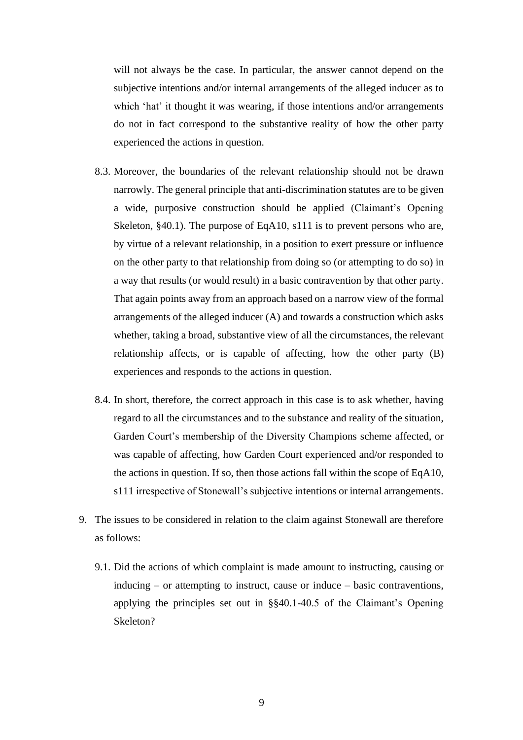will not always be the case. In particular, the answer cannot depend on the subjective intentions and/or internal arrangements of the alleged inducer as to which 'hat' it thought it was wearing, if those intentions and/or arrangements do not in fact correspond to the substantive reality of how the other party experienced the actions in question.

- 8.3. Moreover, the boundaries of the relevant relationship should not be drawn narrowly. The general principle that anti-discrimination statutes are to be given a wide, purposive construction should be applied (Claimant's Opening Skeleton, §40.1). The purpose of EqA10, s111 is to prevent persons who are, by virtue of a relevant relationship, in a position to exert pressure or influence on the other party to that relationship from doing so (or attempting to do so) in a way that results (or would result) in a basic contravention by that other party. That again points away from an approach based on a narrow view of the formal arrangements of the alleged inducer (A) and towards a construction which asks whether, taking a broad, substantive view of all the circumstances, the relevant relationship affects, or is capable of affecting, how the other party (B) experiences and responds to the actions in question.
- 8.4. In short, therefore, the correct approach in this case is to ask whether, having regard to all the circumstances and to the substance and reality of the situation, Garden Court's membership of the Diversity Champions scheme affected, or was capable of affecting, how Garden Court experienced and/or responded to the actions in question. If so, then those actions fall within the scope of EqA10, s111 irrespective of Stonewall's subjective intentions or internal arrangements.
- 9. The issues to be considered in relation to the claim against Stonewall are therefore as follows:
	- 9.1. Did the actions of which complaint is made amount to instructing, causing or inducing – or attempting to instruct, cause or induce – basic contraventions, applying the principles set out in §§40.1-40.5 of the Claimant's Opening Skeleton?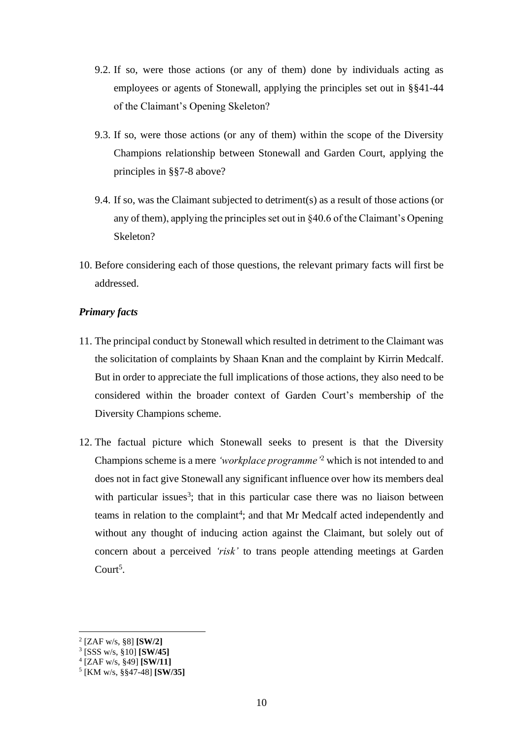- 9.2. If so, were those actions (or any of them) done by individuals acting as employees or agents of Stonewall, applying the principles set out in §§41-44 of the Claimant's Opening Skeleton?
- 9.3. If so, were those actions (or any of them) within the scope of the Diversity Champions relationship between Stonewall and Garden Court, applying the principles in §§7-8 above?
- 9.4. If so, was the Claimant subjected to detriment(s) as a result of those actions (or any of them), applying the principles set out in §40.6 of the Claimant's Opening Skeleton?
- 10. Before considering each of those questions, the relevant primary facts will first be addressed.

## *Primary facts*

- 11. The principal conduct by Stonewall which resulted in detriment to the Claimant was the solicitation of complaints by Shaan Knan and the complaint by Kirrin Medcalf. But in order to appreciate the full implications of those actions, they also need to be considered within the broader context of Garden Court's membership of the Diversity Champions scheme.
- 12. The factual picture which Stonewall seeks to present is that the Diversity Champions scheme is a mere *'workplace programme'*<sup>2</sup> which is not intended to and does not in fact give Stonewall any significant influence over how its members deal with particular issues<sup>3</sup>; that in this particular case there was no liaison between teams in relation to the complaint<sup>4</sup>; and that Mr Medcalf acted independently and without any thought of inducing action against the Claimant, but solely out of concern about a perceived *'risk'* to trans people attending meetings at Garden Court<sup>5</sup>.

<sup>2</sup> [ZAF w/s, §8] **[SW/2]**

<sup>3</sup> [SSS w/s, §10] **[SW/45]**

<sup>4</sup> [ZAF w/s, §49] **[SW/11]**

<sup>5</sup> [KM w/s, §§47-48] **[SW/35]**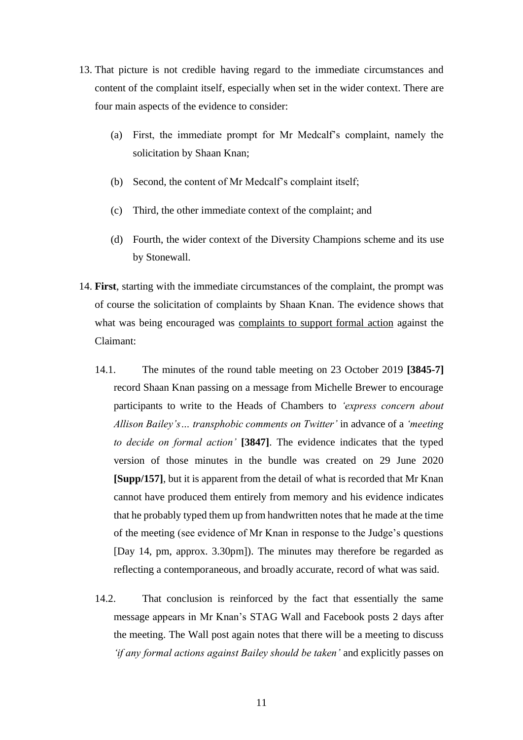- 13. That picture is not credible having regard to the immediate circumstances and content of the complaint itself, especially when set in the wider context. There are four main aspects of the evidence to consider:
	- (a) First, the immediate prompt for Mr Medcalf's complaint, namely the solicitation by Shaan Knan;
	- (b) Second, the content of Mr Medcalf's complaint itself;
	- (c) Third, the other immediate context of the complaint; and
	- (d) Fourth, the wider context of the Diversity Champions scheme and its use by Stonewall.
- 14. **First**, starting with the immediate circumstances of the complaint, the prompt was of course the solicitation of complaints by Shaan Knan. The evidence shows that what was being encouraged was complaints to support formal action against the Claimant:
	- 14.1. The minutes of the round table meeting on 23 October 2019 **[3845-7]** record Shaan Knan passing on a message from Michelle Brewer to encourage participants to write to the Heads of Chambers to *'express concern about Allison Bailey's… transphobic comments on Twitter'* in advance of a *'meeting to decide on formal action'* **[3847]**. The evidence indicates that the typed version of those minutes in the bundle was created on 29 June 2020 **[Supp/157]**, but it is apparent from the detail of what is recorded that Mr Knan cannot have produced them entirely from memory and his evidence indicates that he probably typed them up from handwritten notes that he made at the time of the meeting (see evidence of Mr Knan in response to the Judge's questions [Day 14, pm, approx. 3.30pm]). The minutes may therefore be regarded as reflecting a contemporaneous, and broadly accurate, record of what was said.
	- 14.2. That conclusion is reinforced by the fact that essentially the same message appears in Mr Knan's STAG Wall and Facebook posts 2 days after the meeting. The Wall post again notes that there will be a meeting to discuss *'if any formal actions against Bailey should be taken'* and explicitly passes on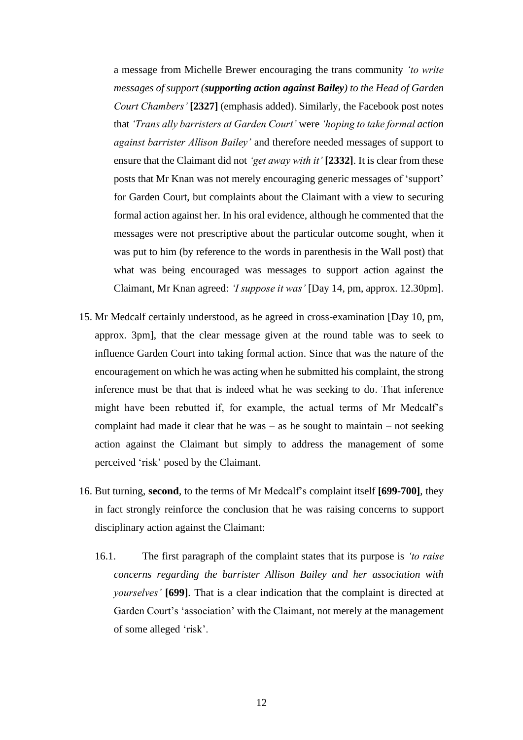a message from Michelle Brewer encouraging the trans community *'to write messages of support (supporting action against Bailey) to the Head of Garden Court Chambers'* **[2327]** (emphasis added). Similarly, the Facebook post notes that *'Trans ally barristers at Garden Court'* were *'hoping to take formal action against barrister Allison Bailey'* and therefore needed messages of support to ensure that the Claimant did not *'get away with it'* **[2332]**. It is clear from these posts that Mr Knan was not merely encouraging generic messages of 'support' for Garden Court, but complaints about the Claimant with a view to securing formal action against her. In his oral evidence, although he commented that the messages were not prescriptive about the particular outcome sought, when it was put to him (by reference to the words in parenthesis in the Wall post) that what was being encouraged was messages to support action against the Claimant, Mr Knan agreed: *'I suppose it was'* [Day 14, pm, approx. 12.30pm].

- 15. Mr Medcalf certainly understood, as he agreed in cross-examination [Day 10, pm, approx. 3pm], that the clear message given at the round table was to seek to influence Garden Court into taking formal action. Since that was the nature of the encouragement on which he was acting when he submitted his complaint, the strong inference must be that that is indeed what he was seeking to do. That inference might have been rebutted if, for example, the actual terms of Mr Medcalf's complaint had made it clear that he was  $-$  as he sought to maintain  $-$  not seeking action against the Claimant but simply to address the management of some perceived 'risk' posed by the Claimant.
- 16. But turning, **second**, to the terms of Mr Medcalf's complaint itself **[699-700]**, they in fact strongly reinforce the conclusion that he was raising concerns to support disciplinary action against the Claimant:
	- 16.1. The first paragraph of the complaint states that its purpose is *'to raise concerns regarding the barrister Allison Bailey and her association with yourselves'* **[699]**. That is a clear indication that the complaint is directed at Garden Court's 'association' with the Claimant, not merely at the management of some alleged 'risk'.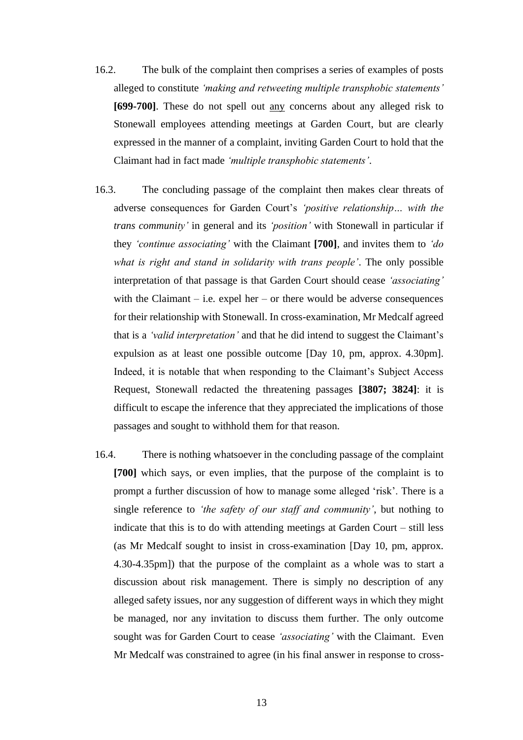- 16.2. The bulk of the complaint then comprises a series of examples of posts alleged to constitute *'making and retweeting multiple transphobic statements'* **[699-700]**. These do not spell out any concerns about any alleged risk to Stonewall employees attending meetings at Garden Court, but are clearly expressed in the manner of a complaint, inviting Garden Court to hold that the Claimant had in fact made *'multiple transphobic statements'*.
- 16.3. The concluding passage of the complaint then makes clear threats of adverse consequences for Garden Court's *'positive relationship… with the trans community'* in general and its *'position'* with Stonewall in particular if they *'continue associating'* with the Claimant **[700]**, and invites them to *'do what is right and stand in solidarity with trans people'*. The only possible interpretation of that passage is that Garden Court should cease *'associating'* with the Claimant – i.e. expel her – or there would be adverse consequences for their relationship with Stonewall. In cross-examination, Mr Medcalf agreed that is a *'valid interpretation'* and that he did intend to suggest the Claimant's expulsion as at least one possible outcome [Day 10, pm, approx. 4.30pm]. Indeed, it is notable that when responding to the Claimant's Subject Access Request, Stonewall redacted the threatening passages **[3807; 3824]**: it is difficult to escape the inference that they appreciated the implications of those passages and sought to withhold them for that reason.
- 16.4. There is nothing whatsoever in the concluding passage of the complaint **[700]** which says, or even implies, that the purpose of the complaint is to prompt a further discussion of how to manage some alleged 'risk'. There is a single reference to *'the safety of our staff and community'*, but nothing to indicate that this is to do with attending meetings at Garden Court – still less (as Mr Medcalf sought to insist in cross-examination [Day 10, pm, approx. 4.30-4.35pm]) that the purpose of the complaint as a whole was to start a discussion about risk management. There is simply no description of any alleged safety issues, nor any suggestion of different ways in which they might be managed, nor any invitation to discuss them further. The only outcome sought was for Garden Court to cease *'associating'* with the Claimant. Even Mr Medcalf was constrained to agree (in his final answer in response to cross-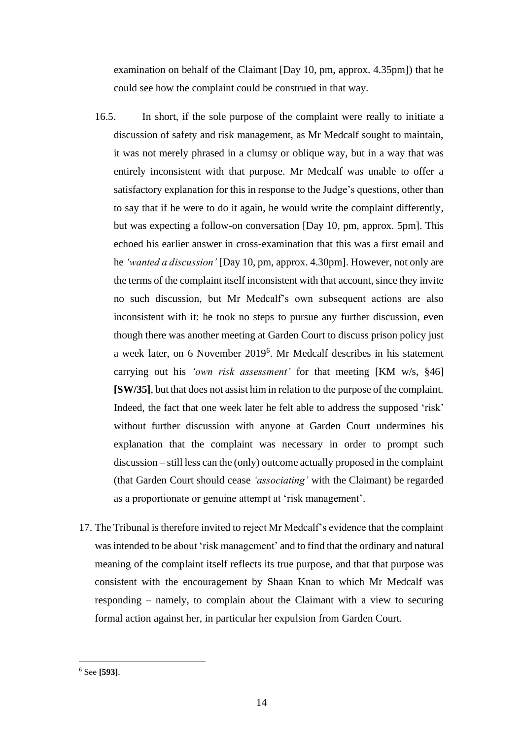examination on behalf of the Claimant [Day 10, pm, approx. 4.35pm]) that he could see how the complaint could be construed in that way.

- 16.5. In short, if the sole purpose of the complaint were really to initiate a discussion of safety and risk management, as Mr Medcalf sought to maintain, it was not merely phrased in a clumsy or oblique way, but in a way that was entirely inconsistent with that purpose. Mr Medcalf was unable to offer a satisfactory explanation for this in response to the Judge's questions, other than to say that if he were to do it again, he would write the complaint differently, but was expecting a follow-on conversation [Day 10, pm, approx. 5pm]. This echoed his earlier answer in cross-examination that this was a first email and he *'wanted a discussion'* [Day 10, pm, approx. 4.30pm]. However, not only are the terms of the complaint itself inconsistent with that account, since they invite no such discussion, but Mr Medcalf's own subsequent actions are also inconsistent with it: he took no steps to pursue any further discussion, even though there was another meeting at Garden Court to discuss prison policy just a week later, on 6 November 2019<sup>6</sup> . Mr Medcalf describes in his statement carrying out his *'own risk assessment'* for that meeting [KM w/s, §46] **[SW/35]**, but that does not assist him in relation to the purpose of the complaint. Indeed, the fact that one week later he felt able to address the supposed 'risk' without further discussion with anyone at Garden Court undermines his explanation that the complaint was necessary in order to prompt such discussion – still less can the (only) outcome actually proposed in the complaint (that Garden Court should cease *'associating'* with the Claimant) be regarded as a proportionate or genuine attempt at 'risk management'.
- 17. The Tribunal is therefore invited to reject Mr Medcalf's evidence that the complaint was intended to be about 'risk management' and to find that the ordinary and natural meaning of the complaint itself reflects its true purpose, and that that purpose was consistent with the encouragement by Shaan Knan to which Mr Medcalf was responding – namely, to complain about the Claimant with a view to securing formal action against her, in particular her expulsion from Garden Court.

<sup>6</sup> See **[593]**.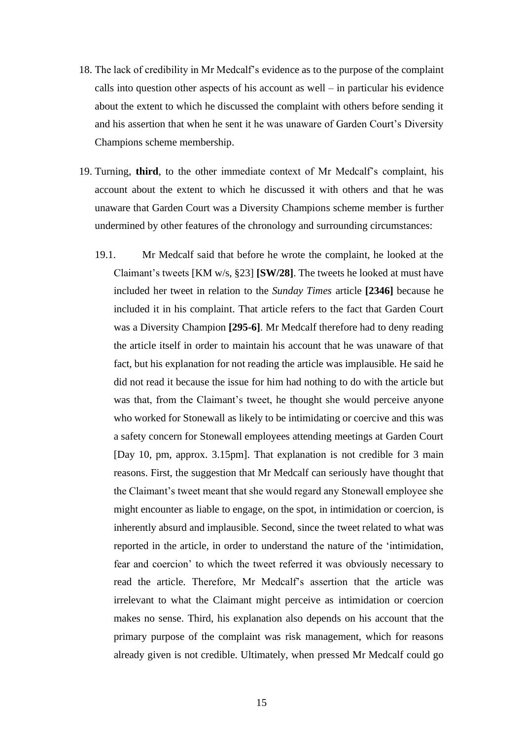- 18. The lack of credibility in Mr Medcalf's evidence as to the purpose of the complaint calls into question other aspects of his account as well – in particular his evidence about the extent to which he discussed the complaint with others before sending it and his assertion that when he sent it he was unaware of Garden Court's Diversity Champions scheme membership.
- 19. Turning, **third**, to the other immediate context of Mr Medcalf's complaint, his account about the extent to which he discussed it with others and that he was unaware that Garden Court was a Diversity Champions scheme member is further undermined by other features of the chronology and surrounding circumstances:
	- 19.1. Mr Medcalf said that before he wrote the complaint, he looked at the Claimant's tweets [KM w/s, §23] **[SW/28]**. The tweets he looked at must have included her tweet in relation to the *Sunday Times* article **[2346]** because he included it in his complaint. That article refers to the fact that Garden Court was a Diversity Champion **[295-6]**. Mr Medcalf therefore had to deny reading the article itself in order to maintain his account that he was unaware of that fact, but his explanation for not reading the article was implausible. He said he did not read it because the issue for him had nothing to do with the article but was that, from the Claimant's tweet, he thought she would perceive anyone who worked for Stonewall as likely to be intimidating or coercive and this was a safety concern for Stonewall employees attending meetings at Garden Court [Day 10, pm, approx. 3.15pm]. That explanation is not credible for 3 main reasons. First, the suggestion that Mr Medcalf can seriously have thought that the Claimant's tweet meant that she would regard any Stonewall employee she might encounter as liable to engage, on the spot, in intimidation or coercion, is inherently absurd and implausible. Second, since the tweet related to what was reported in the article, in order to understand the nature of the 'intimidation, fear and coercion' to which the tweet referred it was obviously necessary to read the article. Therefore, Mr Medcalf's assertion that the article was irrelevant to what the Claimant might perceive as intimidation or coercion makes no sense. Third, his explanation also depends on his account that the primary purpose of the complaint was risk management, which for reasons already given is not credible. Ultimately, when pressed Mr Medcalf could go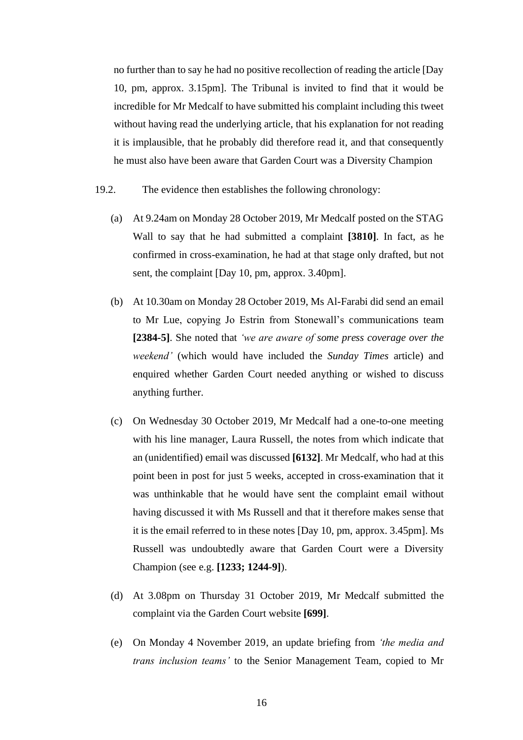no further than to say he had no positive recollection of reading the article [Day 10, pm, approx. 3.15pm]. The Tribunal is invited to find that it would be incredible for Mr Medcalf to have submitted his complaint including this tweet without having read the underlying article, that his explanation for not reading it is implausible, that he probably did therefore read it, and that consequently he must also have been aware that Garden Court was a Diversity Champion

- 19.2. The evidence then establishes the following chronology:
	- (a) At 9.24am on Monday 28 October 2019, Mr Medcalf posted on the STAG Wall to say that he had submitted a complaint **[3810]**. In fact, as he confirmed in cross-examination, he had at that stage only drafted, but not sent, the complaint [Day 10, pm, approx. 3.40pm].
	- (b) At 10.30am on Monday 28 October 2019, Ms Al-Farabi did send an email to Mr Lue, copying Jo Estrin from Stonewall's communications team **[2384-5]**. She noted that *'we are aware of some press coverage over the weekend'* (which would have included the *Sunday Times* article) and enquired whether Garden Court needed anything or wished to discuss anything further.
	- (c) On Wednesday 30 October 2019, Mr Medcalf had a one-to-one meeting with his line manager, Laura Russell, the notes from which indicate that an (unidentified) email was discussed **[6132]**. Mr Medcalf, who had at this point been in post for just 5 weeks, accepted in cross-examination that it was unthinkable that he would have sent the complaint email without having discussed it with Ms Russell and that it therefore makes sense that it is the email referred to in these notes [Day 10, pm, approx. 3.45pm]. Ms Russell was undoubtedly aware that Garden Court were a Diversity Champion (see e.g. **[1233; 1244-9]**).
	- (d) At 3.08pm on Thursday 31 October 2019, Mr Medcalf submitted the complaint via the Garden Court website **[699]**.
	- (e) On Monday 4 November 2019, an update briefing from *'the media and trans inclusion teams'* to the Senior Management Team, copied to Mr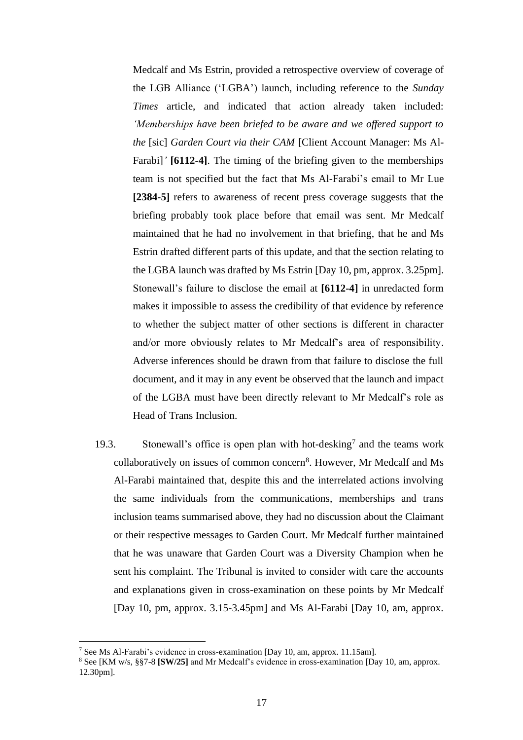Medcalf and Ms Estrin, provided a retrospective overview of coverage of the LGB Alliance ('LGBA') launch, including reference to the *Sunday Times* article, and indicated that action already taken included: *'Memberships have been briefed to be aware and we offered support to the* [sic] *Garden Court via their CAM* [Client Account Manager: Ms Al-Farabi]*'* **[6112-4]**. The timing of the briefing given to the memberships team is not specified but the fact that Ms Al-Farabi's email to Mr Lue **[2384-5]** refers to awareness of recent press coverage suggests that the briefing probably took place before that email was sent. Mr Medcalf maintained that he had no involvement in that briefing, that he and Ms Estrin drafted different parts of this update, and that the section relating to the LGBA launch was drafted by Ms Estrin [Day 10, pm, approx. 3.25pm]. Stonewall's failure to disclose the email at **[6112-4]** in unredacted form makes it impossible to assess the credibility of that evidence by reference to whether the subject matter of other sections is different in character and/or more obviously relates to Mr Medcalf's area of responsibility. Adverse inferences should be drawn from that failure to disclose the full document, and it may in any event be observed that the launch and impact of the LGBA must have been directly relevant to Mr Medcalf's role as Head of Trans Inclusion.

19.3. Stonewall's office is open plan with hot-desking<sup>7</sup> and the teams work collaboratively on issues of common concern<sup>8</sup>. However, Mr Medcalf and Ms Al-Farabi maintained that, despite this and the interrelated actions involving the same individuals from the communications, memberships and trans inclusion teams summarised above, they had no discussion about the Claimant or their respective messages to Garden Court. Mr Medcalf further maintained that he was unaware that Garden Court was a Diversity Champion when he sent his complaint. The Tribunal is invited to consider with care the accounts and explanations given in cross-examination on these points by Mr Medcalf [Day 10, pm, approx. 3.15-3.45pm] and Ms Al-Farabi [Day 10, am, approx.

<sup>7</sup> See Ms Al-Farabi's evidence in cross-examination [Day 10, am, approx. 11.15am].

<sup>8</sup> See [KM w/s, §§7-8 **[SW/25]** and Mr Medcalf's evidence in cross-examination [Day 10, am, approx. 12.30pm].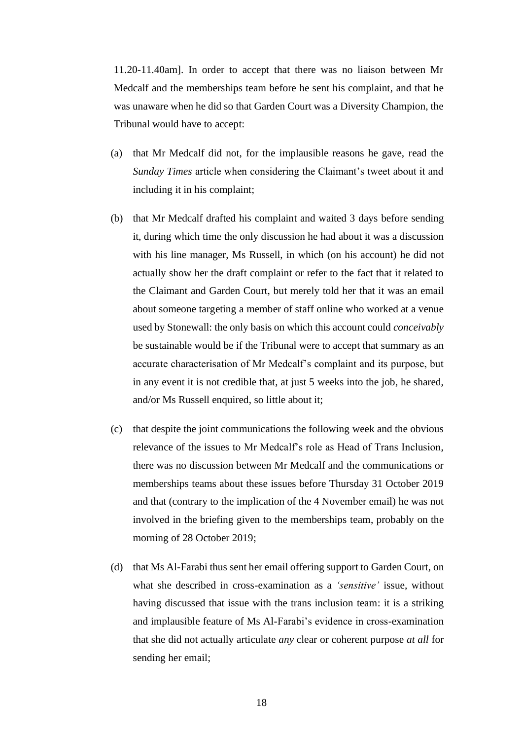11.20-11.40am]. In order to accept that there was no liaison between Mr Medcalf and the memberships team before he sent his complaint, and that he was unaware when he did so that Garden Court was a Diversity Champion, the Tribunal would have to accept:

- (a) that Mr Medcalf did not, for the implausible reasons he gave, read the *Sunday Times* article when considering the Claimant's tweet about it and including it in his complaint;
- (b) that Mr Medcalf drafted his complaint and waited 3 days before sending it, during which time the only discussion he had about it was a discussion with his line manager, Ms Russell, in which (on his account) he did not actually show her the draft complaint or refer to the fact that it related to the Claimant and Garden Court, but merely told her that it was an email about someone targeting a member of staff online who worked at a venue used by Stonewall: the only basis on which this account could *conceivably* be sustainable would be if the Tribunal were to accept that summary as an accurate characterisation of Mr Medcalf's complaint and its purpose, but in any event it is not credible that, at just 5 weeks into the job, he shared, and/or Ms Russell enquired, so little about it;
- (c) that despite the joint communications the following week and the obvious relevance of the issues to Mr Medcalf's role as Head of Trans Inclusion, there was no discussion between Mr Medcalf and the communications or memberships teams about these issues before Thursday 31 October 2019 and that (contrary to the implication of the 4 November email) he was not involved in the briefing given to the memberships team, probably on the morning of 28 October 2019;
- (d) that Ms Al-Farabi thus sent her email offering support to Garden Court, on what she described in cross-examination as a *'sensitive'* issue, without having discussed that issue with the trans inclusion team: it is a striking and implausible feature of Ms Al-Farabi's evidence in cross-examination that she did not actually articulate *any* clear or coherent purpose *at all* for sending her email;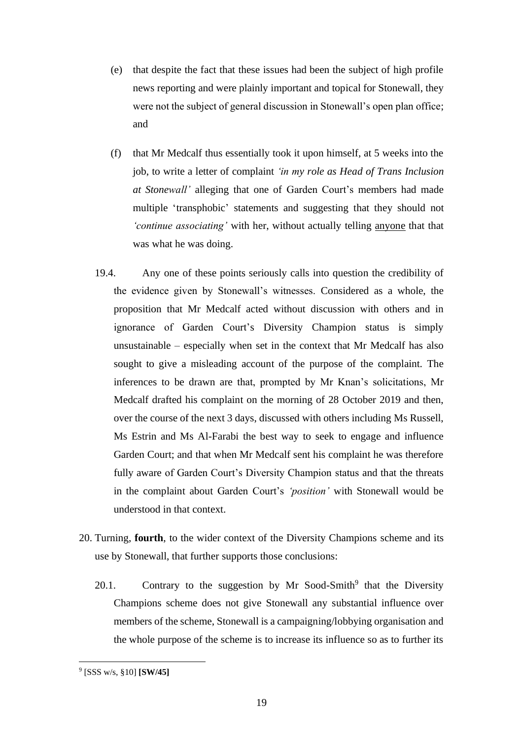- (e) that despite the fact that these issues had been the subject of high profile news reporting and were plainly important and topical for Stonewall, they were not the subject of general discussion in Stonewall's open plan office; and
- (f) that Mr Medcalf thus essentially took it upon himself, at 5 weeks into the job, to write a letter of complaint *'in my role as Head of Trans Inclusion at Stonewall'* alleging that one of Garden Court's members had made multiple 'transphobic' statements and suggesting that they should not *'continue associating'* with her, without actually telling anyone that that was what he was doing.
- 19.4. Any one of these points seriously calls into question the credibility of the evidence given by Stonewall's witnesses. Considered as a whole, the proposition that Mr Medcalf acted without discussion with others and in ignorance of Garden Court's Diversity Champion status is simply unsustainable – especially when set in the context that Mr Medcalf has also sought to give a misleading account of the purpose of the complaint. The inferences to be drawn are that, prompted by Mr Knan's solicitations, Mr Medcalf drafted his complaint on the morning of 28 October 2019 and then, over the course of the next 3 days, discussed with others including Ms Russell, Ms Estrin and Ms Al-Farabi the best way to seek to engage and influence Garden Court; and that when Mr Medcalf sent his complaint he was therefore fully aware of Garden Court's Diversity Champion status and that the threats in the complaint about Garden Court's *'position'* with Stonewall would be understood in that context.
- 20. Turning, **fourth**, to the wider context of the Diversity Champions scheme and its use by Stonewall, that further supports those conclusions:
	- 20.1. Contrary to the suggestion by Mr Sood-Smith<sup>9</sup> that the Diversity Champions scheme does not give Stonewall any substantial influence over members of the scheme, Stonewall is a campaigning/lobbying organisation and the whole purpose of the scheme is to increase its influence so as to further its

<sup>9</sup> [SSS w/s, §10] **[SW/45]**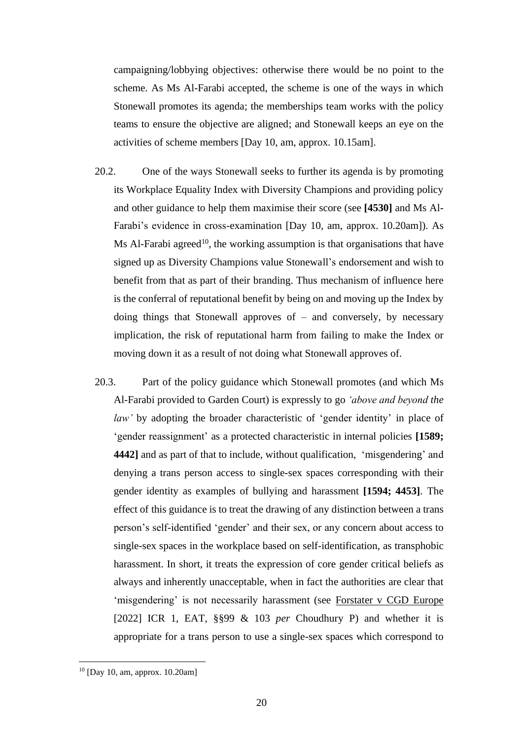campaigning/lobbying objectives: otherwise there would be no point to the scheme. As Ms Al-Farabi accepted, the scheme is one of the ways in which Stonewall promotes its agenda; the memberships team works with the policy teams to ensure the objective are aligned; and Stonewall keeps an eye on the activities of scheme members [Day 10, am, approx. 10.15am].

- 20.2. One of the ways Stonewall seeks to further its agenda is by promoting its Workplace Equality Index with Diversity Champions and providing policy and other guidance to help them maximise their score (see **[4530]** and Ms Al-Farabi's evidence in cross-examination [Day 10, am, approx. 10.20am]). As Ms Al-Farabi agreed<sup>10</sup>, the working assumption is that organisations that have signed up as Diversity Champions value Stonewall's endorsement and wish to benefit from that as part of their branding. Thus mechanism of influence here is the conferral of reputational benefit by being on and moving up the Index by doing things that Stonewall approves of – and conversely, by necessary implication, the risk of reputational harm from failing to make the Index or moving down it as a result of not doing what Stonewall approves of.
- 20.3. Part of the policy guidance which Stonewall promotes (and which Ms Al-Farabi provided to Garden Court) is expressly to go *'above and beyond the law'* by adopting the broader characteristic of 'gender identity' in place of 'gender reassignment' as a protected characteristic in internal policies **[1589; 4442]** and as part of that to include, without qualification, 'misgendering' and denying a trans person access to single-sex spaces corresponding with their gender identity as examples of bullying and harassment **[1594; 4453]**. The effect of this guidance is to treat the drawing of any distinction between a trans person's self-identified 'gender' and their sex, or any concern about access to single-sex spaces in the workplace based on self-identification, as transphobic harassment. In short, it treats the expression of core gender critical beliefs as always and inherently unacceptable, when in fact the authorities are clear that 'misgendering' is not necessarily harassment (see Forstater v CGD Europe [2022] ICR 1, EAT, §§99 & 103 *per* Choudhury P) and whether it is appropriate for a trans person to use a single-sex spaces which correspond to

 $10$  [Day 10, am, approx. 10.20am]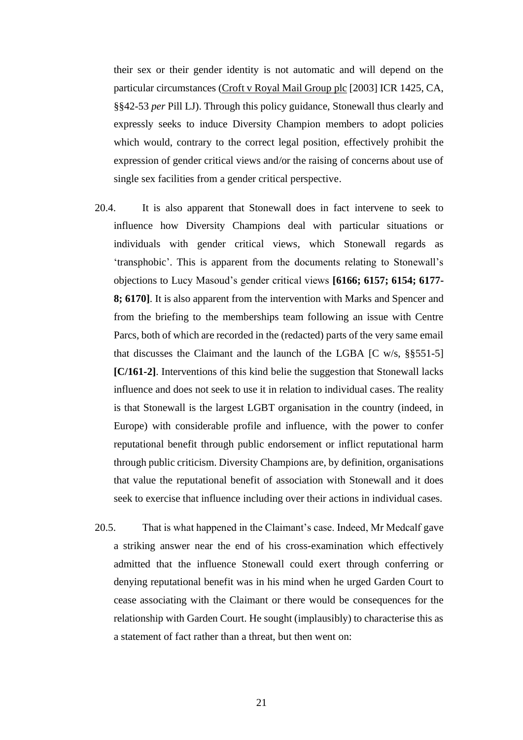their sex or their gender identity is not automatic and will depend on the particular circumstances (Croft v Royal Mail Group plc [2003] ICR 1425, CA, §§42-53 *per* Pill LJ). Through this policy guidance, Stonewall thus clearly and expressly seeks to induce Diversity Champion members to adopt policies which would, contrary to the correct legal position, effectively prohibit the expression of gender critical views and/or the raising of concerns about use of single sex facilities from a gender critical perspective.

- 20.4. It is also apparent that Stonewall does in fact intervene to seek to influence how Diversity Champions deal with particular situations or individuals with gender critical views, which Stonewall regards as 'transphobic'. This is apparent from the documents relating to Stonewall's objections to Lucy Masoud's gender critical views **[6166; 6157; 6154; 6177- 8; 6170]**. It is also apparent from the intervention with Marks and Spencer and from the briefing to the memberships team following an issue with Centre Parcs, both of which are recorded in the (redacted) parts of the very same email that discusses the Claimant and the launch of the LGBA  $[C \, w/s, \, \frac{8}{5}551-5]$ **[C/161-2]**. Interventions of this kind belie the suggestion that Stonewall lacks influence and does not seek to use it in relation to individual cases. The reality is that Stonewall is the largest LGBT organisation in the country (indeed, in Europe) with considerable profile and influence, with the power to confer reputational benefit through public endorsement or inflict reputational harm through public criticism. Diversity Champions are, by definition, organisations that value the reputational benefit of association with Stonewall and it does seek to exercise that influence including over their actions in individual cases.
- 20.5. That is what happened in the Claimant's case. Indeed, Mr Medcalf gave a striking answer near the end of his cross-examination which effectively admitted that the influence Stonewall could exert through conferring or denying reputational benefit was in his mind when he urged Garden Court to cease associating with the Claimant or there would be consequences for the relationship with Garden Court. He sought (implausibly) to characterise this as a statement of fact rather than a threat, but then went on: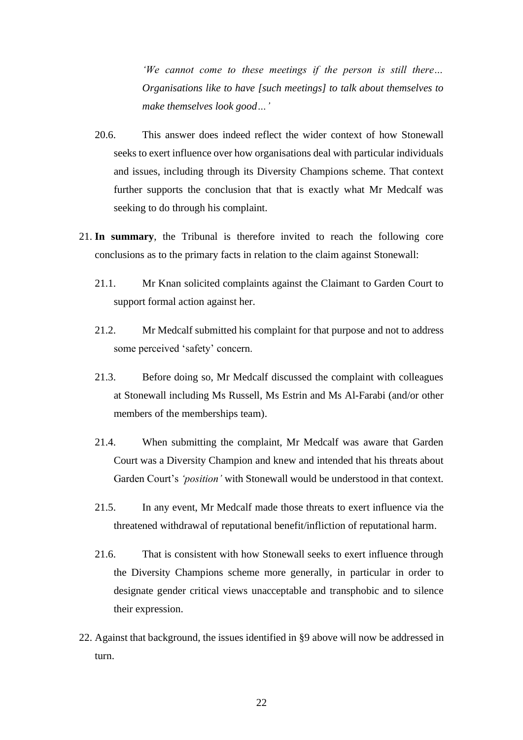*'We cannot come to these meetings if the person is still there… Organisations like to have [such meetings] to talk about themselves to make themselves look good…'*

- 20.6. This answer does indeed reflect the wider context of how Stonewall seeks to exert influence over how organisations deal with particular individuals and issues, including through its Diversity Champions scheme. That context further supports the conclusion that that is exactly what Mr Medcalf was seeking to do through his complaint.
- 21. **In summary**, the Tribunal is therefore invited to reach the following core conclusions as to the primary facts in relation to the claim against Stonewall:
	- 21.1. Mr Knan solicited complaints against the Claimant to Garden Court to support formal action against her.
	- 21.2. Mr Medcalf submitted his complaint for that purpose and not to address some perceived 'safety' concern.
	- 21.3. Before doing so, Mr Medcalf discussed the complaint with colleagues at Stonewall including Ms Russell, Ms Estrin and Ms Al-Farabi (and/or other members of the memberships team).
	- 21.4. When submitting the complaint, Mr Medcalf was aware that Garden Court was a Diversity Champion and knew and intended that his threats about Garden Court's *'position'* with Stonewall would be understood in that context.
	- 21.5. In any event, Mr Medcalf made those threats to exert influence via the threatened withdrawal of reputational benefit/infliction of reputational harm.
	- 21.6. That is consistent with how Stonewall seeks to exert influence through the Diversity Champions scheme more generally, in particular in order to designate gender critical views unacceptable and transphobic and to silence their expression.
- 22. Against that background, the issues identified in §9 above will now be addressed in turn.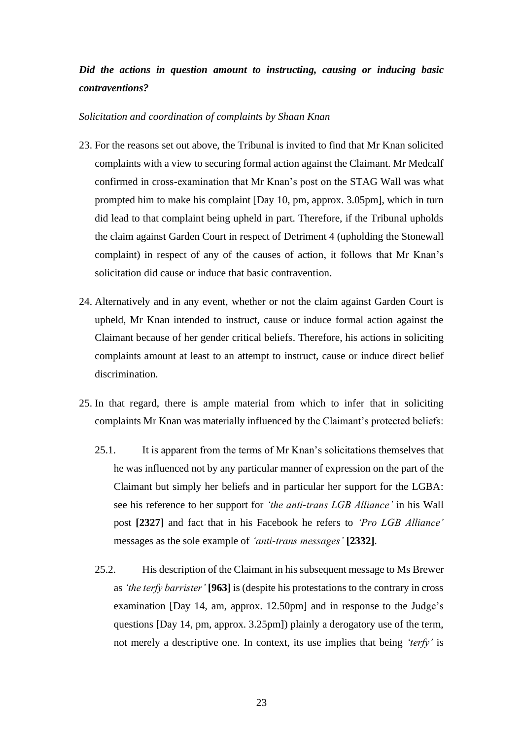# *Did the actions in question amount to instructing, causing or inducing basic contraventions?*

### *Solicitation and coordination of complaints by Shaan Knan*

- 23. For the reasons set out above, the Tribunal is invited to find that Mr Knan solicited complaints with a view to securing formal action against the Claimant. Mr Medcalf confirmed in cross-examination that Mr Knan's post on the STAG Wall was what prompted him to make his complaint [Day 10, pm, approx. 3.05pm], which in turn did lead to that complaint being upheld in part. Therefore, if the Tribunal upholds the claim against Garden Court in respect of Detriment 4 (upholding the Stonewall complaint) in respect of any of the causes of action, it follows that Mr Knan's solicitation did cause or induce that basic contravention.
- 24. Alternatively and in any event, whether or not the claim against Garden Court is upheld, Mr Knan intended to instruct, cause or induce formal action against the Claimant because of her gender critical beliefs. Therefore, his actions in soliciting complaints amount at least to an attempt to instruct, cause or induce direct belief discrimination.
- 25. In that regard, there is ample material from which to infer that in soliciting complaints Mr Knan was materially influenced by the Claimant's protected beliefs:
	- 25.1. It is apparent from the terms of Mr Knan's solicitations themselves that he was influenced not by any particular manner of expression on the part of the Claimant but simply her beliefs and in particular her support for the LGBA: see his reference to her support for *'the anti-trans LGB Alliance'* in his Wall post **[2327]** and fact that in his Facebook he refers to *'Pro LGB Alliance'* messages as the sole example of *'anti-trans messages'* **[2332]**.
	- 25.2. His description of the Claimant in his subsequent message to Ms Brewer as *'the terfy barrister'* **[963]** is (despite his protestations to the contrary in cross examination [Day 14, am, approx. 12.50pm] and in response to the Judge's questions [Day 14, pm, approx. 3.25pm]) plainly a derogatory use of the term, not merely a descriptive one. In context, its use implies that being *'terfy'* is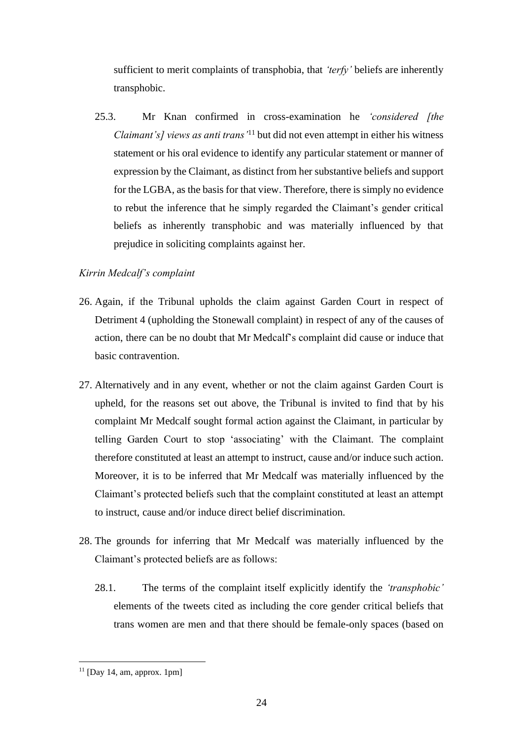sufficient to merit complaints of transphobia, that *'terfy'* beliefs are inherently transphobic.

25.3. Mr Knan confirmed in cross-examination he *'considered [the Claimant's] views as anti trans'*<sup>11</sup> but did not even attempt in either his witness statement or his oral evidence to identify any particular statement or manner of expression by the Claimant, as distinct from her substantive beliefs and support for the LGBA, as the basis for that view. Therefore, there is simply no evidence to rebut the inference that he simply regarded the Claimant's gender critical beliefs as inherently transphobic and was materially influenced by that prejudice in soliciting complaints against her.

## *Kirrin Medcalf's complaint*

- 26. Again, if the Tribunal upholds the claim against Garden Court in respect of Detriment 4 (upholding the Stonewall complaint) in respect of any of the causes of action, there can be no doubt that Mr Medcalf's complaint did cause or induce that basic contravention.
- 27. Alternatively and in any event, whether or not the claim against Garden Court is upheld, for the reasons set out above, the Tribunal is invited to find that by his complaint Mr Medcalf sought formal action against the Claimant, in particular by telling Garden Court to stop 'associating' with the Claimant. The complaint therefore constituted at least an attempt to instruct, cause and/or induce such action. Moreover, it is to be inferred that Mr Medcalf was materially influenced by the Claimant's protected beliefs such that the complaint constituted at least an attempt to instruct, cause and/or induce direct belief discrimination.
- 28. The grounds for inferring that Mr Medcalf was materially influenced by the Claimant's protected beliefs are as follows:
	- 28.1. The terms of the complaint itself explicitly identify the *'transphobic'* elements of the tweets cited as including the core gender critical beliefs that trans women are men and that there should be female-only spaces (based on

 $11$  [Day 14, am, approx. 1pm]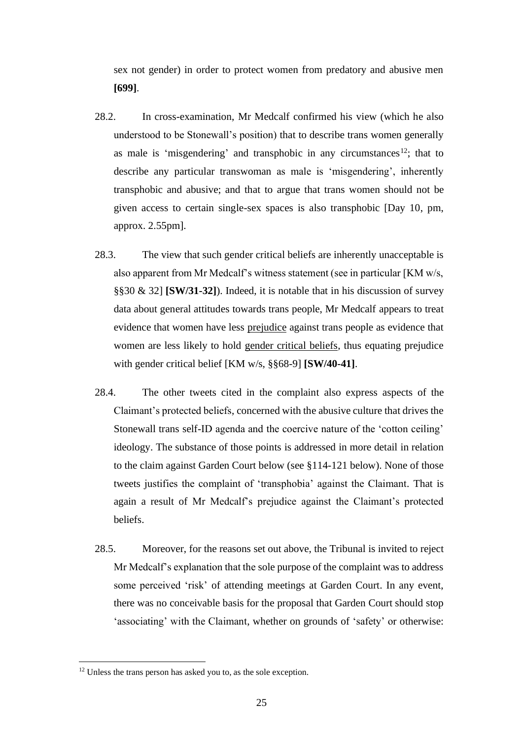sex not gender) in order to protect women from predatory and abusive men **[699]**.

- 28.2. In cross-examination, Mr Medcalf confirmed his view (which he also understood to be Stonewall's position) that to describe trans women generally as male is 'misgendering' and transphobic in any circumstances<sup>12</sup>; that to describe any particular transwoman as male is 'misgendering', inherently transphobic and abusive; and that to argue that trans women should not be given access to certain single-sex spaces is also transphobic [Day 10, pm, approx. 2.55pm].
- 28.3. The view that such gender critical beliefs are inherently unacceptable is also apparent from Mr Medcalf's witness statement (see in particular [KM w/s, §§30 & 32] **[SW/31-32]**). Indeed, it is notable that in his discussion of survey data about general attitudes towards trans people, Mr Medcalf appears to treat evidence that women have less prejudice against trans people as evidence that women are less likely to hold gender critical beliefs, thus equating prejudice with gender critical belief [KM w/s, §§68-9] **[SW/40-41]**.
- 28.4. The other tweets cited in the complaint also express aspects of the Claimant's protected beliefs, concerned with the abusive culture that drives the Stonewall trans self-ID agenda and the coercive nature of the 'cotton ceiling' ideology. The substance of those points is addressed in more detail in relation to the claim against Garden Court below (see §114-121 below). None of those tweets justifies the complaint of 'transphobia' against the Claimant. That is again a result of Mr Medcalf's prejudice against the Claimant's protected beliefs.
- 28.5. Moreover, for the reasons set out above, the Tribunal is invited to reject Mr Medcalf's explanation that the sole purpose of the complaint was to address some perceived 'risk' of attending meetings at Garden Court. In any event, there was no conceivable basis for the proposal that Garden Court should stop 'associating' with the Claimant, whether on grounds of 'safety' or otherwise:

 $12$  Unless the trans person has asked you to, as the sole exception.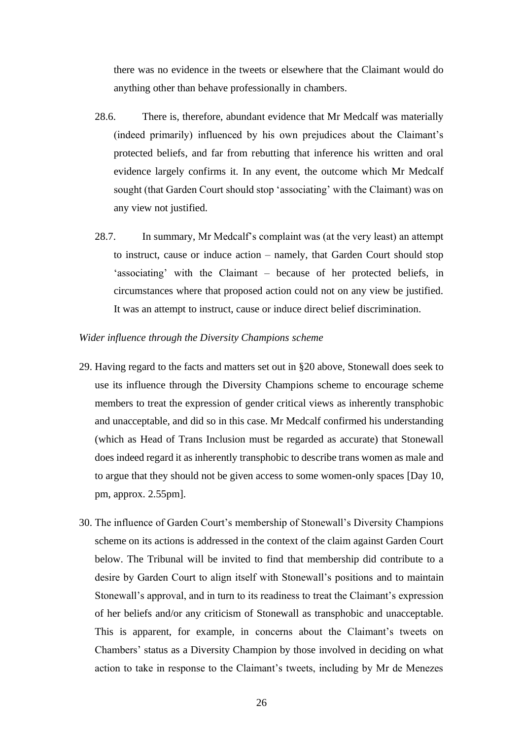there was no evidence in the tweets or elsewhere that the Claimant would do anything other than behave professionally in chambers.

- 28.6. There is, therefore, abundant evidence that Mr Medcalf was materially (indeed primarily) influenced by his own prejudices about the Claimant's protected beliefs, and far from rebutting that inference his written and oral evidence largely confirms it. In any event, the outcome which Mr Medcalf sought (that Garden Court should stop 'associating' with the Claimant) was on any view not justified.
- 28.7. In summary, Mr Medcalf's complaint was (at the very least) an attempt to instruct, cause or induce action – namely, that Garden Court should stop 'associating' with the Claimant – because of her protected beliefs, in circumstances where that proposed action could not on any view be justified. It was an attempt to instruct, cause or induce direct belief discrimination.

#### *Wider influence through the Diversity Champions scheme*

- 29. Having regard to the facts and matters set out in §20 above, Stonewall does seek to use its influence through the Diversity Champions scheme to encourage scheme members to treat the expression of gender critical views as inherently transphobic and unacceptable, and did so in this case. Mr Medcalf confirmed his understanding (which as Head of Trans Inclusion must be regarded as accurate) that Stonewall does indeed regard it as inherently transphobic to describe trans women as male and to argue that they should not be given access to some women-only spaces [Day 10, pm, approx. 2.55pm].
- 30. The influence of Garden Court's membership of Stonewall's Diversity Champions scheme on its actions is addressed in the context of the claim against Garden Court below. The Tribunal will be invited to find that membership did contribute to a desire by Garden Court to align itself with Stonewall's positions and to maintain Stonewall's approval, and in turn to its readiness to treat the Claimant's expression of her beliefs and/or any criticism of Stonewall as transphobic and unacceptable. This is apparent, for example, in concerns about the Claimant's tweets on Chambers' status as a Diversity Champion by those involved in deciding on what action to take in response to the Claimant's tweets, including by Mr de Menezes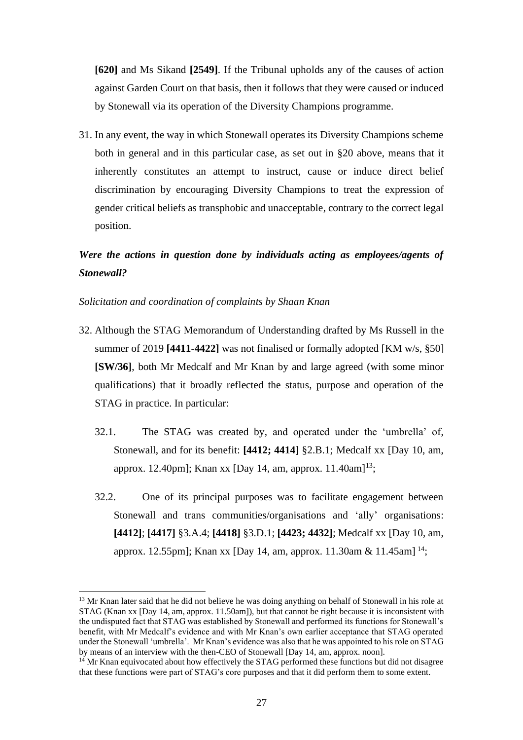**[620]** and Ms Sikand **[2549]**. If the Tribunal upholds any of the causes of action against Garden Court on that basis, then it follows that they were caused or induced by Stonewall via its operation of the Diversity Champions programme.

31. In any event, the way in which Stonewall operates its Diversity Champions scheme both in general and in this particular case, as set out in §20 above, means that it inherently constitutes an attempt to instruct, cause or induce direct belief discrimination by encouraging Diversity Champions to treat the expression of gender critical beliefs as transphobic and unacceptable, contrary to the correct legal position.

# *Were the actions in question done by individuals acting as employees/agents of Stonewall?*

### *Solicitation and coordination of complaints by Shaan Knan*

- 32. Although the STAG Memorandum of Understanding drafted by Ms Russell in the summer of 2019 **[4411-4422]** was not finalised or formally adopted [KM w/s, §50] **[SW/36]**, both Mr Medcalf and Mr Knan by and large agreed (with some minor qualifications) that it broadly reflected the status, purpose and operation of the STAG in practice. In particular:
	- 32.1. The STAG was created by, and operated under the 'umbrella' of, Stonewall, and for its benefit: **[4412; 4414]** §2.B.1; Medcalf xx [Day 10, am, approx. 12.40pm]; Knan xx [Day 14, am, approx. 11.40am]<sup>13</sup>;
	- 32.2. One of its principal purposes was to facilitate engagement between Stonewall and trans communities/organisations and 'ally' organisations: **[4412]**; **[4417]** §3.A.4; **[4418]** §3.D.1; **[4423; 4432]**; Medcalf xx [Day 10, am, approx. 12.55pm]; Knan xx [Day 14, am, approx. 11.30am & 11.45am] <sup>14</sup>;

<sup>&</sup>lt;sup>13</sup> Mr Knan later said that he did not believe he was doing anything on behalf of Stonewall in his role at STAG (Knan xx [Day 14, am, approx. 11.50am]), but that cannot be right because it is inconsistent with the undisputed fact that STAG was established by Stonewall and performed its functions for Stonewall's benefit, with Mr Medcalf's evidence and with Mr Knan's own earlier acceptance that STAG operated under the Stonewall 'umbrella'. Mr Knan's evidence was also that he was appointed to his role on STAG by means of an interview with the then-CEO of Stonewall [Day 14, am, approx. noon].

<sup>&</sup>lt;sup>14</sup> Mr Knan equivocated about how effectively the STAG performed these functions but did not disagree that these functions were part of STAG's core purposes and that it did perform them to some extent.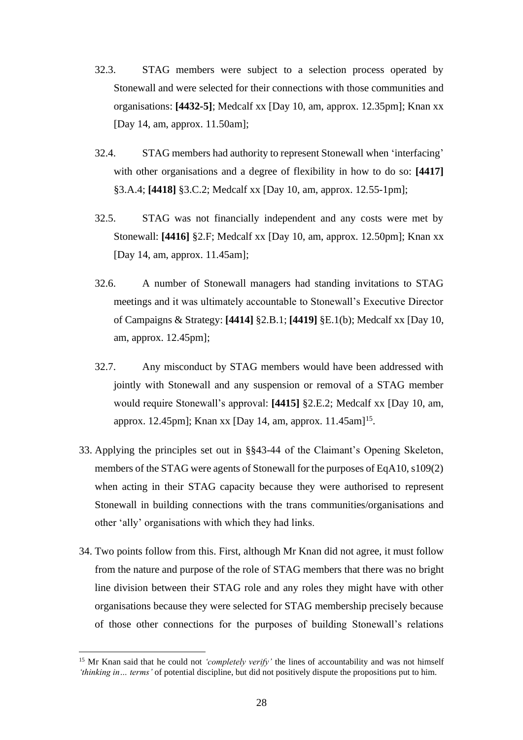- 32.3. STAG members were subject to a selection process operated by Stonewall and were selected for their connections with those communities and organisations: **[4432-5]**; Medcalf xx [Day 10, am, approx. 12.35pm]; Knan xx [Day 14, am, approx. 11.50am];
- 32.4. STAG members had authority to represent Stonewall when 'interfacing' with other organisations and a degree of flexibility in how to do so: **[4417]** §3.A.4; **[4418]** §3.C.2; Medcalf xx [Day 10, am, approx. 12.55-1pm];
- 32.5. STAG was not financially independent and any costs were met by Stonewall: **[4416]** §2.F; Medcalf xx [Day 10, am, approx. 12.50pm]; Knan xx [Day 14, am, approx. 11.45am];
- 32.6. A number of Stonewall managers had standing invitations to STAG meetings and it was ultimately accountable to Stonewall's Executive Director of Campaigns & Strategy: **[4414]** §2.B.1; **[4419]** §E.1(b); Medcalf xx [Day 10, am, approx. 12.45pm];
- 32.7. Any misconduct by STAG members would have been addressed with jointly with Stonewall and any suspension or removal of a STAG member would require Stonewall's approval: **[4415]** §2.E.2; Medcalf xx [Day 10, am, approx. 12.45pm]; Knan xx [Day 14, am, approx. 11.45am]<sup>15</sup>.
- 33. Applying the principles set out in §§43-44 of the Claimant's Opening Skeleton, members of the STAG were agents of Stonewall for the purposes of EqA10, s109(2) when acting in their STAG capacity because they were authorised to represent Stonewall in building connections with the trans communities/organisations and other 'ally' organisations with which they had links.
- 34. Two points follow from this. First, although Mr Knan did not agree, it must follow from the nature and purpose of the role of STAG members that there was no bright line division between their STAG role and any roles they might have with other organisations because they were selected for STAG membership precisely because of those other connections for the purposes of building Stonewall's relations

<sup>&</sup>lt;sup>15</sup> Mr Knan said that he could not *'completely verify'* the lines of accountability and was not himself *'thinking in… terms'* of potential discipline, but did not positively dispute the propositions put to him.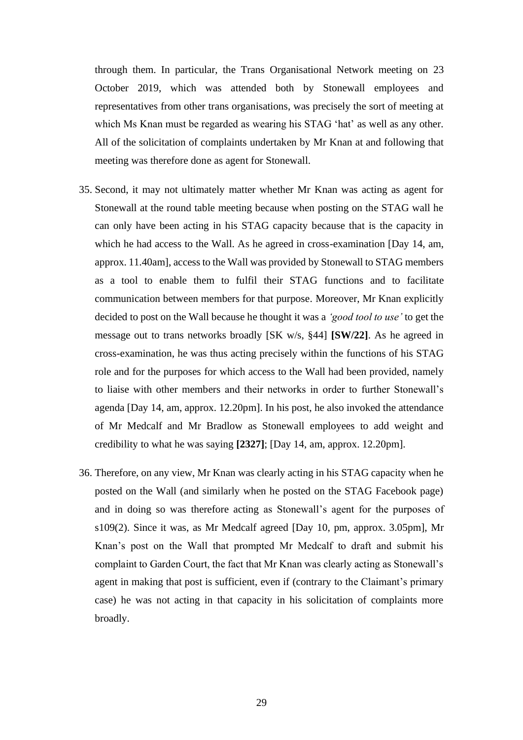through them. In particular, the Trans Organisational Network meeting on 23 October 2019, which was attended both by Stonewall employees and representatives from other trans organisations, was precisely the sort of meeting at which Ms Knan must be regarded as wearing his STAG 'hat' as well as any other. All of the solicitation of complaints undertaken by Mr Knan at and following that meeting was therefore done as agent for Stonewall.

- 35. Second, it may not ultimately matter whether Mr Knan was acting as agent for Stonewall at the round table meeting because when posting on the STAG wall he can only have been acting in his STAG capacity because that is the capacity in which he had access to the Wall. As he agreed in cross-examination [Day 14, am, approx. 11.40am], access to the Wall was provided by Stonewall to STAG members as a tool to enable them to fulfil their STAG functions and to facilitate communication between members for that purpose. Moreover, Mr Knan explicitly decided to post on the Wall because he thought it was a *'good tool to use'* to get the message out to trans networks broadly [SK w/s, §44] **[SW/22]**. As he agreed in cross-examination, he was thus acting precisely within the functions of his STAG role and for the purposes for which access to the Wall had been provided, namely to liaise with other members and their networks in order to further Stonewall's agenda [Day 14, am, approx. 12.20pm]. In his post, he also invoked the attendance of Mr Medcalf and Mr Bradlow as Stonewall employees to add weight and credibility to what he was saying **[2327]**; [Day 14, am, approx. 12.20pm].
- 36. Therefore, on any view, Mr Knan was clearly acting in his STAG capacity when he posted on the Wall (and similarly when he posted on the STAG Facebook page) and in doing so was therefore acting as Stonewall's agent for the purposes of s109(2). Since it was, as Mr Medcalf agreed [Day 10, pm, approx. 3.05pm], Mr Knan's post on the Wall that prompted Mr Medcalf to draft and submit his complaint to Garden Court, the fact that Mr Knan was clearly acting as Stonewall's agent in making that post is sufficient, even if (contrary to the Claimant's primary case) he was not acting in that capacity in his solicitation of complaints more broadly.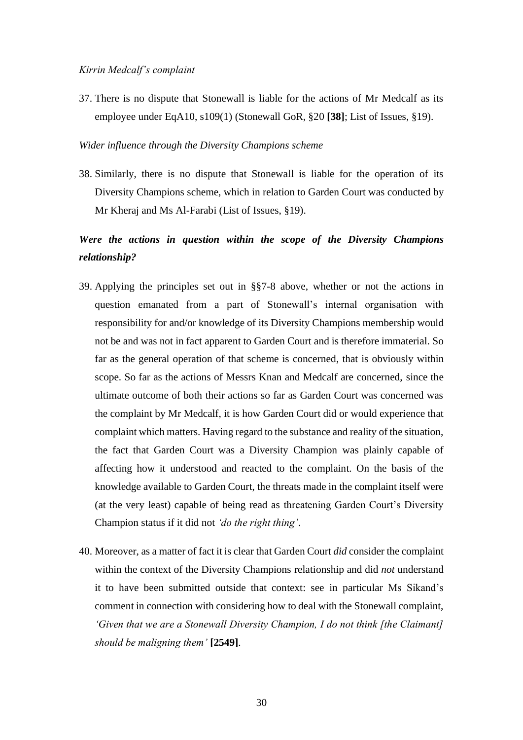37. There is no dispute that Stonewall is liable for the actions of Mr Medcalf as its employee under EqA10, s109(1) (Stonewall GoR, §20 **[38]**; List of Issues, §19).

#### *Wider influence through the Diversity Champions scheme*

38. Similarly, there is no dispute that Stonewall is liable for the operation of its Diversity Champions scheme, which in relation to Garden Court was conducted by Mr Kheraj and Ms Al-Farabi (List of Issues, §19).

# *Were the actions in question within the scope of the Diversity Champions relationship?*

- 39. Applying the principles set out in §§7-8 above, whether or not the actions in question emanated from a part of Stonewall's internal organisation with responsibility for and/or knowledge of its Diversity Champions membership would not be and was not in fact apparent to Garden Court and is therefore immaterial. So far as the general operation of that scheme is concerned, that is obviously within scope. So far as the actions of Messrs Knan and Medcalf are concerned, since the ultimate outcome of both their actions so far as Garden Court was concerned was the complaint by Mr Medcalf, it is how Garden Court did or would experience that complaint which matters. Having regard to the substance and reality of the situation, the fact that Garden Court was a Diversity Champion was plainly capable of affecting how it understood and reacted to the complaint. On the basis of the knowledge available to Garden Court, the threats made in the complaint itself were (at the very least) capable of being read as threatening Garden Court's Diversity Champion status if it did not *'do the right thing'*.
- 40. Moreover, as a matter of fact it is clear that Garden Court *did* consider the complaint within the context of the Diversity Champions relationship and did *not* understand it to have been submitted outside that context: see in particular Ms Sikand's comment in connection with considering how to deal with the Stonewall complaint, *'Given that we are a Stonewall Diversity Champion, I do not think [the Claimant] should be maligning them'* **[2549]**.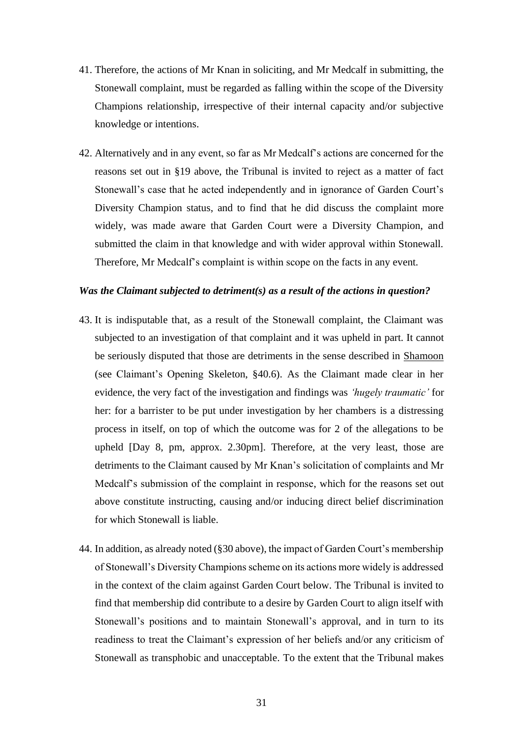- 41. Therefore, the actions of Mr Knan in soliciting, and Mr Medcalf in submitting, the Stonewall complaint, must be regarded as falling within the scope of the Diversity Champions relationship, irrespective of their internal capacity and/or subjective knowledge or intentions.
- 42. Alternatively and in any event, so far as Mr Medcalf's actions are concerned for the reasons set out in §19 above, the Tribunal is invited to reject as a matter of fact Stonewall's case that he acted independently and in ignorance of Garden Court's Diversity Champion status, and to find that he did discuss the complaint more widely, was made aware that Garden Court were a Diversity Champion, and submitted the claim in that knowledge and with wider approval within Stonewall. Therefore, Mr Medcalf's complaint is within scope on the facts in any event.

#### *Was the Claimant subjected to detriment(s) as a result of the actions in question?*

- 43. It is indisputable that, as a result of the Stonewall complaint, the Claimant was subjected to an investigation of that complaint and it was upheld in part. It cannot be seriously disputed that those are detriments in the sense described in Shamoon (see Claimant's Opening Skeleton, §40.6). As the Claimant made clear in her evidence, the very fact of the investigation and findings was *'hugely traumatic'* for her: for a barrister to be put under investigation by her chambers is a distressing process in itself, on top of which the outcome was for 2 of the allegations to be upheld [Day 8, pm, approx. 2.30pm]. Therefore, at the very least, those are detriments to the Claimant caused by Mr Knan's solicitation of complaints and Mr Medcalf's submission of the complaint in response, which for the reasons set out above constitute instructing, causing and/or inducing direct belief discrimination for which Stonewall is liable.
- 44. In addition, as already noted (§30 above), the impact of Garden Court's membership of Stonewall's Diversity Champions scheme on its actions more widely is addressed in the context of the claim against Garden Court below. The Tribunal is invited to find that membership did contribute to a desire by Garden Court to align itself with Stonewall's positions and to maintain Stonewall's approval, and in turn to its readiness to treat the Claimant's expression of her beliefs and/or any criticism of Stonewall as transphobic and unacceptable. To the extent that the Tribunal makes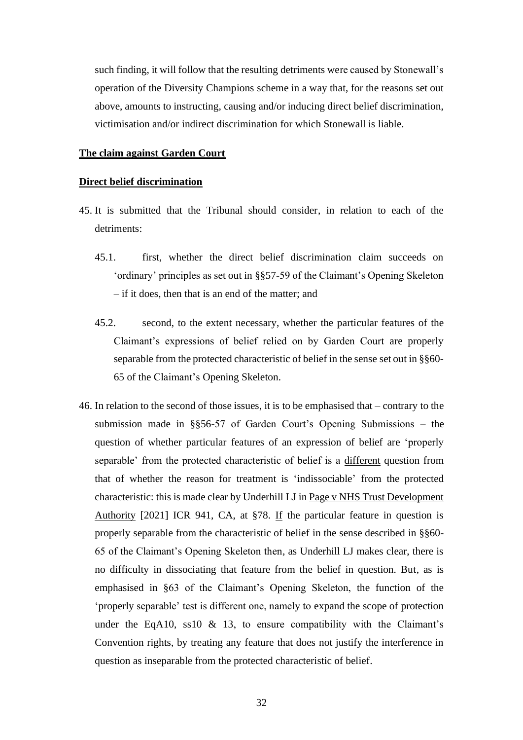such finding, it will follow that the resulting detriments were caused by Stonewall's operation of the Diversity Champions scheme in a way that, for the reasons set out above, amounts to instructing, causing and/or inducing direct belief discrimination, victimisation and/or indirect discrimination for which Stonewall is liable.

#### **The claim against Garden Court**

#### **Direct belief discrimination**

- 45. It is submitted that the Tribunal should consider, in relation to each of the detriments:
	- 45.1. first, whether the direct belief discrimination claim succeeds on 'ordinary' principles as set out in §§57-59 of the Claimant's Opening Skeleton – if it does, then that is an end of the matter; and
	- 45.2. second, to the extent necessary, whether the particular features of the Claimant's expressions of belief relied on by Garden Court are properly separable from the protected characteristic of belief in the sense set out in §§60- 65 of the Claimant's Opening Skeleton.
- 46. In relation to the second of those issues, it is to be emphasised that contrary to the submission made in §§56-57 of Garden Court's Opening Submissions – the question of whether particular features of an expression of belief are 'properly separable' from the protected characteristic of belief is a different question from that of whether the reason for treatment is 'indissociable' from the protected characteristic: this is made clear by Underhill LJ in Page v NHS Trust Development Authority [2021] ICR 941, CA, at §78. If the particular feature in question is properly separable from the characteristic of belief in the sense described in §§60- 65 of the Claimant's Opening Skeleton then, as Underhill LJ makes clear, there is no difficulty in dissociating that feature from the belief in question. But, as is emphasised in §63 of the Claimant's Opening Skeleton, the function of the 'properly separable' test is different one, namely to expand the scope of protection under the EqA10, ss10  $\&$  13, to ensure compatibility with the Claimant's Convention rights, by treating any feature that does not justify the interference in question as inseparable from the protected characteristic of belief.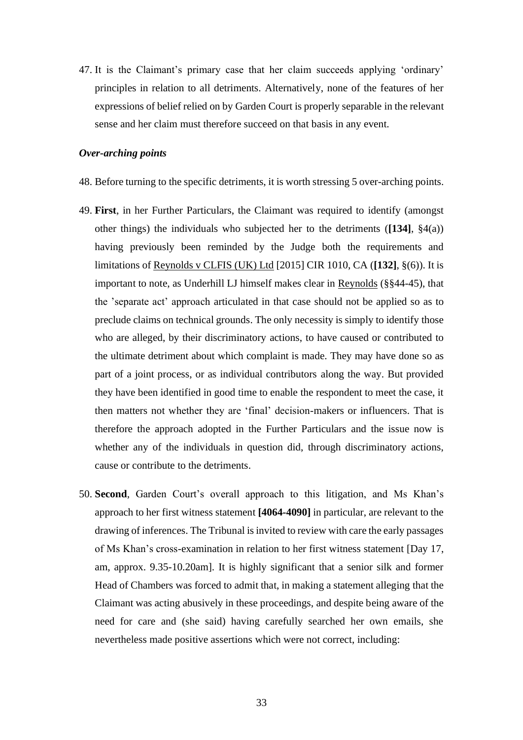47. It is the Claimant's primary case that her claim succeeds applying 'ordinary' principles in relation to all detriments. Alternatively, none of the features of her expressions of belief relied on by Garden Court is properly separable in the relevant sense and her claim must therefore succeed on that basis in any event.

### *Over-arching points*

- 48. Before turning to the specific detriments, it is worth stressing 5 over-arching points.
- 49. **First**, in her Further Particulars, the Claimant was required to identify (amongst other things) the individuals who subjected her to the detriments (**[134]**, §4(a)) having previously been reminded by the Judge both the requirements and limitations of Reynolds v CLFIS (UK) Ltd [2015] CIR 1010, CA (**[132]**, §(6)). It is important to note, as Underhill LJ himself makes clear in Reynolds (§§44-45), that the 'separate act' approach articulated in that case should not be applied so as to preclude claims on technical grounds. The only necessity is simply to identify those who are alleged, by their discriminatory actions, to have caused or contributed to the ultimate detriment about which complaint is made. They may have done so as part of a joint process, or as individual contributors along the way. But provided they have been identified in good time to enable the respondent to meet the case, it then matters not whether they are 'final' decision-makers or influencers. That is therefore the approach adopted in the Further Particulars and the issue now is whether any of the individuals in question did, through discriminatory actions, cause or contribute to the detriments.
- <span id="page-32-0"></span>50. **Second**, Garden Court's overall approach to this litigation, and Ms Khan's approach to her first witness statement **[4064-4090]** in particular, are relevant to the drawing of inferences. The Tribunal is invited to review with care the early passages of Ms Khan's cross-examination in relation to her first witness statement [Day 17, am, approx. 9.35-10.20am]. It is highly significant that a senior silk and former Head of Chambers was forced to admit that, in making a statement alleging that the Claimant was acting abusively in these proceedings, and despite being aware of the need for care and (she said) having carefully searched her own emails, she nevertheless made positive assertions which were not correct, including: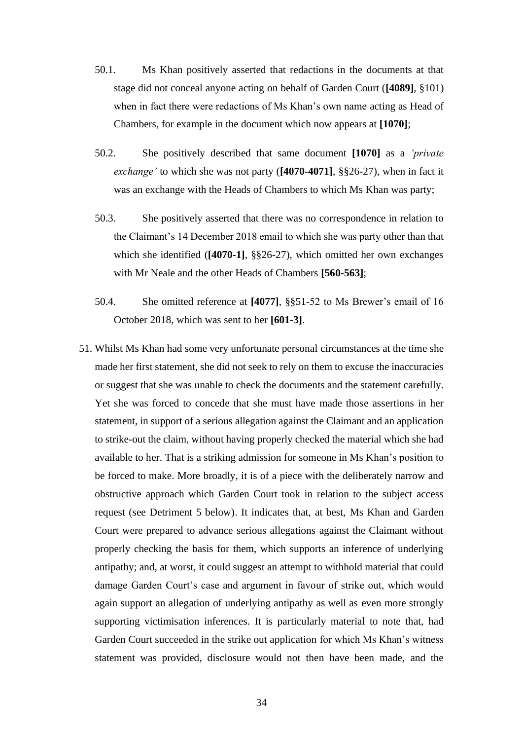- 50.1. Ms Khan positively asserted that redactions in the documents at that stage did not conceal anyone acting on behalf of Garden Court (**[4089]**, §101) when in fact there were redactions of Ms Khan's own name acting as Head of Chambers, for example in the document which now appears at **[1070]**;
- 50.2. She positively described that same document **[1070]** as a *'private exchange'* to which she was not party (**[4070-4071]**, §§26-27), when in fact it was an exchange with the Heads of Chambers to which Ms Khan was party;
- 50.3. She positively asserted that there was no correspondence in relation to the Claimant's 14 December 2018 email to which she was party other than that which she identified (**[4070-1]**, §§26-27), which omitted her own exchanges with Mr Neale and the other Heads of Chambers **[560-563]**;
- 50.4. She omitted reference at **[4077]**, §§51-52 to Ms Brewer's email of 16 October 2018, which was sent to her **[601-3]**.
- 51. Whilst Ms Khan had some very unfortunate personal circumstances at the time she made her first statement, she did not seek to rely on them to excuse the inaccuracies or suggest that she was unable to check the documents and the statement carefully. Yet she was forced to concede that she must have made those assertions in her statement, in support of a serious allegation against the Claimant and an application to strike-out the claim, without having properly checked the material which she had available to her. That is a striking admission for someone in Ms Khan's position to be forced to make. More broadly, it is of a piece with the deliberately narrow and obstructive approach which Garden Court took in relation to the subject access request (see Detriment 5 below). It indicates that, at best, Ms Khan and Garden Court were prepared to advance serious allegations against the Claimant without properly checking the basis for them, which supports an inference of underlying antipathy; and, at worst, it could suggest an attempt to withhold material that could damage Garden Court's case and argument in favour of strike out, which would again support an allegation of underlying antipathy as well as even more strongly supporting victimisation inferences. It is particularly material to note that, had Garden Court succeeded in the strike out application for which Ms Khan's witness statement was provided, disclosure would not then have been made, and the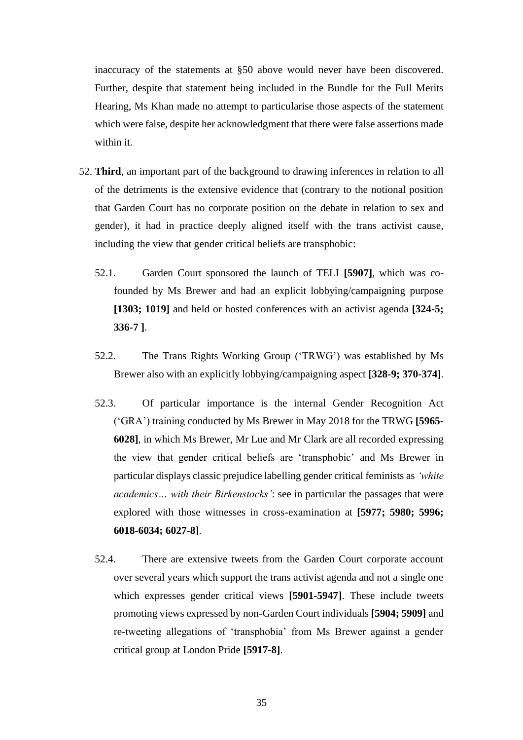inaccuracy of the statements at [§50](#page-32-0) above would never have been discovered. Further, despite that statement being included in the Bundle for the Full Merits Hearing, Ms Khan made no attempt to particularise those aspects of the statement which were false, despite her acknowledgment that there were false assertions made within it.

- 52. **Third**, an important part of the background to drawing inferences in relation to all of the detriments is the extensive evidence that (contrary to the notional position that Garden Court has no corporate position on the debate in relation to sex and gender), it had in practice deeply aligned itself with the trans activist cause, including the view that gender critical beliefs are transphobic:
	- 52.1. Garden Court sponsored the launch of TELI **[5907]**, which was cofounded by Ms Brewer and had an explicit lobbying/campaigning purpose **[1303; 1019]** and held or hosted conferences with an activist agenda **[324-5; 336-7 ]**.
	- 52.2. The Trans Rights Working Group ('TRWG') was established by Ms Brewer also with an explicitly lobbying/campaigning aspect **[328-9; 370-374]**.
	- 52.3. Of particular importance is the internal Gender Recognition Act ('GRA') training conducted by Ms Brewer in May 2018 for the TRWG **[5965- 6028]**, in which Ms Brewer, Mr Lue and Mr Clark are all recorded expressing the view that gender critical beliefs are 'transphobic' and Ms Brewer in particular displays classic prejudice labelling gender critical feminists as *'white academics… with their Birkenstocks'*: see in particular the passages that were explored with those witnesses in cross-examination at **[5977; 5980; 5996; 6018-6034; 6027-8]**.
	- 52.4. There are extensive tweets from the Garden Court corporate account over several years which support the trans activist agenda and not a single one which expresses gender critical views **[5901-5947]**. These include tweets promoting views expressed by non-Garden Court individuals **[5904; 5909]** and re-tweeting allegations of 'transphobia' from Ms Brewer against a gender critical group at London Pride **[5917-8]**.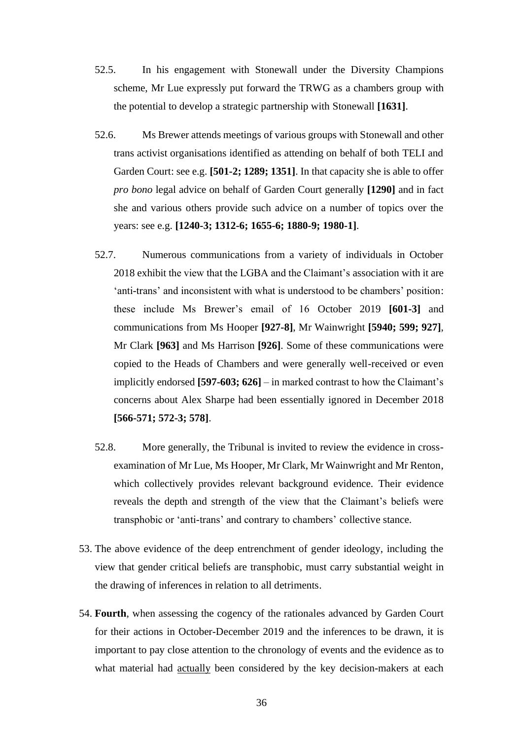- 52.5. In his engagement with Stonewall under the Diversity Champions scheme, Mr Lue expressly put forward the TRWG as a chambers group with the potential to develop a strategic partnership with Stonewall **[1631]**.
- 52.6. Ms Brewer attends meetings of various groups with Stonewall and other trans activist organisations identified as attending on behalf of both TELI and Garden Court: see e.g. **[501-2; 1289; 1351]**. In that capacity she is able to offer *pro bono* legal advice on behalf of Garden Court generally **[1290]** and in fact she and various others provide such advice on a number of topics over the years: see e.g. **[1240-3; 1312-6; 1655-6; 1880-9; 1980-1]**.
- 52.7. Numerous communications from a variety of individuals in October 2018 exhibit the view that the LGBA and the Claimant's association with it are 'anti-trans' and inconsistent with what is understood to be chambers' position: these include Ms Brewer's email of 16 October 2019 **[601-3]** and communications from Ms Hooper **[927-8]**, Mr Wainwright **[5940; 599; 927]**, Mr Clark **[963]** and Ms Harrison **[926]**. Some of these communications were copied to the Heads of Chambers and were generally well-received or even implicitly endorsed **[597-603; 626]** – in marked contrast to how the Claimant's concerns about Alex Sharpe had been essentially ignored in December 2018 **[566-571; 572-3; 578]**.
- 52.8. More generally, the Tribunal is invited to review the evidence in crossexamination of Mr Lue, Ms Hooper, Mr Clark, Mr Wainwright and Mr Renton, which collectively provides relevant background evidence. Their evidence reveals the depth and strength of the view that the Claimant's beliefs were transphobic or 'anti-trans' and contrary to chambers' collective stance.
- 53. The above evidence of the deep entrenchment of gender ideology, including the view that gender critical beliefs are transphobic, must carry substantial weight in the drawing of inferences in relation to all detriments.
- 54. **Fourth**, when assessing the cogency of the rationales advanced by Garden Court for their actions in October-December 2019 and the inferences to be drawn, it is important to pay close attention to the chronology of events and the evidence as to what material had actually been considered by the key decision-makers at each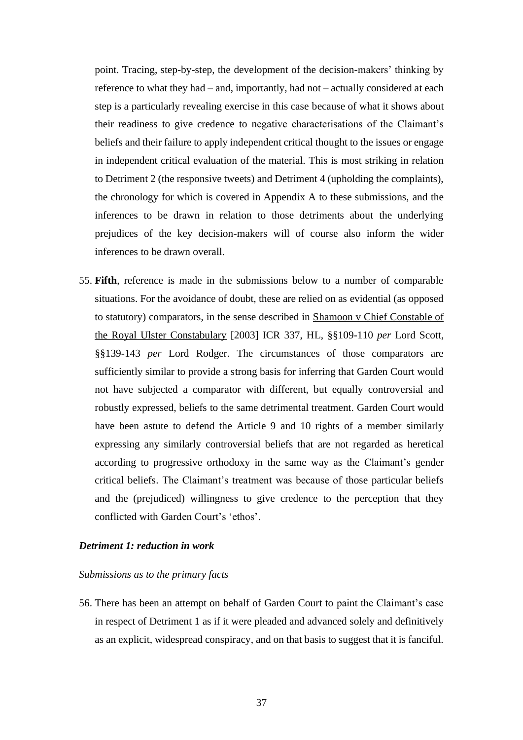point. Tracing, step-by-step, the development of the decision-makers' thinking by reference to what they had – and, importantly, had not – actually considered at each step is a particularly revealing exercise in this case because of what it shows about their readiness to give credence to negative characterisations of the Claimant's beliefs and their failure to apply independent critical thought to the issues or engage in independent critical evaluation of the material. This is most striking in relation to Detriment 2 (the responsive tweets) and Detriment 4 (upholding the complaints), the chronology for which is covered in Appendix A to these submissions, and the inferences to be drawn in relation to those detriments about the underlying prejudices of the key decision-makers will of course also inform the wider inferences to be drawn overall.

55. **Fifth**, reference is made in the submissions below to a number of comparable situations. For the avoidance of doubt, these are relied on as evidential (as opposed to statutory) comparators, in the sense described in Shamoon v Chief Constable of the Royal Ulster Constabulary [2003] ICR 337, HL, §§109-110 *per* Lord Scott, §§139-143 *per* Lord Rodger. The circumstances of those comparators are sufficiently similar to provide a strong basis for inferring that Garden Court would not have subjected a comparator with different, but equally controversial and robustly expressed, beliefs to the same detrimental treatment. Garden Court would have been astute to defend the Article 9 and 10 rights of a member similarly expressing any similarly controversial beliefs that are not regarded as heretical according to progressive orthodoxy in the same way as the Claimant's gender critical beliefs. The Claimant's treatment was because of those particular beliefs and the (prejudiced) willingness to give credence to the perception that they conflicted with Garden Court's 'ethos'.

# *Detriment 1: reduction in work*

#### *Submissions as to the primary facts*

56. There has been an attempt on behalf of Garden Court to paint the Claimant's case in respect of Detriment 1 as if it were pleaded and advanced solely and definitively as an explicit, widespread conspiracy, and on that basis to suggest that it is fanciful.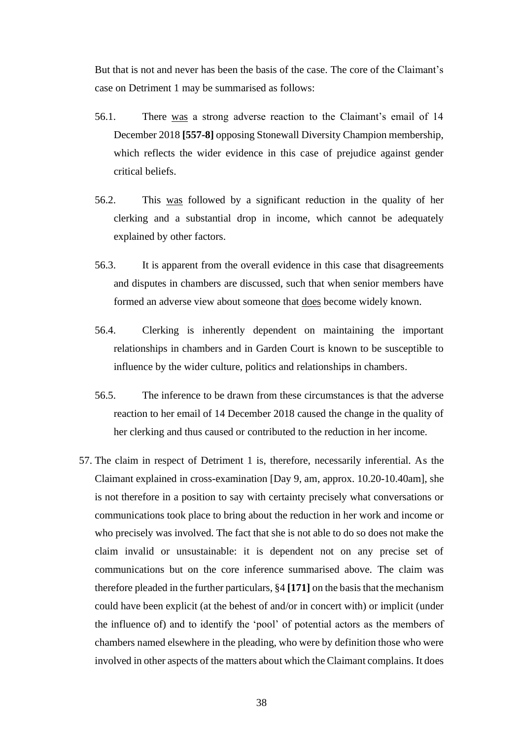But that is not and never has been the basis of the case. The core of the Claimant's case on Detriment 1 may be summarised as follows:

- 56.1. There was a strong adverse reaction to the Claimant's email of 14 December 2018 **[557-8]** opposing Stonewall Diversity Champion membership, which reflects the wider evidence in this case of prejudice against gender critical beliefs.
- 56.2. This was followed by a significant reduction in the quality of her clerking and a substantial drop in income, which cannot be adequately explained by other factors.
- 56.3. It is apparent from the overall evidence in this case that disagreements and disputes in chambers are discussed, such that when senior members have formed an adverse view about someone that does become widely known.
- 56.4. Clerking is inherently dependent on maintaining the important relationships in chambers and in Garden Court is known to be susceptible to influence by the wider culture, politics and relationships in chambers.
- 56.5. The inference to be drawn from these circumstances is that the adverse reaction to her email of 14 December 2018 caused the change in the quality of her clerking and thus caused or contributed to the reduction in her income.
- 57. The claim in respect of Detriment 1 is, therefore, necessarily inferential. As the Claimant explained in cross-examination [Day 9, am, approx. 10.20-10.40am], she is not therefore in a position to say with certainty precisely what conversations or communications took place to bring about the reduction in her work and income or who precisely was involved. The fact that she is not able to do so does not make the claim invalid or unsustainable: it is dependent not on any precise set of communications but on the core inference summarised above. The claim was therefore pleaded in the further particulars, §4 **[171]** on the basis that the mechanism could have been explicit (at the behest of and/or in concert with) or implicit (under the influence of) and to identify the 'pool' of potential actors as the members of chambers named elsewhere in the pleading, who were by definition those who were involved in other aspects of the matters about which the Claimant complains. It does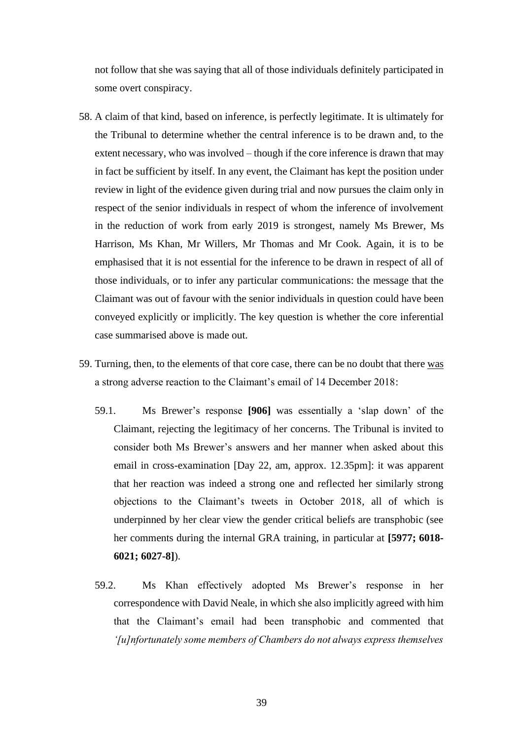not follow that she was saying that all of those individuals definitely participated in some overt conspiracy.

- 58. A claim of that kind, based on inference, is perfectly legitimate. It is ultimately for the Tribunal to determine whether the central inference is to be drawn and, to the extent necessary, who was involved – though if the core inference is drawn that may in fact be sufficient by itself. In any event, the Claimant has kept the position under review in light of the evidence given during trial and now pursues the claim only in respect of the senior individuals in respect of whom the inference of involvement in the reduction of work from early 2019 is strongest, namely Ms Brewer, Ms Harrison, Ms Khan, Mr Willers, Mr Thomas and Mr Cook. Again, it is to be emphasised that it is not essential for the inference to be drawn in respect of all of those individuals, or to infer any particular communications: the message that the Claimant was out of favour with the senior individuals in question could have been conveyed explicitly or implicitly. The key question is whether the core inferential case summarised above is made out.
- 59. Turning, then, to the elements of that core case, there can be no doubt that there was a strong adverse reaction to the Claimant's email of 14 December 2018:
	- 59.1. Ms Brewer's response **[906]** was essentially a 'slap down' of the Claimant, rejecting the legitimacy of her concerns. The Tribunal is invited to consider both Ms Brewer's answers and her manner when asked about this email in cross-examination [Day 22, am, approx. 12.35pm]: it was apparent that her reaction was indeed a strong one and reflected her similarly strong objections to the Claimant's tweets in October 2018, all of which is underpinned by her clear view the gender critical beliefs are transphobic (see her comments during the internal GRA training, in particular at **[5977; 6018- 6021; 6027-8]**).
	- 59.2. Ms Khan effectively adopted Ms Brewer's response in her correspondence with David Neale, in which she also implicitly agreed with him that the Claimant's email had been transphobic and commented that *'[u]nfortunately some members of Chambers do not always express themselves*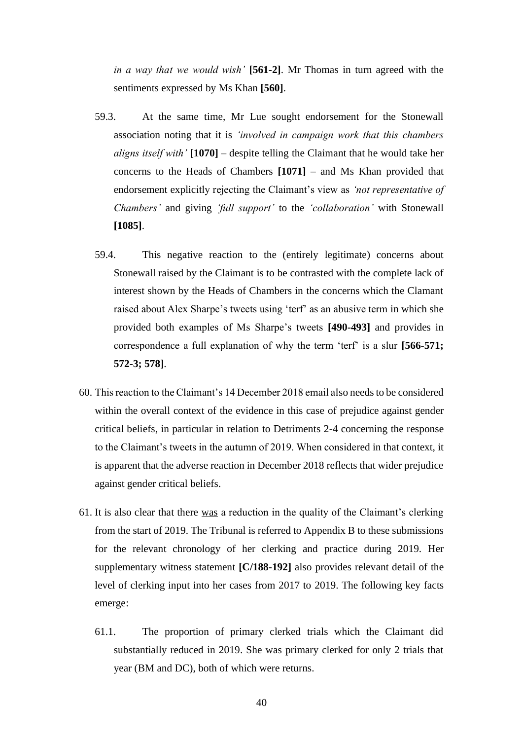*in a way that we would wish'* **[561-2]**. Mr Thomas in turn agreed with the sentiments expressed by Ms Khan **[560]**.

- 59.3. At the same time, Mr Lue sought endorsement for the Stonewall association noting that it is *'involved in campaign work that this chambers aligns itself with'* **[1070]** – despite telling the Claimant that he would take her concerns to the Heads of Chambers **[1071]** – and Ms Khan provided that endorsement explicitly rejecting the Claimant's view as *'not representative of Chambers'* and giving *'full support'* to the *'collaboration'* with Stonewall **[1085]**.
- 59.4. This negative reaction to the (entirely legitimate) concerns about Stonewall raised by the Claimant is to be contrasted with the complete lack of interest shown by the Heads of Chambers in the concerns which the Clamant raised about Alex Sharpe's tweets using 'terf' as an abusive term in which she provided both examples of Ms Sharpe's tweets **[490-493]** and provides in correspondence a full explanation of why the term 'terf' is a slur **[566-571; 572-3; 578]**.
- 60. This reaction to the Claimant's 14 December 2018 email also needs to be considered within the overall context of the evidence in this case of prejudice against gender critical beliefs, in particular in relation to Detriments 2-4 concerning the response to the Claimant's tweets in the autumn of 2019. When considered in that context, it is apparent that the adverse reaction in December 2018 reflects that wider prejudice against gender critical beliefs.
- 61. It is also clear that there was a reduction in the quality of the Claimant's clerking from the start of 2019. The Tribunal is referred to Appendix B to these submissions for the relevant chronology of her clerking and practice during 2019. Her supplementary witness statement **[C/188-192]** also provides relevant detail of the level of clerking input into her cases from 2017 to 2019. The following key facts emerge:
	- 61.1. The proportion of primary clerked trials which the Claimant did substantially reduced in 2019. She was primary clerked for only 2 trials that year (BM and DC), both of which were returns.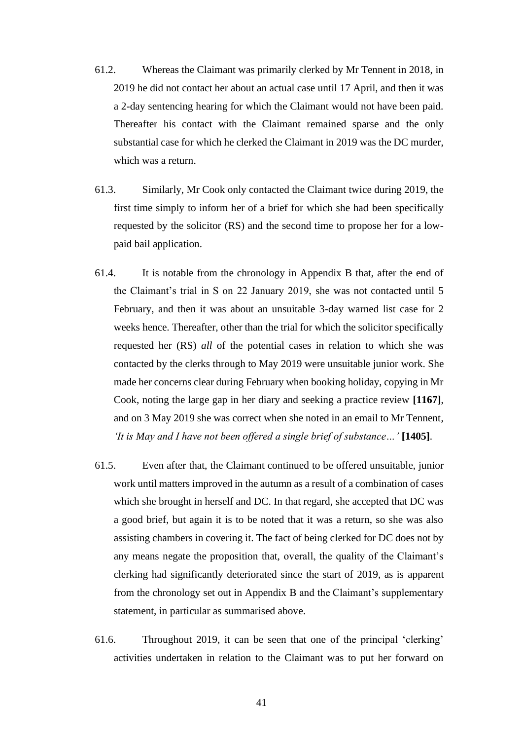- 61.2. Whereas the Claimant was primarily clerked by Mr Tennent in 2018, in 2019 he did not contact her about an actual case until 17 April, and then it was a 2-day sentencing hearing for which the Claimant would not have been paid. Thereafter his contact with the Claimant remained sparse and the only substantial case for which he clerked the Claimant in 2019 was the DC murder, which was a return.
- 61.3. Similarly, Mr Cook only contacted the Claimant twice during 2019, the first time simply to inform her of a brief for which she had been specifically requested by the solicitor (RS) and the second time to propose her for a lowpaid bail application.
- 61.4. It is notable from the chronology in Appendix B that, after the end of the Claimant's trial in S on 22 January 2019, she was not contacted until 5 February, and then it was about an unsuitable 3-day warned list case for 2 weeks hence. Thereafter, other than the trial for which the solicitor specifically requested her (RS) *all* of the potential cases in relation to which she was contacted by the clerks through to May 2019 were unsuitable junior work. She made her concerns clear during February when booking holiday, copying in Mr Cook, noting the large gap in her diary and seeking a practice review **[1167]**, and on 3 May 2019 she was correct when she noted in an email to Mr Tennent, *'It is May and I have not been offered a single brief of substance…'* **[1405]**.
- 61.5. Even after that, the Claimant continued to be offered unsuitable, junior work until matters improved in the autumn as a result of a combination of cases which she brought in herself and DC. In that regard, she accepted that DC was a good brief, but again it is to be noted that it was a return, so she was also assisting chambers in covering it. The fact of being clerked for DC does not by any means negate the proposition that, overall, the quality of the Claimant's clerking had significantly deteriorated since the start of 2019, as is apparent from the chronology set out in Appendix B and the Claimant's supplementary statement, in particular as summarised above.
- 61.6. Throughout 2019, it can be seen that one of the principal 'clerking' activities undertaken in relation to the Claimant was to put her forward on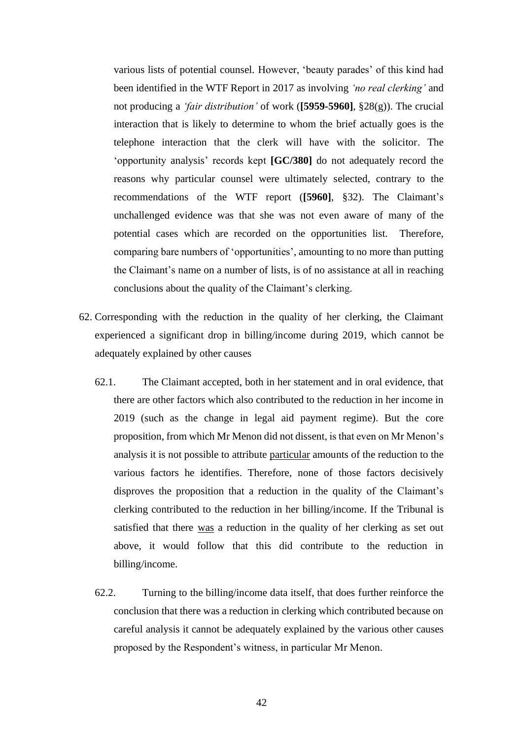various lists of potential counsel. However, 'beauty parades' of this kind had been identified in the WTF Report in 2017 as involving *'no real clerking'* and not producing a *'fair distribution'* of work (**[5959-5960]**, §28(g)). The crucial interaction that is likely to determine to whom the brief actually goes is the telephone interaction that the clerk will have with the solicitor. The 'opportunity analysis' records kept **[GC/380]** do not adequately record the reasons why particular counsel were ultimately selected, contrary to the recommendations of the WTF report (**[5960]**, §32). The Claimant's unchallenged evidence was that she was not even aware of many of the potential cases which are recorded on the opportunities list. Therefore, comparing bare numbers of 'opportunities', amounting to no more than putting the Claimant's name on a number of lists, is of no assistance at all in reaching conclusions about the quality of the Claimant's clerking.

- 62. Corresponding with the reduction in the quality of her clerking, the Claimant experienced a significant drop in billing/income during 2019, which cannot be adequately explained by other causes
	- 62.1. The Claimant accepted, both in her statement and in oral evidence, that there are other factors which also contributed to the reduction in her income in 2019 (such as the change in legal aid payment regime). But the core proposition, from which Mr Menon did not dissent, is that even on Mr Menon's analysis it is not possible to attribute particular amounts of the reduction to the various factors he identifies. Therefore, none of those factors decisively disproves the proposition that a reduction in the quality of the Claimant's clerking contributed to the reduction in her billing/income. If the Tribunal is satisfied that there was a reduction in the quality of her clerking as set out above, it would follow that this did contribute to the reduction in billing/income.
	- 62.2. Turning to the billing/income data itself, that does further reinforce the conclusion that there was a reduction in clerking which contributed because on careful analysis it cannot be adequately explained by the various other causes proposed by the Respondent's witness, in particular Mr Menon.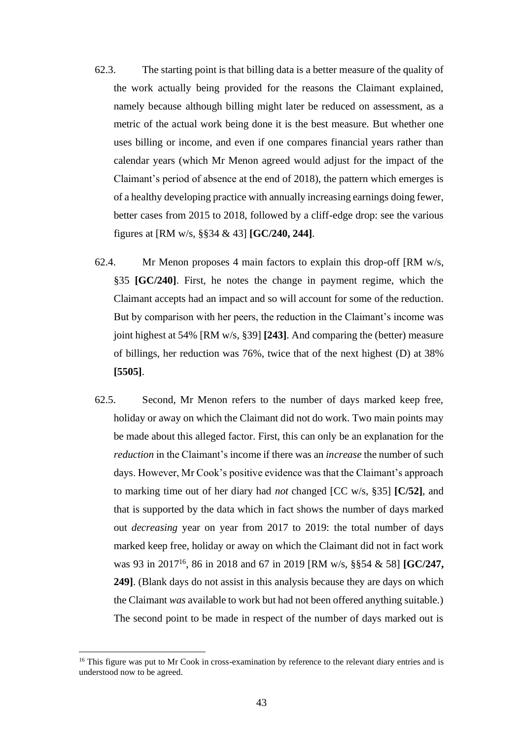- 62.3. The starting point is that billing data is a better measure of the quality of the work actually being provided for the reasons the Claimant explained, namely because although billing might later be reduced on assessment, as a metric of the actual work being done it is the best measure. But whether one uses billing or income, and even if one compares financial years rather than calendar years (which Mr Menon agreed would adjust for the impact of the Claimant's period of absence at the end of 2018), the pattern which emerges is of a healthy developing practice with annually increasing earnings doing fewer, better cases from 2015 to 2018, followed by a cliff-edge drop: see the various figures at [RM w/s, §§34 & 43] **[GC/240, 244]**.
- 62.4. Mr Menon proposes 4 main factors to explain this drop-off [RM w/s, §35 **[GC/240]**. First, he notes the change in payment regime, which the Claimant accepts had an impact and so will account for some of the reduction. But by comparison with her peers, the reduction in the Claimant's income was joint highest at 54% [RM w/s, §39] **[243]**. And comparing the (better) measure of billings, her reduction was 76%, twice that of the next highest (D) at 38% **[5505]**.
- 62.5. Second, Mr Menon refers to the number of days marked keep free, holiday or away on which the Claimant did not do work. Two main points may be made about this alleged factor. First, this can only be an explanation for the *reduction* in the Claimant's income if there was an *increase* the number of such days. However, Mr Cook's positive evidence was that the Claimant's approach to marking time out of her diary had *not* changed [CC w/s, §35] **[C/52]**, and that is supported by the data which in fact shows the number of days marked out *decreasing* year on year from 2017 to 2019: the total number of days marked keep free, holiday or away on which the Claimant did not in fact work was 93 in 2017<sup>16</sup> , 86 in 2018 and 67 in 2019 [RM w/s, §§54 & 58] **[GC/247, 249]**. (Blank days do not assist in this analysis because they are days on which the Claimant *was* available to work but had not been offered anything suitable.) The second point to be made in respect of the number of days marked out is

<sup>&</sup>lt;sup>16</sup> This figure was put to Mr Cook in cross-examination by reference to the relevant diary entries and is understood now to be agreed.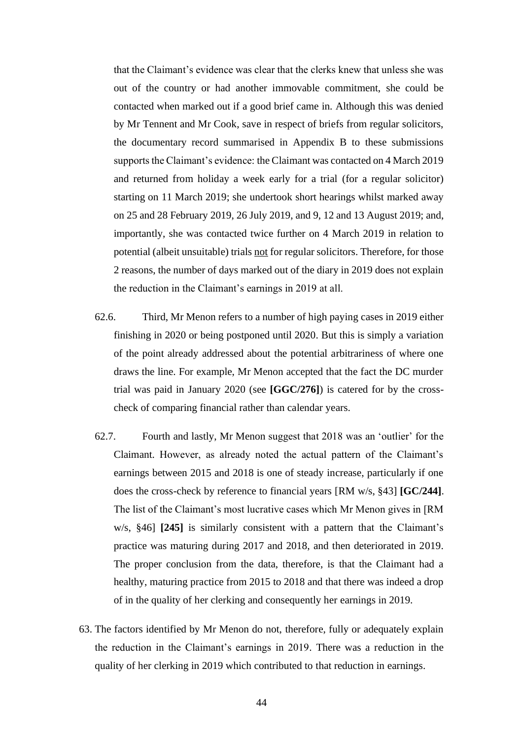that the Claimant's evidence was clear that the clerks knew that unless she was out of the country or had another immovable commitment, she could be contacted when marked out if a good brief came in. Although this was denied by Mr Tennent and Mr Cook, save in respect of briefs from regular solicitors, the documentary record summarised in Appendix B to these submissions supports the Claimant's evidence: the Claimant was contacted on 4 March 2019 and returned from holiday a week early for a trial (for a regular solicitor) starting on 11 March 2019; she undertook short hearings whilst marked away on 25 and 28 February 2019, 26 July 2019, and 9, 12 and 13 August 2019; and, importantly, she was contacted twice further on 4 March 2019 in relation to potential (albeit unsuitable) trials not for regular solicitors. Therefore, for those 2 reasons, the number of days marked out of the diary in 2019 does not explain the reduction in the Claimant's earnings in 2019 at all.

- 62.6. Third, Mr Menon refers to a number of high paying cases in 2019 either finishing in 2020 or being postponed until 2020. But this is simply a variation of the point already addressed about the potential arbitrariness of where one draws the line. For example, Mr Menon accepted that the fact the DC murder trial was paid in January 2020 (see **[GGC/276]**) is catered for by the crosscheck of comparing financial rather than calendar years.
- 62.7. Fourth and lastly, Mr Menon suggest that 2018 was an 'outlier' for the Claimant. However, as already noted the actual pattern of the Claimant's earnings between 2015 and 2018 is one of steady increase, particularly if one does the cross-check by reference to financial years [RM w/s, §43] **[GC/244]**. The list of the Claimant's most lucrative cases which Mr Menon gives in [RM w/s, §46] **[245]** is similarly consistent with a pattern that the Claimant's practice was maturing during 2017 and 2018, and then deteriorated in 2019. The proper conclusion from the data, therefore, is that the Claimant had a healthy, maturing practice from 2015 to 2018 and that there was indeed a drop of in the quality of her clerking and consequently her earnings in 2019.
- 63. The factors identified by Mr Menon do not, therefore, fully or adequately explain the reduction in the Claimant's earnings in 2019. There was a reduction in the quality of her clerking in 2019 which contributed to that reduction in earnings.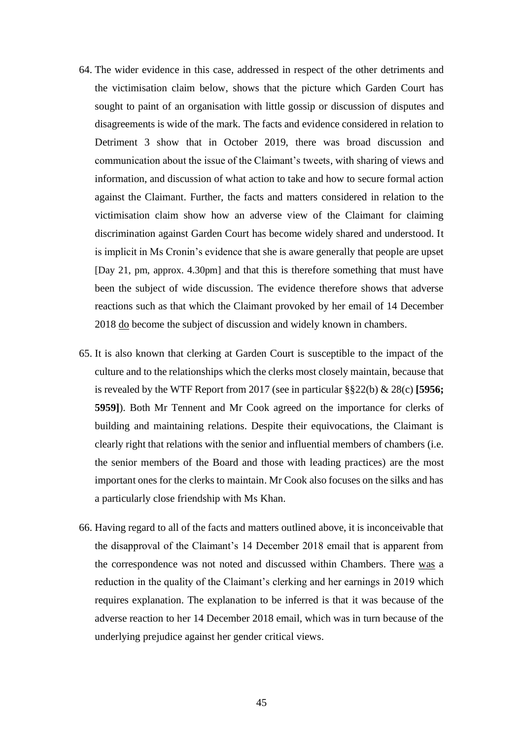- 64. The wider evidence in this case, addressed in respect of the other detriments and the victimisation claim below, shows that the picture which Garden Court has sought to paint of an organisation with little gossip or discussion of disputes and disagreements is wide of the mark. The facts and evidence considered in relation to Detriment 3 show that in October 2019, there was broad discussion and communication about the issue of the Claimant's tweets, with sharing of views and information, and discussion of what action to take and how to secure formal action against the Claimant. Further, the facts and matters considered in relation to the victimisation claim show how an adverse view of the Claimant for claiming discrimination against Garden Court has become widely shared and understood. It is implicit in Ms Cronin's evidence that she is aware generally that people are upset [Day 21, pm, approx. 4.30pm] and that this is therefore something that must have been the subject of wide discussion. The evidence therefore shows that adverse reactions such as that which the Claimant provoked by her email of 14 December 2018 do become the subject of discussion and widely known in chambers.
- 65. It is also known that clerking at Garden Court is susceptible to the impact of the culture and to the relationships which the clerks most closely maintain, because that is revealed by the WTF Report from 2017 (see in particular §§22(b) & 28(c) **[5956; 5959]**). Both Mr Tennent and Mr Cook agreed on the importance for clerks of building and maintaining relations. Despite their equivocations, the Claimant is clearly right that relations with the senior and influential members of chambers (i.e. the senior members of the Board and those with leading practices) are the most important ones for the clerks to maintain. Mr Cook also focuses on the silks and has a particularly close friendship with Ms Khan.
- 66. Having regard to all of the facts and matters outlined above, it is inconceivable that the disapproval of the Claimant's 14 December 2018 email that is apparent from the correspondence was not noted and discussed within Chambers. There was a reduction in the quality of the Claimant's clerking and her earnings in 2019 which requires explanation. The explanation to be inferred is that it was because of the adverse reaction to her 14 December 2018 email, which was in turn because of the underlying prejudice against her gender critical views.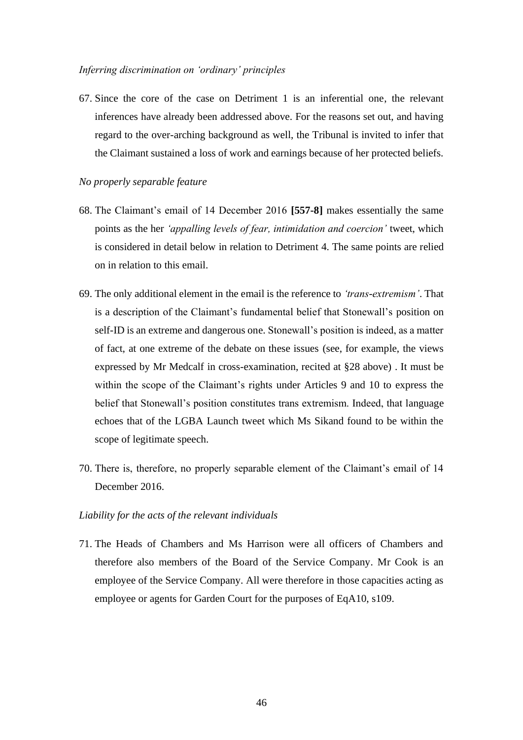#### *Inferring discrimination on 'ordinary' principles*

67. Since the core of the case on Detriment 1 is an inferential one, the relevant inferences have already been addressed above. For the reasons set out, and having regard to the over-arching background as well, the Tribunal is invited to infer that the Claimant sustained a loss of work and earnings because of her protected beliefs.

#### *No properly separable feature*

- 68. The Claimant's email of 14 December 2016 **[557-8]** makes essentially the same points as the her *'appalling levels of fear, intimidation and coercion'* tweet, which is considered in detail below in relation to Detriment 4. The same points are relied on in relation to this email.
- 69. The only additional element in the email is the reference to *'trans-extremism'*. That is a description of the Claimant's fundamental belief that Stonewall's position on self-ID is an extreme and dangerous one. Stonewall's position is indeed, as a matter of fact, at one extreme of the debate on these issues (see, for example, the views expressed by Mr Medcalf in cross-examination, recited at [§28](#page-23-0) above) . It must be within the scope of the Claimant's rights under Articles 9 and 10 to express the belief that Stonewall's position constitutes trans extremism. Indeed, that language echoes that of the LGBA Launch tweet which Ms Sikand found to be within the scope of legitimate speech.
- 70. There is, therefore, no properly separable element of the Claimant's email of 14 December 2016.

# *Liability for the acts of the relevant individuals*

71. The Heads of Chambers and Ms Harrison were all officers of Chambers and therefore also members of the Board of the Service Company. Mr Cook is an employee of the Service Company. All were therefore in those capacities acting as employee or agents for Garden Court for the purposes of EqA10, s109.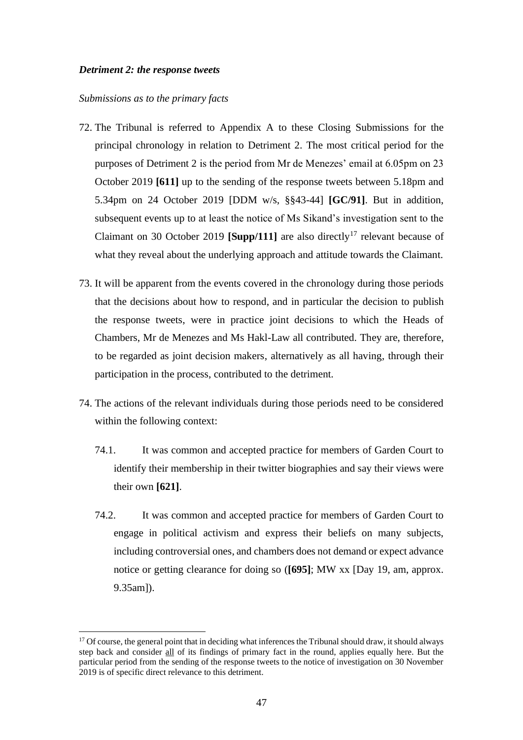# *Detriment 2: the response tweets*

#### *Submissions as to the primary facts*

- 72. The Tribunal is referred to Appendix A to these Closing Submissions for the principal chronology in relation to Detriment 2. The most critical period for the purposes of Detriment 2 is the period from Mr de Menezes' email at 6.05pm on 23 October 2019 **[611]** up to the sending of the response tweets between 5.18pm and 5.34pm on 24 October 2019 [DDM w/s, §§43-44] **[GC/91]**. But in addition, subsequent events up to at least the notice of Ms Sikand's investigation sent to the Claimant on 30 October 2019 **[Supp/111]** are also directly<sup>17</sup> relevant because of what they reveal about the underlying approach and attitude towards the Claimant.
- 73. It will be apparent from the events covered in the chronology during those periods that the decisions about how to respond, and in particular the decision to publish the response tweets, were in practice joint decisions to which the Heads of Chambers, Mr de Menezes and Ms Hakl-Law all contributed. They are, therefore, to be regarded as joint decision makers, alternatively as all having, through their participation in the process, contributed to the detriment.
- 74. The actions of the relevant individuals during those periods need to be considered within the following context:
	- 74.1. It was common and accepted practice for members of Garden Court to identify their membership in their twitter biographies and say their views were their own **[621]**.
	- 74.2. It was common and accepted practice for members of Garden Court to engage in political activism and express their beliefs on many subjects, including controversial ones, and chambers does not demand or expect advance notice or getting clearance for doing so (**[695]**; MW xx [Day 19, am, approx. 9.35am]).

 $17$  Of course, the general point that in deciding what inferences the Tribunal should draw, it should always step back and consider all of its findings of primary fact in the round, applies equally here. But the particular period from the sending of the response tweets to the notice of investigation on 30 November 2019 is of specific direct relevance to this detriment.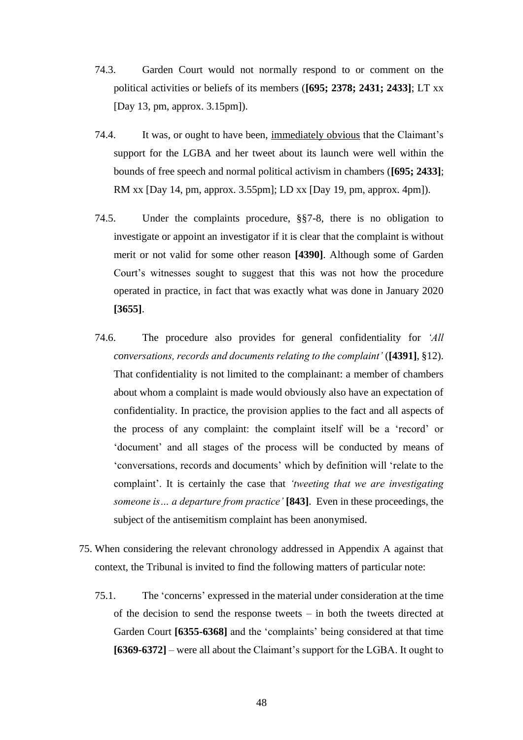- 74.3. Garden Court would not normally respond to or comment on the political activities or beliefs of its members (**[695; 2378; 2431; 2433]**; LT xx [Day 13, pm, approx. 3.15pm]).
- 74.4. It was, or ought to have been, immediately obvious that the Claimant's support for the LGBA and her tweet about its launch were well within the bounds of free speech and normal political activism in chambers (**[695; 2433]**; RM xx [Day 14, pm, approx. 3.55pm]; LD xx [Day 19, pm, approx. 4pm]).
- 74.5. Under the complaints procedure, §§7-8, there is no obligation to investigate or appoint an investigator if it is clear that the complaint is without merit or not valid for some other reason **[4390]**. Although some of Garden Court's witnesses sought to suggest that this was not how the procedure operated in practice, in fact that was exactly what was done in January 2020 **[3655]**.
- 74.6. The procedure also provides for general confidentiality for *'All conversations, records and documents relating to the complaint'* (**[4391]**, §12). That confidentiality is not limited to the complainant: a member of chambers about whom a complaint is made would obviously also have an expectation of confidentiality. In practice, the provision applies to the fact and all aspects of the process of any complaint: the complaint itself will be a 'record' or 'document' and all stages of the process will be conducted by means of 'conversations, records and documents' which by definition will 'relate to the complaint'. It is certainly the case that *'tweeting that we are investigating someone is… a departure from practice'* **[843]**. Even in these proceedings, the subject of the antisemitism complaint has been anonymised.
- 75. When considering the relevant chronology addressed in Appendix A against that context, the Tribunal is invited to find the following matters of particular note:
	- 75.1. The 'concerns' expressed in the material under consideration at the time of the decision to send the response tweets – in both the tweets directed at Garden Court **[6355-6368]** and the 'complaints' being considered at that time **[6369-6372]** – were all about the Claimant's support for the LGBA. It ought to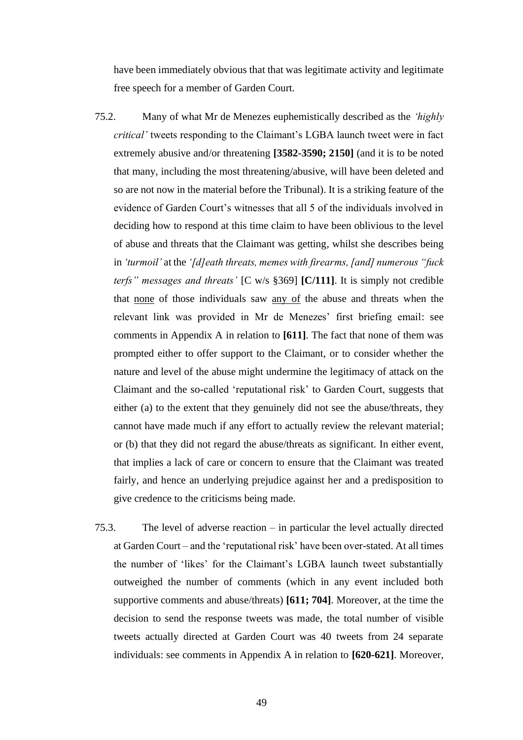have been immediately obvious that that was legitimate activity and legitimate free speech for a member of Garden Court.

- 75.2. Many of what Mr de Menezes euphemistically described as the *'highly critical'* tweets responding to the Claimant's LGBA launch tweet were in fact extremely abusive and/or threatening **[3582-3590; 2150]** (and it is to be noted that many, including the most threatening/abusive, will have been deleted and so are not now in the material before the Tribunal). It is a striking feature of the evidence of Garden Court's witnesses that all 5 of the individuals involved in deciding how to respond at this time claim to have been oblivious to the level of abuse and threats that the Claimant was getting, whilst she describes being in *'turmoil'* at the *'[d]eath threats, memes with firearms, [and] numerous "fuck terfs" messages and threats'* [C w/s §369] **[C/111]**. It is simply not credible that none of those individuals saw any of the abuse and threats when the relevant link was provided in Mr de Menezes' first briefing email: see comments in Appendix A in relation to **[611]**. The fact that none of them was prompted either to offer support to the Claimant, or to consider whether the nature and level of the abuse might undermine the legitimacy of attack on the Claimant and the so-called 'reputational risk' to Garden Court, suggests that either (a) to the extent that they genuinely did not see the abuse/threats, they cannot have made much if any effort to actually review the relevant material; or (b) that they did not regard the abuse/threats as significant. In either event, that implies a lack of care or concern to ensure that the Claimant was treated fairly, and hence an underlying prejudice against her and a predisposition to give credence to the criticisms being made.
- 75.3. The level of adverse reaction in particular the level actually directed at Garden Court – and the 'reputational risk' have been over-stated. At all times the number of 'likes' for the Claimant's LGBA launch tweet substantially outweighed the number of comments (which in any event included both supportive comments and abuse/threats) **[611; 704]**. Moreover, at the time the decision to send the response tweets was made, the total number of visible tweets actually directed at Garden Court was 40 tweets from 24 separate individuals: see comments in Appendix A in relation to **[620-621]**. Moreover,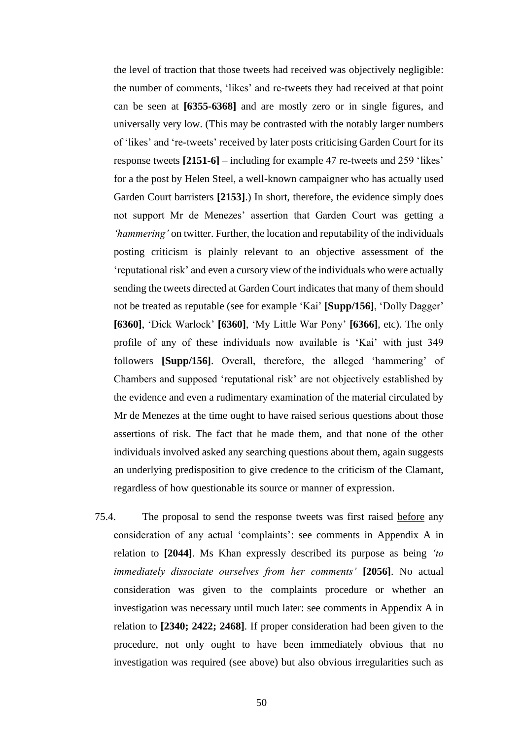the level of traction that those tweets had received was objectively negligible: the number of comments, 'likes' and re-tweets they had received at that point can be seen at **[6355-6368]** and are mostly zero or in single figures, and universally very low. (This may be contrasted with the notably larger numbers of 'likes' and 're-tweets' received by later posts criticising Garden Court for its response tweets **[2151-6]** – including for example 47 re-tweets and 259 'likes' for a the post by Helen Steel, a well-known campaigner who has actually used Garden Court barristers **[2153]**.) In short, therefore, the evidence simply does not support Mr de Menezes' assertion that Garden Court was getting a *'hammering'* on twitter. Further, the location and reputability of the individuals posting criticism is plainly relevant to an objective assessment of the 'reputational risk' and even a cursory view of the individuals who were actually sending the tweets directed at Garden Court indicates that many of them should not be treated as reputable (see for example 'Kai' **[Supp/156]**, 'Dolly Dagger' **[6360]**, 'Dick Warlock' **[6360]**, 'My Little War Pony' **[6366]**, etc). The only profile of any of these individuals now available is 'Kai' with just 349 followers **[Supp/156]**. Overall, therefore, the alleged 'hammering' of Chambers and supposed 'reputational risk' are not objectively established by the evidence and even a rudimentary examination of the material circulated by Mr de Menezes at the time ought to have raised serious questions about those assertions of risk. The fact that he made them, and that none of the other individuals involved asked any searching questions about them, again suggests an underlying predisposition to give credence to the criticism of the Clamant, regardless of how questionable its source or manner of expression.

75.4. The proposal to send the response tweets was first raised before any consideration of any actual 'complaints': see comments in Appendix A in relation to **[2044]**. Ms Khan expressly described its purpose as being *'to immediately dissociate ourselves from her comments'* **[2056]**. No actual consideration was given to the complaints procedure or whether an investigation was necessary until much later: see comments in Appendix A in relation to **[2340; 2422; 2468]**. If proper consideration had been given to the procedure, not only ought to have been immediately obvious that no investigation was required (see above) but also obvious irregularities such as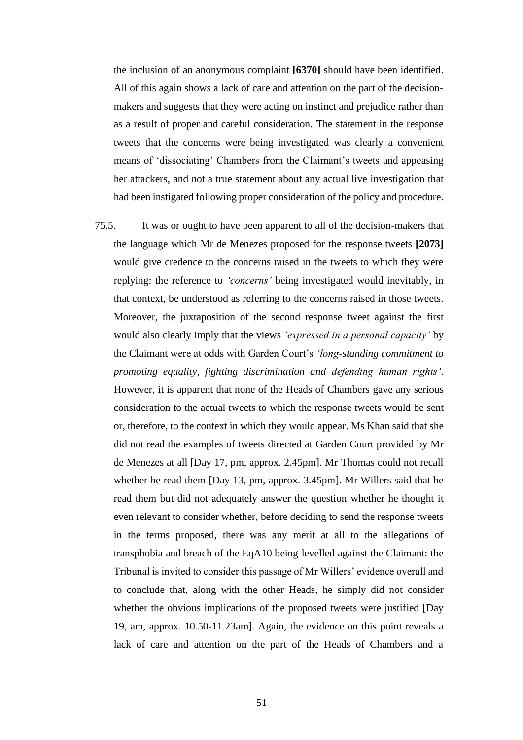the inclusion of an anonymous complaint **[6370]** should have been identified. All of this again shows a lack of care and attention on the part of the decisionmakers and suggests that they were acting on instinct and prejudice rather than as a result of proper and careful consideration. The statement in the response tweets that the concerns were being investigated was clearly a convenient means of 'dissociating' Chambers from the Claimant's tweets and appeasing her attackers, and not a true statement about any actual live investigation that had been instigated following proper consideration of the policy and procedure.

75.5. It was or ought to have been apparent to all of the decision-makers that the language which Mr de Menezes proposed for the response tweets **[2073]** would give credence to the concerns raised in the tweets to which they were replying: the reference to *'concerns'* being investigated would inevitably, in that context, be understood as referring to the concerns raised in those tweets. Moreover, the juxtaposition of the second response tweet against the first would also clearly imply that the views *'expressed in a personal capacity'* by the Claimant were at odds with Garden Court's *'long-standing commitment to promoting equality, fighting discrimination and defending human rights'*. However, it is apparent that none of the Heads of Chambers gave any serious consideration to the actual tweets to which the response tweets would be sent or, therefore, to the context in which they would appear. Ms Khan said that she did not read the examples of tweets directed at Garden Court provided by Mr de Menezes at all [Day 17, pm, approx. 2.45pm]. Mr Thomas could not recall whether he read them [Day 13, pm, approx. 3.45pm]. Mr Willers said that he read them but did not adequately answer the question whether he thought it even relevant to consider whether, before deciding to send the response tweets in the terms proposed, there was any merit at all to the allegations of transphobia and breach of the EqA10 being levelled against the Claimant: the Tribunal is invited to consider this passage of Mr Willers' evidence overall and to conclude that, along with the other Heads, he simply did not consider whether the obvious implications of the proposed tweets were justified [Day 19, am, approx. 10.50-11.23am]. Again, the evidence on this point reveals a lack of care and attention on the part of the Heads of Chambers and a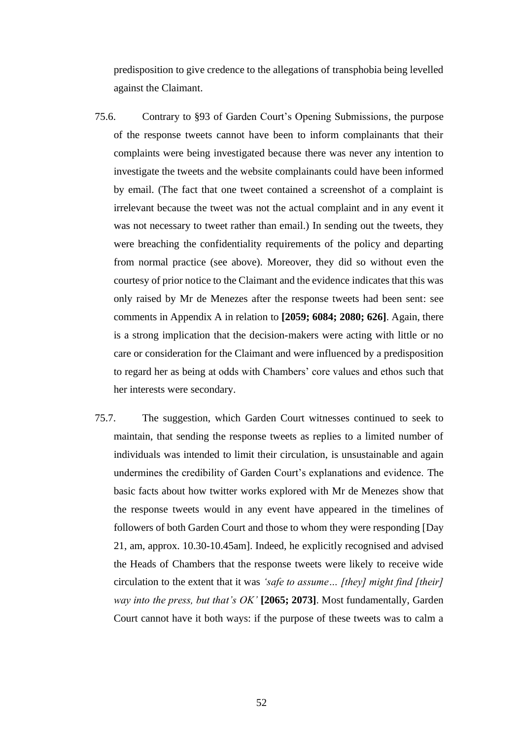predisposition to give credence to the allegations of transphobia being levelled against the Claimant.

- 75.6. Contrary to §93 of Garden Court's Opening Submissions, the purpose of the response tweets cannot have been to inform complainants that their complaints were being investigated because there was never any intention to investigate the tweets and the website complainants could have been informed by email. (The fact that one tweet contained a screenshot of a complaint is irrelevant because the tweet was not the actual complaint and in any event it was not necessary to tweet rather than email.) In sending out the tweets, they were breaching the confidentiality requirements of the policy and departing from normal practice (see above). Moreover, they did so without even the courtesy of prior notice to the Claimant and the evidence indicates that this was only raised by Mr de Menezes after the response tweets had been sent: see comments in Appendix A in relation to **[2059; 6084; 2080; 626]**. Again, there is a strong implication that the decision-makers were acting with little or no care or consideration for the Claimant and were influenced by a predisposition to regard her as being at odds with Chambers' core values and ethos such that her interests were secondary.
- 75.7. The suggestion, which Garden Court witnesses continued to seek to maintain, that sending the response tweets as replies to a limited number of individuals was intended to limit their circulation, is unsustainable and again undermines the credibility of Garden Court's explanations and evidence. The basic facts about how twitter works explored with Mr de Menezes show that the response tweets would in any event have appeared in the timelines of followers of both Garden Court and those to whom they were responding [Day 21, am, approx. 10.30-10.45am]. Indeed, he explicitly recognised and advised the Heads of Chambers that the response tweets were likely to receive wide circulation to the extent that it was *'safe to assume… [they] might find [their] way into the press, but that's OK'* **[2065; 2073]**. Most fundamentally, Garden Court cannot have it both ways: if the purpose of these tweets was to calm a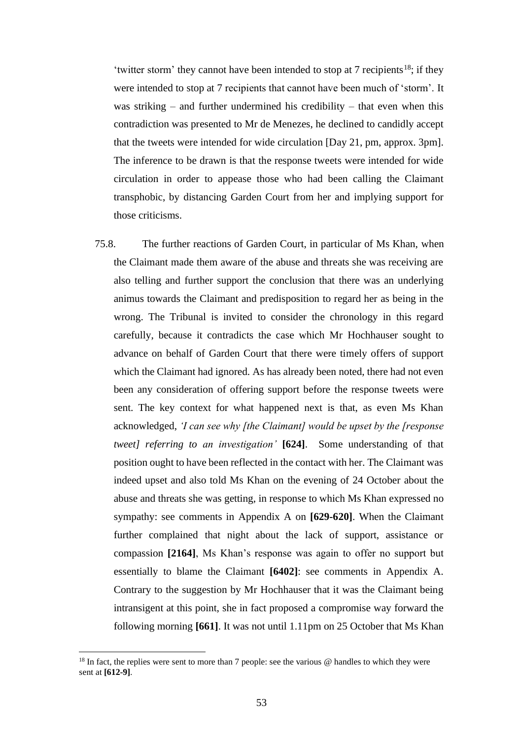'twitter storm' they cannot have been intended to stop at  $7$  recipients<sup>18</sup>; if they were intended to stop at 7 recipients that cannot have been much of 'storm'. It was striking – and further undermined his credibility – that even when this contradiction was presented to Mr de Menezes, he declined to candidly accept that the tweets were intended for wide circulation [Day 21, pm, approx. 3pm]. The inference to be drawn is that the response tweets were intended for wide circulation in order to appease those who had been calling the Claimant transphobic, by distancing Garden Court from her and implying support for those criticisms.

75.8. The further reactions of Garden Court, in particular of Ms Khan, when the Claimant made them aware of the abuse and threats she was receiving are also telling and further support the conclusion that there was an underlying animus towards the Claimant and predisposition to regard her as being in the wrong. The Tribunal is invited to consider the chronology in this regard carefully, because it contradicts the case which Mr Hochhauser sought to advance on behalf of Garden Court that there were timely offers of support which the Claimant had ignored. As has already been noted, there had not even been any consideration of offering support before the response tweets were sent. The key context for what happened next is that, as even Ms Khan acknowledged, *'I can see why [the Claimant] would be upset by the [response tweet] referring to an investigation'* **[624]**. Some understanding of that position ought to have been reflected in the contact with her. The Claimant was indeed upset and also told Ms Khan on the evening of 24 October about the abuse and threats she was getting, in response to which Ms Khan expressed no sympathy: see comments in Appendix A on **[629-620]**. When the Claimant further complained that night about the lack of support, assistance or compassion **[2164]**, Ms Khan's response was again to offer no support but essentially to blame the Claimant **[6402]**: see comments in Appendix A. Contrary to the suggestion by Mr Hochhauser that it was the Claimant being intransigent at this point, she in fact proposed a compromise way forward the following morning **[661]**. It was not until 1.11pm on 25 October that Ms Khan

<sup>&</sup>lt;sup>18</sup> In fact, the replies were sent to more than 7 people: see the various  $\omega$  handles to which they were sent at **[612-9]**.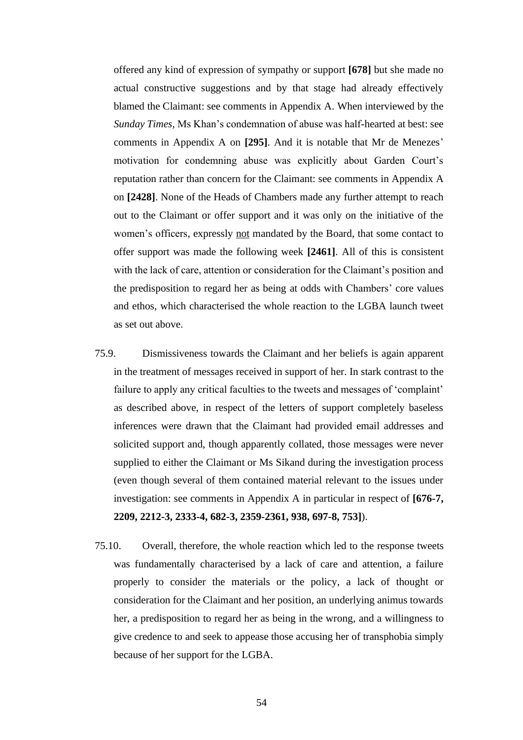offered any kind of expression of sympathy or support **[678]** but she made no actual constructive suggestions and by that stage had already effectively blamed the Claimant: see comments in Appendix A. When interviewed by the *Sunday Times,* Ms Khan's condemnation of abuse was half-hearted at best: see comments in Appendix A on **[295]**. And it is notable that Mr de Menezes' motivation for condemning abuse was explicitly about Garden Court's reputation rather than concern for the Claimant: see comments in Appendix A on **[2428]**. None of the Heads of Chambers made any further attempt to reach out to the Claimant or offer support and it was only on the initiative of the women's officers, expressly not mandated by the Board, that some contact to offer support was made the following week **[2461]**. All of this is consistent with the lack of care, attention or consideration for the Claimant's position and the predisposition to regard her as being at odds with Chambers' core values and ethos, which characterised the whole reaction to the LGBA launch tweet as set out above.

- 75.9. Dismissiveness towards the Claimant and her beliefs is again apparent in the treatment of messages received in support of her. In stark contrast to the failure to apply any critical faculties to the tweets and messages of 'complaint' as described above, in respect of the letters of support completely baseless inferences were drawn that the Claimant had provided email addresses and solicited support and, though apparently collated, those messages were never supplied to either the Claimant or Ms Sikand during the investigation process (even though several of them contained material relevant to the issues under investigation: see comments in Appendix A in particular in respect of **[676-7, 2209, 2212-3, 2333-4, 682-3, 2359-2361, 938, 697-8, 753]**).
- 75.10. Overall, therefore, the whole reaction which led to the response tweets was fundamentally characterised by a lack of care and attention, a failure properly to consider the materials or the policy, a lack of thought or consideration for the Claimant and her position, an underlying animus towards her, a predisposition to regard her as being in the wrong, and a willingness to give credence to and seek to appease those accusing her of transphobia simply because of her support for the LGBA.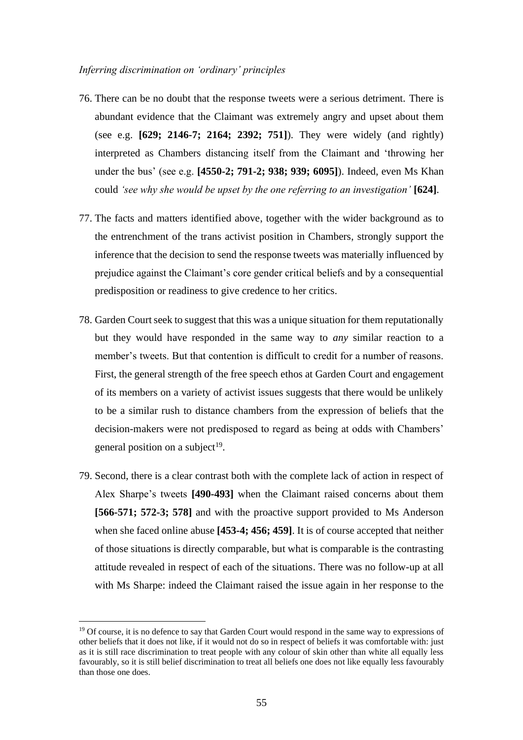#### *Inferring discrimination on 'ordinary' principles*

- 76. There can be no doubt that the response tweets were a serious detriment. There is abundant evidence that the Claimant was extremely angry and upset about them (see e.g. **[629; 2146-7; 2164; 2392; 751]**). They were widely (and rightly) interpreted as Chambers distancing itself from the Claimant and 'throwing her under the bus' (see e.g. **[4550-2; 791-2; 938; 939; 6095]**). Indeed, even Ms Khan could *'see why she would be upset by the one referring to an investigation'* **[624]**.
- 77. The facts and matters identified above, together with the wider background as to the entrenchment of the trans activist position in Chambers, strongly support the inference that the decision to send the response tweets was materially influenced by prejudice against the Claimant's core gender critical beliefs and by a consequential predisposition or readiness to give credence to her critics.
- 78. Garden Court seek to suggest that this was a unique situation for them reputationally but they would have responded in the same way to *any* similar reaction to a member's tweets. But that contention is difficult to credit for a number of reasons. First, the general strength of the free speech ethos at Garden Court and engagement of its members on a variety of activist issues suggests that there would be unlikely to be a similar rush to distance chambers from the expression of beliefs that the decision-makers were not predisposed to regard as being at odds with Chambers' general position on a subject<sup>19</sup>.
- 79. Second, there is a clear contrast both with the complete lack of action in respect of Alex Sharpe's tweets **[490-493]** when the Claimant raised concerns about them **[566-571; 572-3; 578]** and with the proactive support provided to Ms Anderson when she faced online abuse **[453-4; 456; 459]**. It is of course accepted that neither of those situations is directly comparable, but what is comparable is the contrasting attitude revealed in respect of each of the situations. There was no follow-up at all with Ms Sharpe: indeed the Claimant raised the issue again in her response to the

<sup>&</sup>lt;sup>19</sup> Of course, it is no defence to say that Garden Court would respond in the same way to expressions of other beliefs that it does not like, if it would not do so in respect of beliefs it was comfortable with: just as it is still race discrimination to treat people with any colour of skin other than white all equally less favourably, so it is still belief discrimination to treat all beliefs one does not like equally less favourably than those one does.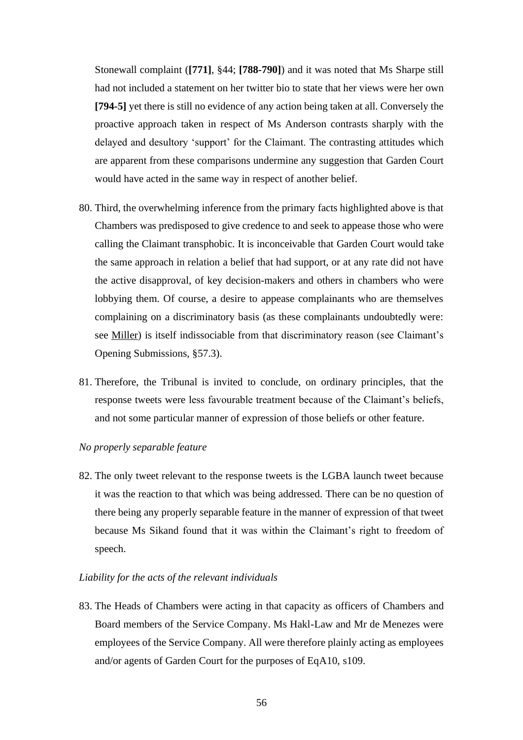Stonewall complaint (**[771]**, §44; **[788-790]**) and it was noted that Ms Sharpe still had not included a statement on her twitter bio to state that her views were her own **[794-5]** yet there is still no evidence of any action being taken at all. Conversely the proactive approach taken in respect of Ms Anderson contrasts sharply with the delayed and desultory 'support' for the Claimant. The contrasting attitudes which are apparent from these comparisons undermine any suggestion that Garden Court would have acted in the same way in respect of another belief.

- 80. Third, the overwhelming inference from the primary facts highlighted above is that Chambers was predisposed to give credence to and seek to appease those who were calling the Claimant transphobic. It is inconceivable that Garden Court would take the same approach in relation a belief that had support, or at any rate did not have the active disapproval, of key decision-makers and others in chambers who were lobbying them. Of course, a desire to appease complainants who are themselves complaining on a discriminatory basis (as these complainants undoubtedly were: see Miller) is itself indissociable from that discriminatory reason (see Claimant's Opening Submissions, §57.3).
- 81. Therefore, the Tribunal is invited to conclude, on ordinary principles, that the response tweets were less favourable treatment because of the Claimant's beliefs, and not some particular manner of expression of those beliefs or other feature.

# *No properly separable feature*

82. The only tweet relevant to the response tweets is the LGBA launch tweet because it was the reaction to that which was being addressed. There can be no question of there being any properly separable feature in the manner of expression of that tweet because Ms Sikand found that it was within the Claimant's right to freedom of speech.

# *Liability for the acts of the relevant individuals*

83. The Heads of Chambers were acting in that capacity as officers of Chambers and Board members of the Service Company. Ms Hakl-Law and Mr de Menezes were employees of the Service Company. All were therefore plainly acting as employees and/or agents of Garden Court for the purposes of EqA10, s109.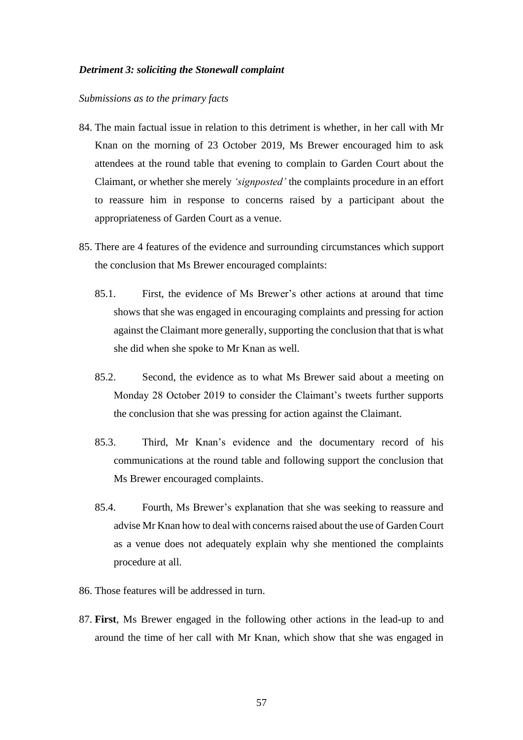#### *Detriment 3: soliciting the Stonewall complaint*

#### *Submissions as to the primary facts*

- 84. The main factual issue in relation to this detriment is whether, in her call with Mr Knan on the morning of 23 October 2019, Ms Brewer encouraged him to ask attendees at the round table that evening to complain to Garden Court about the Claimant, or whether she merely *'signposted'* the complaints procedure in an effort to reassure him in response to concerns raised by a participant about the appropriateness of Garden Court as a venue.
- 85. There are 4 features of the evidence and surrounding circumstances which support the conclusion that Ms Brewer encouraged complaints:
	- 85.1. First, the evidence of Ms Brewer's other actions at around that time shows that she was engaged in encouraging complaints and pressing for action against the Claimant more generally, supporting the conclusion that that is what she did when she spoke to Mr Knan as well.
	- 85.2. Second, the evidence as to what Ms Brewer said about a meeting on Monday 28 October 2019 to consider the Claimant's tweets further supports the conclusion that she was pressing for action against the Claimant.
	- 85.3. Third, Mr Knan's evidence and the documentary record of his communications at the round table and following support the conclusion that Ms Brewer encouraged complaints.
	- 85.4. Fourth, Ms Brewer's explanation that she was seeking to reassure and advise Mr Knan how to deal with concerns raised about the use of Garden Court as a venue does not adequately explain why she mentioned the complaints procedure at all.
- 86. Those features will be addressed in turn.
- 87. **First**, Ms Brewer engaged in the following other actions in the lead-up to and around the time of her call with Mr Knan, which show that she was engaged in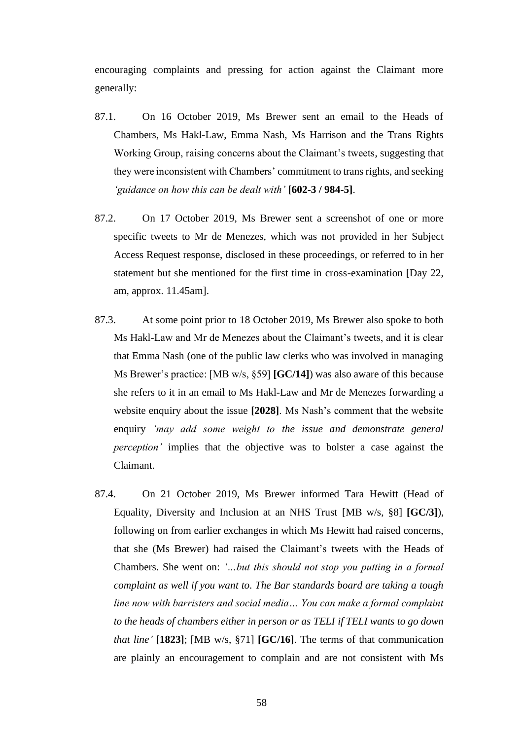encouraging complaints and pressing for action against the Claimant more generally:

- 87.1. On 16 October 2019, Ms Brewer sent an email to the Heads of Chambers, Ms Hakl-Law, Emma Nash, Ms Harrison and the Trans Rights Working Group, raising concerns about the Claimant's tweets, suggesting that they were inconsistent with Chambers' commitment to trans rights, and seeking *'guidance on how this can be dealt with'* **[602-3 / 984-5]**.
- 87.2. On 17 October 2019, Ms Brewer sent a screenshot of one or more specific tweets to Mr de Menezes, which was not provided in her Subject Access Request response, disclosed in these proceedings, or referred to in her statement but she mentioned for the first time in cross-examination [Day 22, am, approx. 11.45am].
- 87.3. At some point prior to 18 October 2019, Ms Brewer also spoke to both Ms Hakl-Law and Mr de Menezes about the Claimant's tweets, and it is clear that Emma Nash (one of the public law clerks who was involved in managing Ms Brewer's practice: [MB w/s, §59] **[GC/14]**) was also aware of this because she refers to it in an email to Ms Hakl-Law and Mr de Menezes forwarding a website enquiry about the issue **[2028]**. Ms Nash's comment that the website enquiry *'may add some weight to the issue and demonstrate general perception'* implies that the objective was to bolster a case against the Claimant.
- 87.4. On 21 October 2019, Ms Brewer informed Tara Hewitt (Head of Equality, Diversity and Inclusion at an NHS Trust [MB w/s, §8] **[GC/3]**), following on from earlier exchanges in which Ms Hewitt had raised concerns, that she (Ms Brewer) had raised the Claimant's tweets with the Heads of Chambers. She went on: *'…but this should not stop you putting in a formal complaint as well if you want to. The Bar standards board are taking a tough line now with barristers and social media… You can make a formal complaint to the heads of chambers either in person or as TELI if TELI wants to go down that line'* **[1823]**; [MB w/s, §71] **[GC/16]**. The terms of that communication are plainly an encouragement to complain and are not consistent with Ms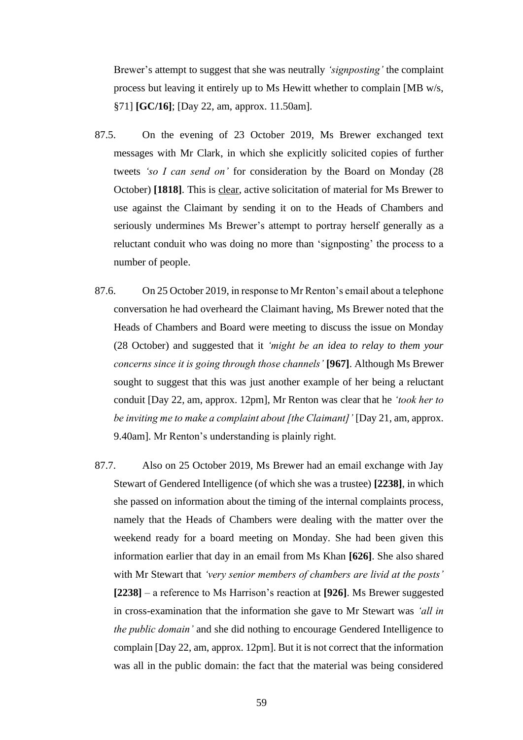Brewer's attempt to suggest that she was neutrally *'signposting'* the complaint process but leaving it entirely up to Ms Hewitt whether to complain [MB w/s, §71] **[GC/16]**; [Day 22, am, approx. 11.50am].

- 87.5. On the evening of 23 October 2019, Ms Brewer exchanged text messages with Mr Clark, in which she explicitly solicited copies of further tweets *'so I can send on'* for consideration by the Board on Monday (28 October) **[1818]**. This is clear, active solicitation of material for Ms Brewer to use against the Claimant by sending it on to the Heads of Chambers and seriously undermines Ms Brewer's attempt to portray herself generally as a reluctant conduit who was doing no more than 'signposting' the process to a number of people.
- 87.6. On 25 October 2019, in response to Mr Renton's email about a telephone conversation he had overheard the Claimant having, Ms Brewer noted that the Heads of Chambers and Board were meeting to discuss the issue on Monday (28 October) and suggested that it *'might be an idea to relay to them your concerns since it is going through those channels'* **[967]**. Although Ms Brewer sought to suggest that this was just another example of her being a reluctant conduit [Day 22, am, approx. 12pm], Mr Renton was clear that he *'took her to be inviting me to make a complaint about [the Claimant]'* [Day 21, am, approx. 9.40am]. Mr Renton's understanding is plainly right.
- 87.7. Also on 25 October 2019, Ms Brewer had an email exchange with Jay Stewart of Gendered Intelligence (of which she was a trustee) **[2238]**, in which she passed on information about the timing of the internal complaints process, namely that the Heads of Chambers were dealing with the matter over the weekend ready for a board meeting on Monday. She had been given this information earlier that day in an email from Ms Khan **[626]**. She also shared with Mr Stewart that *'very senior members of chambers are livid at the posts'* **[2238]** – a reference to Ms Harrison's reaction at **[926]**. Ms Brewer suggested in cross-examination that the information she gave to Mr Stewart was *'all in the public domain'* and she did nothing to encourage Gendered Intelligence to complain [Day 22, am, approx. 12pm]. But it is not correct that the information was all in the public domain: the fact that the material was being considered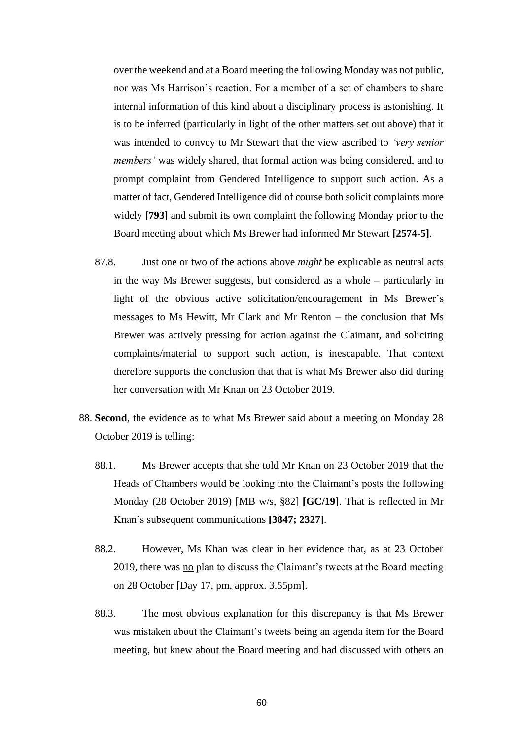over the weekend and at a Board meeting the following Monday was not public, nor was Ms Harrison's reaction. For a member of a set of chambers to share internal information of this kind about a disciplinary process is astonishing. It is to be inferred (particularly in light of the other matters set out above) that it was intended to convey to Mr Stewart that the view ascribed to *'very senior members'* was widely shared, that formal action was being considered, and to prompt complaint from Gendered Intelligence to support such action. As a matter of fact, Gendered Intelligence did of course both solicit complaints more widely **[793]** and submit its own complaint the following Monday prior to the Board meeting about which Ms Brewer had informed Mr Stewart **[2574-5]**.

- 87.8. Just one or two of the actions above *might* be explicable as neutral acts in the way Ms Brewer suggests, but considered as a whole – particularly in light of the obvious active solicitation/encouragement in Ms Brewer's messages to Ms Hewitt, Mr Clark and Mr Renton – the conclusion that Ms Brewer was actively pressing for action against the Claimant, and soliciting complaints/material to support such action, is inescapable. That context therefore supports the conclusion that that is what Ms Brewer also did during her conversation with Mr Knan on 23 October 2019.
- 88. **Second**, the evidence as to what Ms Brewer said about a meeting on Monday 28 October 2019 is telling:
	- 88.1. Ms Brewer accepts that she told Mr Knan on 23 October 2019 that the Heads of Chambers would be looking into the Claimant's posts the following Monday (28 October 2019) [MB w/s, §82] **[GC/19]**. That is reflected in Mr Knan's subsequent communications **[3847; 2327]**.
	- 88.2. However, Ms Khan was clear in her evidence that, as at 23 October 2019, there was no plan to discuss the Claimant's tweets at the Board meeting on 28 October [Day 17, pm, approx. 3.55pm].
	- 88.3. The most obvious explanation for this discrepancy is that Ms Brewer was mistaken about the Claimant's tweets being an agenda item for the Board meeting, but knew about the Board meeting and had discussed with others an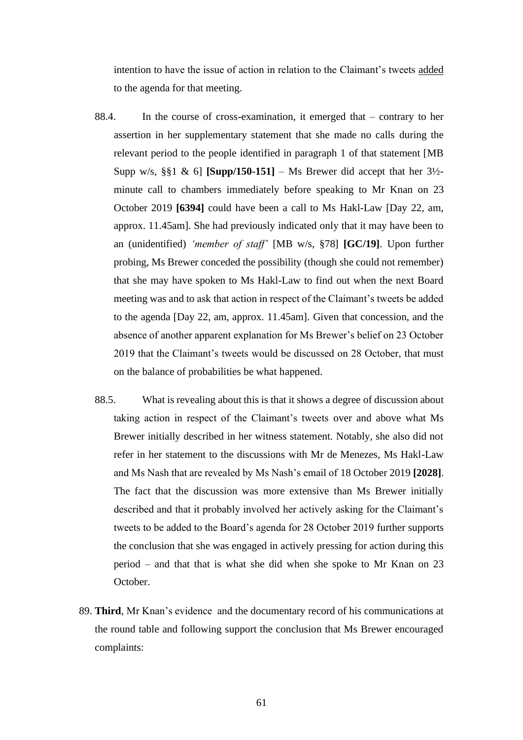intention to have the issue of action in relation to the Claimant's tweets added to the agenda for that meeting.

- 88.4. In the course of cross-examination, it emerged that contrary to her assertion in her supplementary statement that she made no calls during the relevant period to the people identified in paragraph 1 of that statement [MB Supp w/s,  $\S\$ 1 & 6] **[Supp/150-151]** – Ms Brewer did accept that her  $3\frac{1}{2}$ minute call to chambers immediately before speaking to Mr Knan on 23 October 2019 **[6394]** could have been a call to Ms Hakl-Law [Day 22, am, approx. 11.45am]. She had previously indicated only that it may have been to an (unidentified) *'member of staff'* [MB w/s, §78] **[GC/19]**. Upon further probing, Ms Brewer conceded the possibility (though she could not remember) that she may have spoken to Ms Hakl-Law to find out when the next Board meeting was and to ask that action in respect of the Claimant's tweets be added to the agenda [Day 22, am, approx. 11.45am]. Given that concession, and the absence of another apparent explanation for Ms Brewer's belief on 23 October 2019 that the Claimant's tweets would be discussed on 28 October, that must on the balance of probabilities be what happened.
- 88.5. What is revealing about this is that it shows a degree of discussion about taking action in respect of the Claimant's tweets over and above what Ms Brewer initially described in her witness statement. Notably, she also did not refer in her statement to the discussions with Mr de Menezes, Ms Hakl-Law and Ms Nash that are revealed by Ms Nash's email of 18 October 2019 **[2028]**. The fact that the discussion was more extensive than Ms Brewer initially described and that it probably involved her actively asking for the Claimant's tweets to be added to the Board's agenda for 28 October 2019 further supports the conclusion that she was engaged in actively pressing for action during this period – and that that is what she did when she spoke to Mr Knan on 23 October.
- 89. **Third**, Mr Knan's evidence and the documentary record of his communications at the round table and following support the conclusion that Ms Brewer encouraged complaints: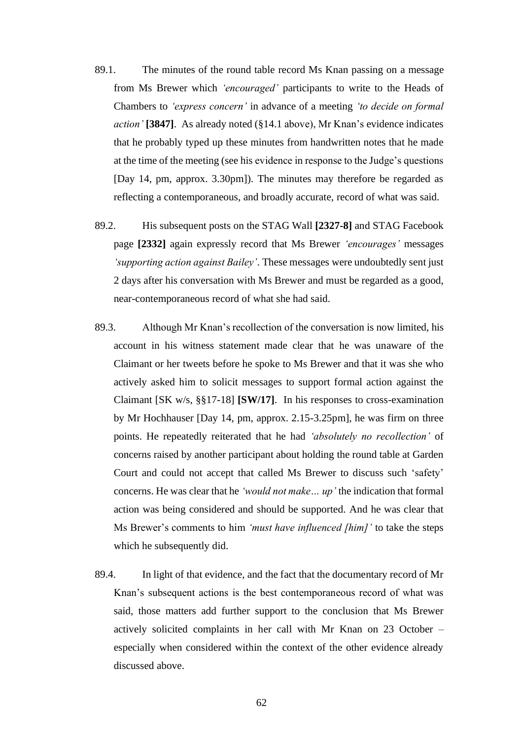- 89.1. The minutes of the round table record Ms Knan passing on a message from Ms Brewer which *'encouraged'* participants to write to the Heads of Chambers to *'express concern'* in advance of a meeting *'to decide on formal action'* **[3847]**. As already noted (§14.1 above), Mr Knan's evidence indicates that he probably typed up these minutes from handwritten notes that he made at the time of the meeting (see his evidence in response to the Judge's questions [Day 14, pm, approx. 3.30pm]). The minutes may therefore be regarded as reflecting a contemporaneous, and broadly accurate, record of what was said.
- 89.2. His subsequent posts on the STAG Wall **[2327-8]** and STAG Facebook page **[2332]** again expressly record that Ms Brewer *'encourages'* messages *'supporting action against Bailey'*. These messages were undoubtedly sent just 2 days after his conversation with Ms Brewer and must be regarded as a good, near-contemporaneous record of what she had said.
- 89.3. Although Mr Knan's recollection of the conversation is now limited, his account in his witness statement made clear that he was unaware of the Claimant or her tweets before he spoke to Ms Brewer and that it was she who actively asked him to solicit messages to support formal action against the Claimant [SK w/s, §§17-18] **[SW/17]**. In his responses to cross-examination by Mr Hochhauser [Day 14, pm, approx. 2.15-3.25pm], he was firm on three points. He repeatedly reiterated that he had *'absolutely no recollection'* of concerns raised by another participant about holding the round table at Garden Court and could not accept that called Ms Brewer to discuss such 'safety' concerns. He was clear that he *'would not make… up'* the indication that formal action was being considered and should be supported. And he was clear that Ms Brewer's comments to him *'must have influenced [him]'* to take the steps which he subsequently did.
- 89.4. In light of that evidence, and the fact that the documentary record of Mr Knan's subsequent actions is the best contemporaneous record of what was said, those matters add further support to the conclusion that Ms Brewer actively solicited complaints in her call with Mr Knan on 23 October – especially when considered within the context of the other evidence already discussed above.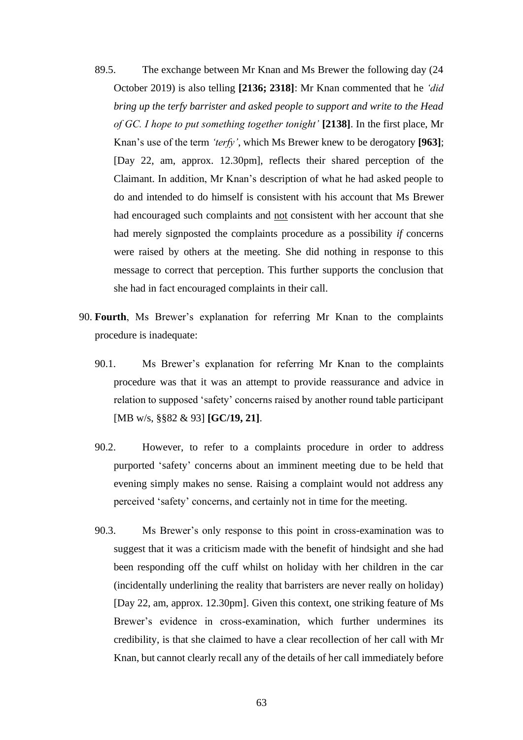- 89.5. The exchange between Mr Knan and Ms Brewer the following day (24 October 2019) is also telling **[2136; 2318]**: Mr Knan commented that he *'did bring up the terfy barrister and asked people to support and write to the Head of GC. I hope to put something together tonight'* **[2138]**. In the first place, Mr Knan's use of the term *'terfy'*, which Ms Brewer knew to be derogatory **[963]**; [Day 22, am, approx. 12.30pm], reflects their shared perception of the Claimant. In addition, Mr Knan's description of what he had asked people to do and intended to do himself is consistent with his account that Ms Brewer had encouraged such complaints and not consistent with her account that she had merely signposted the complaints procedure as a possibility *if* concerns were raised by others at the meeting. She did nothing in response to this message to correct that perception. This further supports the conclusion that she had in fact encouraged complaints in their call.
- 90. **Fourth**, Ms Brewer's explanation for referring Mr Knan to the complaints procedure is inadequate:
	- 90.1. Ms Brewer's explanation for referring Mr Knan to the complaints procedure was that it was an attempt to provide reassurance and advice in relation to supposed 'safety' concerns raised by another round table participant [MB w/s, §§82 & 93] **[GC/19, 21]**.
	- 90.2. However, to refer to a complaints procedure in order to address purported 'safety' concerns about an imminent meeting due to be held that evening simply makes no sense. Raising a complaint would not address any perceived 'safety' concerns, and certainly not in time for the meeting.
	- 90.3. Ms Brewer's only response to this point in cross-examination was to suggest that it was a criticism made with the benefit of hindsight and she had been responding off the cuff whilst on holiday with her children in the car (incidentally underlining the reality that barristers are never really on holiday) [Day 22, am, approx. 12.30pm]. Given this context, one striking feature of Ms Brewer's evidence in cross-examination, which further undermines its credibility, is that she claimed to have a clear recollection of her call with Mr Knan, but cannot clearly recall any of the details of her call immediately before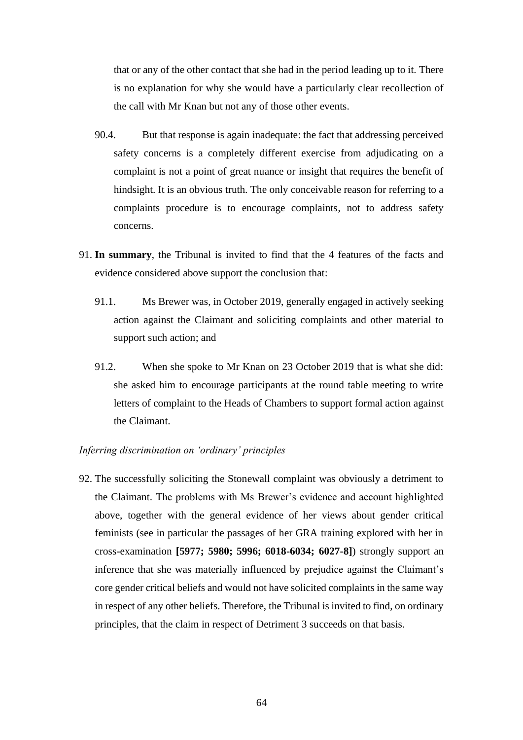that or any of the other contact that she had in the period leading up to it. There is no explanation for why she would have a particularly clear recollection of the call with Mr Knan but not any of those other events.

- 90.4. But that response is again inadequate: the fact that addressing perceived safety concerns is a completely different exercise from adjudicating on a complaint is not a point of great nuance or insight that requires the benefit of hindsight. It is an obvious truth. The only conceivable reason for referring to a complaints procedure is to encourage complaints, not to address safety concerns.
- 91. **In summary**, the Tribunal is invited to find that the 4 features of the facts and evidence considered above support the conclusion that:
	- 91.1. Ms Brewer was, in October 2019, generally engaged in actively seeking action against the Claimant and soliciting complaints and other material to support such action; and
	- 91.2. When she spoke to Mr Knan on 23 October 2019 that is what she did: she asked him to encourage participants at the round table meeting to write letters of complaint to the Heads of Chambers to support formal action against the Claimant.

# *Inferring discrimination on 'ordinary' principles*

92. The successfully soliciting the Stonewall complaint was obviously a detriment to the Claimant. The problems with Ms Brewer's evidence and account highlighted above, together with the general evidence of her views about gender critical feminists (see in particular the passages of her GRA training explored with her in cross-examination **[5977; 5980; 5996; 6018-6034; 6027-8]**) strongly support an inference that she was materially influenced by prejudice against the Claimant's core gender critical beliefs and would not have solicited complaints in the same way in respect of any other beliefs. Therefore, the Tribunal is invited to find, on ordinary principles, that the claim in respect of Detriment 3 succeeds on that basis.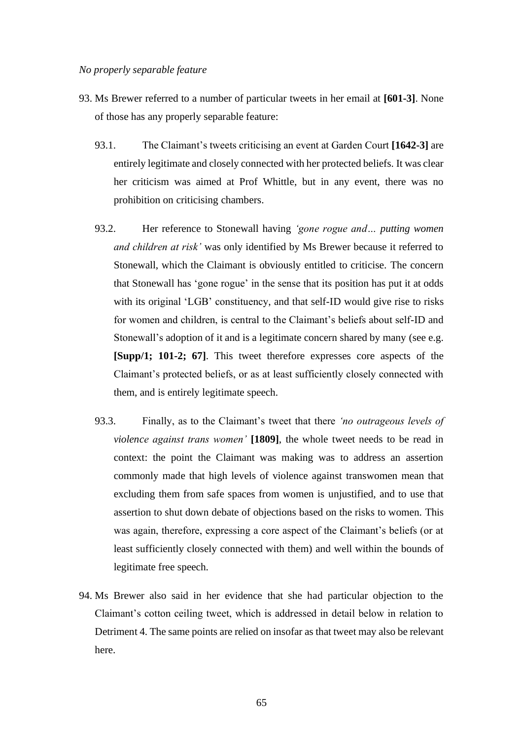- 93. Ms Brewer referred to a number of particular tweets in her email at **[601-3]**. None of those has any properly separable feature:
	- 93.1. The Claimant's tweets criticising an event at Garden Court **[1642-3]** are entirely legitimate and closely connected with her protected beliefs. It was clear her criticism was aimed at Prof Whittle, but in any event, there was no prohibition on criticising chambers.
	- 93.2. Her reference to Stonewall having *'gone rogue and… putting women and children at risk'* was only identified by Ms Brewer because it referred to Stonewall, which the Claimant is obviously entitled to criticise. The concern that Stonewall has 'gone rogue' in the sense that its position has put it at odds with its original 'LGB' constituency, and that self-ID would give rise to risks for women and children, is central to the Claimant's beliefs about self-ID and Stonewall's adoption of it and is a legitimate concern shared by many (see e.g. **[Supp/1; 101-2; 67]**. This tweet therefore expresses core aspects of the Claimant's protected beliefs, or as at least sufficiently closely connected with them, and is entirely legitimate speech.
	- 93.3. Finally, as to the Claimant's tweet that there *'no outrageous levels of violence against trans women'* **[1809]**, the whole tweet needs to be read in context: the point the Claimant was making was to address an assertion commonly made that high levels of violence against transwomen mean that excluding them from safe spaces from women is unjustified, and to use that assertion to shut down debate of objections based on the risks to women. This was again, therefore, expressing a core aspect of the Claimant's beliefs (or at least sufficiently closely connected with them) and well within the bounds of legitimate free speech.
- 94. Ms Brewer also said in her evidence that she had particular objection to the Claimant's cotton ceiling tweet, which is addressed in detail below in relation to Detriment 4. The same points are relied on insofar as that tweet may also be relevant here.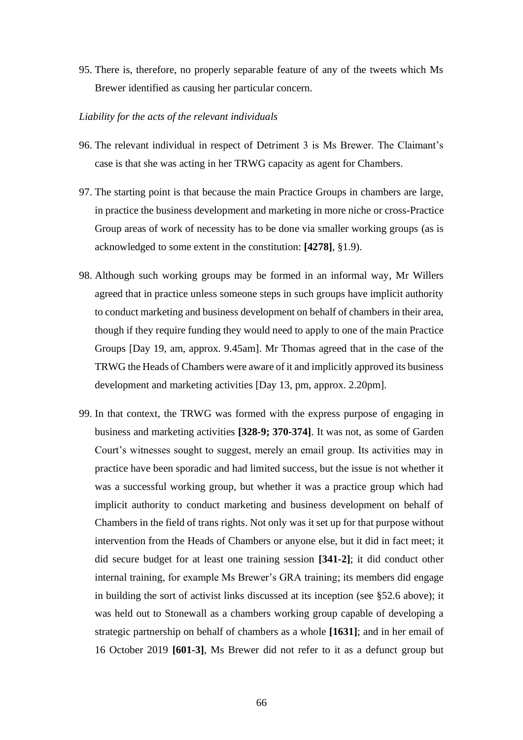95. There is, therefore, no properly separable feature of any of the tweets which Ms Brewer identified as causing her particular concern.

# *Liability for the acts of the relevant individuals*

- 96. The relevant individual in respect of Detriment 3 is Ms Brewer. The Claimant's case is that she was acting in her TRWG capacity as agent for Chambers.
- 97. The starting point is that because the main Practice Groups in chambers are large, in practice the business development and marketing in more niche or cross-Practice Group areas of work of necessity has to be done via smaller working groups (as is acknowledged to some extent in the constitution: **[4278]**, §1.9).
- 98. Although such working groups may be formed in an informal way, Mr Willers agreed that in practice unless someone steps in such groups have implicit authority to conduct marketing and business development on behalf of chambers in their area, though if they require funding they would need to apply to one of the main Practice Groups [Day 19, am, approx. 9.45am]. Mr Thomas agreed that in the case of the TRWG the Heads of Chambers were aware of it and implicitly approved its business development and marketing activities [Day 13, pm, approx. 2.20pm].
- 99. In that context, the TRWG was formed with the express purpose of engaging in business and marketing activities **[328-9; 370-374]**. It was not, as some of Garden Court's witnesses sought to suggest, merely an email group. Its activities may in practice have been sporadic and had limited success, but the issue is not whether it was a successful working group, but whether it was a practice group which had implicit authority to conduct marketing and business development on behalf of Chambers in the field of trans rights. Not only was it set up for that purpose without intervention from the Heads of Chambers or anyone else, but it did in fact meet; it did secure budget for at least one training session **[341-2]**; it did conduct other internal training, for example Ms Brewer's GRA training; its members did engage in building the sort of activist links discussed at its inception (see §52.6 above); it was held out to Stonewall as a chambers working group capable of developing a strategic partnership on behalf of chambers as a whole **[1631]**; and in her email of 16 October 2019 **[601-3]**, Ms Brewer did not refer to it as a defunct group but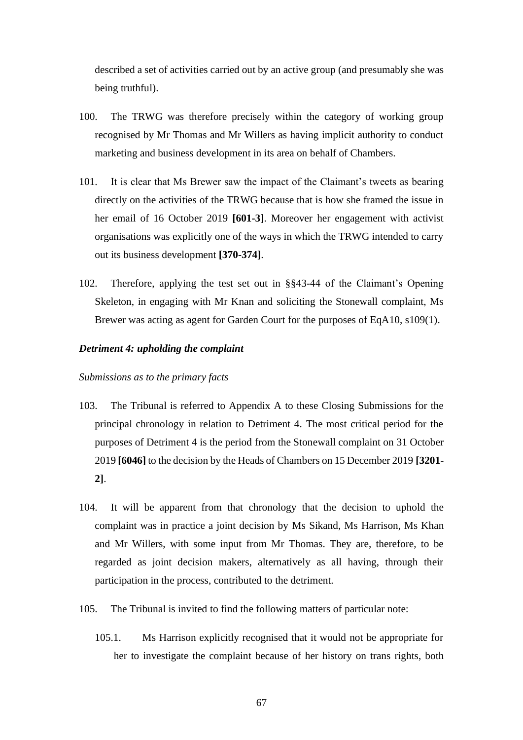described a set of activities carried out by an active group (and presumably she was being truthful).

- 100. The TRWG was therefore precisely within the category of working group recognised by Mr Thomas and Mr Willers as having implicit authority to conduct marketing and business development in its area on behalf of Chambers.
- 101. It is clear that Ms Brewer saw the impact of the Claimant's tweets as bearing directly on the activities of the TRWG because that is how she framed the issue in her email of 16 October 2019 **[601-3]**. Moreover her engagement with activist organisations was explicitly one of the ways in which the TRWG intended to carry out its business development **[370-374]**.
- 102. Therefore, applying the test set out in §§43-44 of the Claimant's Opening Skeleton, in engaging with Mr Knan and soliciting the Stonewall complaint, Ms Brewer was acting as agent for Garden Court for the purposes of EqA10, s109(1).

# *Detriment 4: upholding the complaint*

#### *Submissions as to the primary facts*

- 103. The Tribunal is referred to Appendix A to these Closing Submissions for the principal chronology in relation to Detriment 4. The most critical period for the purposes of Detriment 4 is the period from the Stonewall complaint on 31 October 2019 **[6046]** to the decision by the Heads of Chambers on 15 December 2019 **[3201- 2]**.
- 104. It will be apparent from that chronology that the decision to uphold the complaint was in practice a joint decision by Ms Sikand, Ms Harrison, Ms Khan and Mr Willers, with some input from Mr Thomas. They are, therefore, to be regarded as joint decision makers, alternatively as all having, through their participation in the process, contributed to the detriment.
- 105. The Tribunal is invited to find the following matters of particular note:
	- 105.1. Ms Harrison explicitly recognised that it would not be appropriate for her to investigate the complaint because of her history on trans rights, both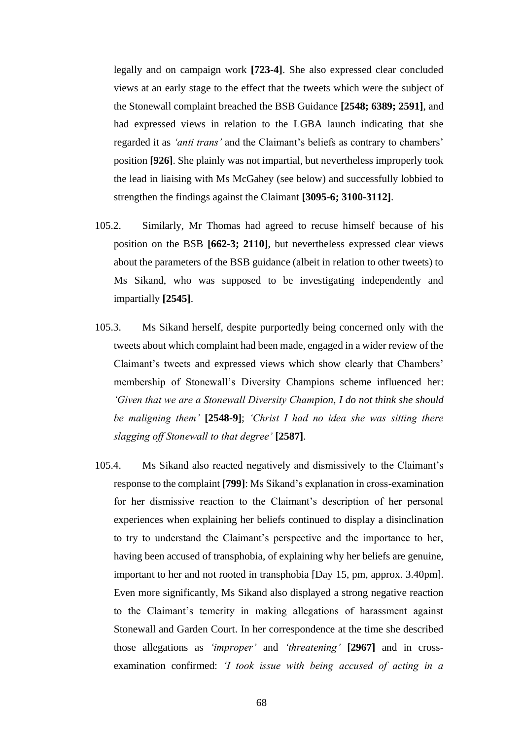legally and on campaign work **[723-4]**. She also expressed clear concluded views at an early stage to the effect that the tweets which were the subject of the Stonewall complaint breached the BSB Guidance **[2548; 6389; 2591]**, and had expressed views in relation to the LGBA launch indicating that she regarded it as *'anti trans'* and the Claimant's beliefs as contrary to chambers' position **[926]**. She plainly was not impartial, but nevertheless improperly took the lead in liaising with Ms McGahey (see below) and successfully lobbied to strengthen the findings against the Claimant **[3095-6; 3100-3112]**.

- 105.2. Similarly, Mr Thomas had agreed to recuse himself because of his position on the BSB **[662-3; 2110]**, but nevertheless expressed clear views about the parameters of the BSB guidance (albeit in relation to other tweets) to Ms Sikand, who was supposed to be investigating independently and impartially **[2545]**.
- 105.3. Ms Sikand herself, despite purportedly being concerned only with the tweets about which complaint had been made, engaged in a wider review of the Claimant's tweets and expressed views which show clearly that Chambers' membership of Stonewall's Diversity Champions scheme influenced her: *'Given that we are a Stonewall Diversity Champion, I do not think she should be maligning them'* **[2548-9]**; *'Christ I had no idea she was sitting there slagging off Stonewall to that degree'* **[2587]**.
- 105.4. Ms Sikand also reacted negatively and dismissively to the Claimant's response to the complaint **[799]**: Ms Sikand's explanation in cross-examination for her dismissive reaction to the Claimant's description of her personal experiences when explaining her beliefs continued to display a disinclination to try to understand the Claimant's perspective and the importance to her, having been accused of transphobia, of explaining why her beliefs are genuine, important to her and not rooted in transphobia [Day 15, pm, approx. 3.40pm]. Even more significantly, Ms Sikand also displayed a strong negative reaction to the Claimant's temerity in making allegations of harassment against Stonewall and Garden Court. In her correspondence at the time she described those allegations as *'improper'* and *'threatening'* **[2967]** and in crossexamination confirmed: *'I took issue with being accused of acting in a*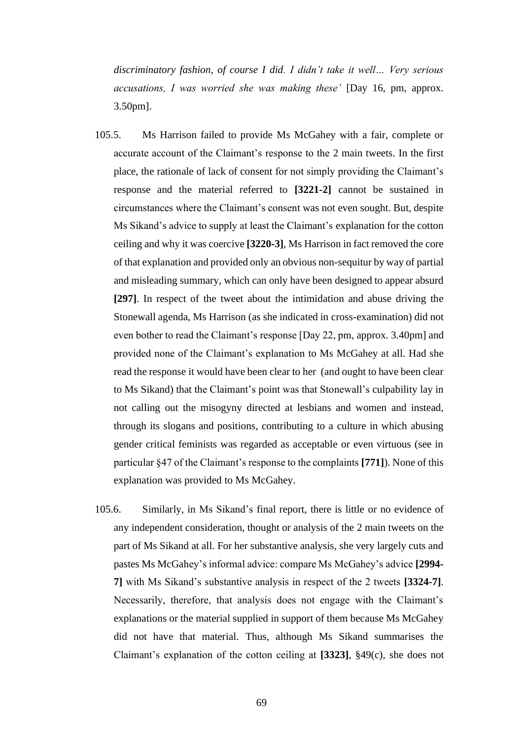*discriminatory fashion, of course I did. I didn't take it well… Very serious accusations, I was worried she was making these'* [Day 16, pm, approx. 3.50pm].

- 105.5. Ms Harrison failed to provide Ms McGahey with a fair, complete or accurate account of the Claimant's response to the 2 main tweets. In the first place, the rationale of lack of consent for not simply providing the Claimant's response and the material referred to **[3221-2]** cannot be sustained in circumstances where the Claimant's consent was not even sought. But, despite Ms Sikand's advice to supply at least the Claimant's explanation for the cotton ceiling and why it was coercive **[3220-3]**, Ms Harrison in fact removed the core of that explanation and provided only an obvious non-sequitur by way of partial and misleading summary, which can only have been designed to appear absurd **[297]**. In respect of the tweet about the intimidation and abuse driving the Stonewall agenda, Ms Harrison (as she indicated in cross-examination) did not even bother to read the Claimant's response [Day 22, pm, approx. 3.40pm] and provided none of the Claimant's explanation to Ms McGahey at all. Had she read the response it would have been clear to her (and ought to have been clear to Ms Sikand) that the Claimant's point was that Stonewall's culpability lay in not calling out the misogyny directed at lesbians and women and instead, through its slogans and positions, contributing to a culture in which abusing gender critical feminists was regarded as acceptable or even virtuous (see in particular §47 of the Claimant's response to the complaints **[771]**). None of this explanation was provided to Ms McGahey.
- 105.6. Similarly, in Ms Sikand's final report, there is little or no evidence of any independent consideration, thought or analysis of the 2 main tweets on the part of Ms Sikand at all. For her substantive analysis, she very largely cuts and pastes Ms McGahey's informal advice: compare Ms McGahey's advice **[2994- 7]** with Ms Sikand's substantive analysis in respect of the 2 tweets **[3324-7]**. Necessarily, therefore, that analysis does not engage with the Claimant's explanations or the material supplied in support of them because Ms McGahey did not have that material. Thus, although Ms Sikand summarises the Claimant's explanation of the cotton ceiling at **[3323]**, §49(c), she does not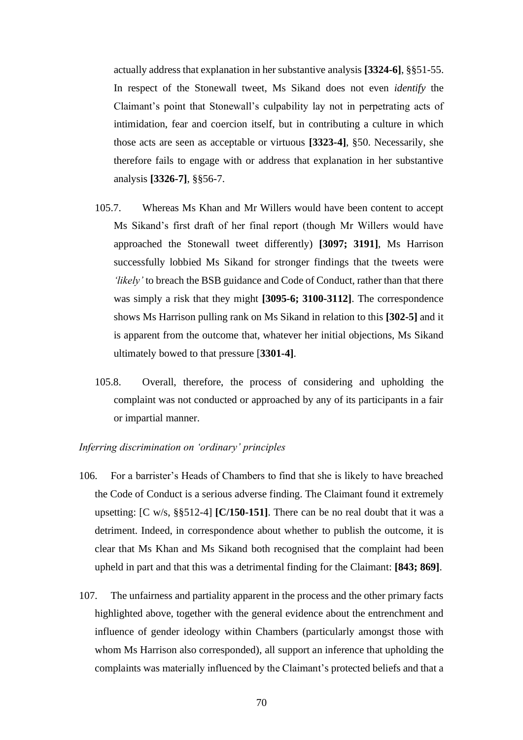actually address that explanation in her substantive analysis **[3324-6]**, §§51-55. In respect of the Stonewall tweet, Ms Sikand does not even *identify* the Claimant's point that Stonewall's culpability lay not in perpetrating acts of intimidation, fear and coercion itself, but in contributing a culture in which those acts are seen as acceptable or virtuous **[3323-4]**, §50. Necessarily, she therefore fails to engage with or address that explanation in her substantive analysis **[3326-7]**, §§56-7.

- 105.7. Whereas Ms Khan and Mr Willers would have been content to accept Ms Sikand's first draft of her final report (though Mr Willers would have approached the Stonewall tweet differently) **[3097; 3191]**, Ms Harrison successfully lobbied Ms Sikand for stronger findings that the tweets were *'likely'* to breach the BSB guidance and Code of Conduct, rather than that there was simply a risk that they might **[3095-6; 3100-3112]**. The correspondence shows Ms Harrison pulling rank on Ms Sikand in relation to this **[302-5]** and it is apparent from the outcome that, whatever her initial objections, Ms Sikand ultimately bowed to that pressure [**3301-4]**.
- 105.8. Overall, therefore, the process of considering and upholding the complaint was not conducted or approached by any of its participants in a fair or impartial manner.

# *Inferring discrimination on 'ordinary' principles*

- 106. For a barrister's Heads of Chambers to find that she is likely to have breached the Code of Conduct is a serious adverse finding. The Claimant found it extremely upsetting: [C w/s, §§512-4] **[C/150-151]**. There can be no real doubt that it was a detriment. Indeed, in correspondence about whether to publish the outcome, it is clear that Ms Khan and Ms Sikand both recognised that the complaint had been upheld in part and that this was a detrimental finding for the Claimant: **[843; 869]**.
- 107. The unfairness and partiality apparent in the process and the other primary facts highlighted above, together with the general evidence about the entrenchment and influence of gender ideology within Chambers (particularly amongst those with whom Ms Harrison also corresponded), all support an inference that upholding the complaints was materially influenced by the Claimant's protected beliefs and that a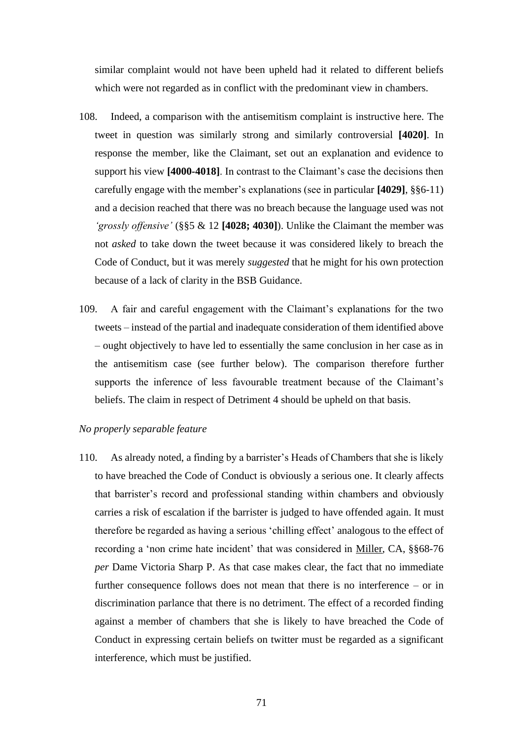similar complaint would not have been upheld had it related to different beliefs which were not regarded as in conflict with the predominant view in chambers.

- 108. Indeed, a comparison with the antisemitism complaint is instructive here. The tweet in question was similarly strong and similarly controversial **[4020]**. In response the member, like the Claimant, set out an explanation and evidence to support his view **[4000-4018]**. In contrast to the Claimant's case the decisions then carefully engage with the member's explanations (see in particular **[4029]**, §§6-11) and a decision reached that there was no breach because the language used was not *'grossly offensive'* (§§5 & 12 **[4028; 4030]**). Unlike the Claimant the member was not *asked* to take down the tweet because it was considered likely to breach the Code of Conduct, but it was merely *suggested* that he might for his own protection because of a lack of clarity in the BSB Guidance.
- 109. A fair and careful engagement with the Claimant's explanations for the two tweets – instead of the partial and inadequate consideration of them identified above – ought objectively to have led to essentially the same conclusion in her case as in the antisemitism case (see further below). The comparison therefore further supports the inference of less favourable treatment because of the Claimant's beliefs. The claim in respect of Detriment 4 should be upheld on that basis.

# *No properly separable feature*

110. As already noted, a finding by a barrister's Heads of Chambers that she is likely to have breached the Code of Conduct is obviously a serious one. It clearly affects that barrister's record and professional standing within chambers and obviously carries a risk of escalation if the barrister is judged to have offended again. It must therefore be regarded as having a serious 'chilling effect' analogous to the effect of recording a 'non crime hate incident' that was considered in Miller, CA, §§68-76 *per* Dame Victoria Sharp P. As that case makes clear, the fact that no immediate further consequence follows does not mean that there is no interference – or in discrimination parlance that there is no detriment. The effect of a recorded finding against a member of chambers that she is likely to have breached the Code of Conduct in expressing certain beliefs on twitter must be regarded as a significant interference, which must be justified.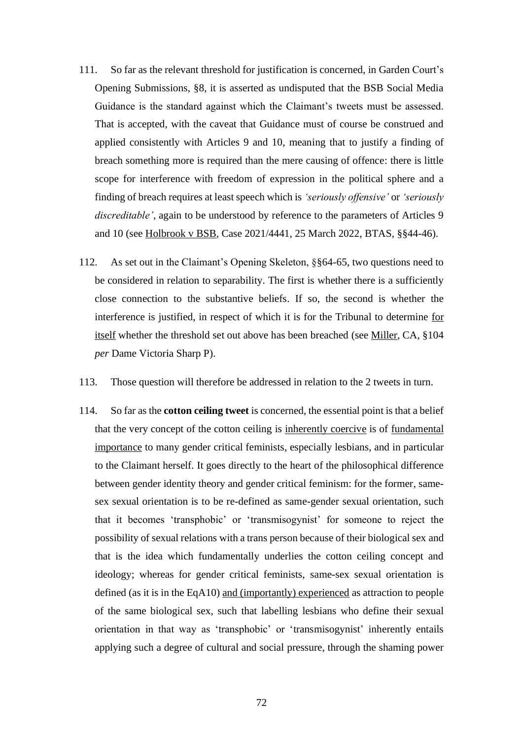- 111. So far as the relevant threshold for justification is concerned, in Garden Court's Opening Submissions, §8, it is asserted as undisputed that the BSB Social Media Guidance is the standard against which the Claimant's tweets must be assessed. That is accepted, with the caveat that Guidance must of course be construed and applied consistently with Articles 9 and 10, meaning that to justify a finding of breach something more is required than the mere causing of offence: there is little scope for interference with freedom of expression in the political sphere and a finding of breach requires at least speech which is *'seriously offensive'* or *'seriously discreditable'*, again to be understood by reference to the parameters of Articles 9 and 10 (see Holbrook v BSB, Case 2021/4441, 25 March 2022, BTAS, §§44-46).
- 112. As set out in the Claimant's Opening Skeleton, §§64-65, two questions need to be considered in relation to separability. The first is whether there is a sufficiently close connection to the substantive beliefs. If so, the second is whether the interference is justified, in respect of which it is for the Tribunal to determine for itself whether the threshold set out above has been breached (see Miller, CA, §104 *per* Dame Victoria Sharp P).
- 113. Those question will therefore be addressed in relation to the 2 tweets in turn.
- 114. So far as the **cotton ceiling tweet** is concerned, the essential point is that a belief that the very concept of the cotton ceiling is inherently coercive is of fundamental importance to many gender critical feminists, especially lesbians, and in particular to the Claimant herself. It goes directly to the heart of the philosophical difference between gender identity theory and gender critical feminism: for the former, samesex sexual orientation is to be re-defined as same-gender sexual orientation, such that it becomes 'transphobic' or 'transmisogynist' for someone to reject the possibility of sexual relations with a trans person because of their biological sex and that is the idea which fundamentally underlies the cotton ceiling concept and ideology; whereas for gender critical feminists, same-sex sexual orientation is defined (as it is in the EqA10) and (importantly) experienced as attraction to people of the same biological sex, such that labelling lesbians who define their sexual orientation in that way as 'transphobic' or 'transmisogynist' inherently entails applying such a degree of cultural and social pressure, through the shaming power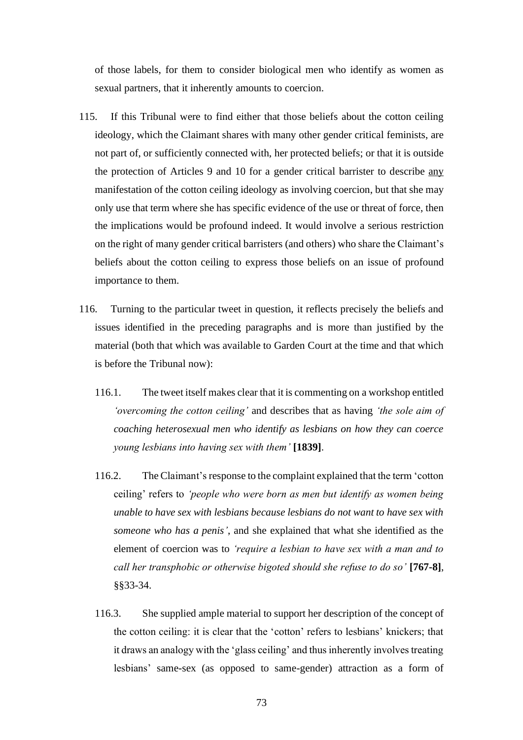of those labels, for them to consider biological men who identify as women as sexual partners, that it inherently amounts to coercion.

- 115. If this Tribunal were to find either that those beliefs about the cotton ceiling ideology, which the Claimant shares with many other gender critical feminists, are not part of, or sufficiently connected with, her protected beliefs; or that it is outside the protection of Articles 9 and 10 for a gender critical barrister to describe any manifestation of the cotton ceiling ideology as involving coercion, but that she may only use that term where she has specific evidence of the use or threat of force, then the implications would be profound indeed. It would involve a serious restriction on the right of many gender critical barristers (and others) who share the Claimant's beliefs about the cotton ceiling to express those beliefs on an issue of profound importance to them.
- 116. Turning to the particular tweet in question, it reflects precisely the beliefs and issues identified in the preceding paragraphs and is more than justified by the material (both that which was available to Garden Court at the time and that which is before the Tribunal now):
	- 116.1. The tweet itself makes clear that it is commenting on a workshop entitled *'overcoming the cotton ceiling'* and describes that as having *'the sole aim of coaching heterosexual men who identify as lesbians on how they can coerce young lesbians into having sex with them'* **[1839]**.
	- 116.2. The Claimant's response to the complaint explained that the term 'cotton ceiling' refers to *'people who were born as men but identify as women being unable to have sex with lesbians because lesbians do not want to have sex with someone who has a penis'*, and she explained that what she identified as the element of coercion was to *'require a lesbian to have sex with a man and to call her transphobic or otherwise bigoted should she refuse to do so'* **[767-8]**, §§33-34.
	- 116.3. She supplied ample material to support her description of the concept of the cotton ceiling: it is clear that the 'cotton' refers to lesbians' knickers; that it draws an analogy with the 'glass ceiling' and thus inherently involves treating lesbians' same-sex (as opposed to same-gender) attraction as a form of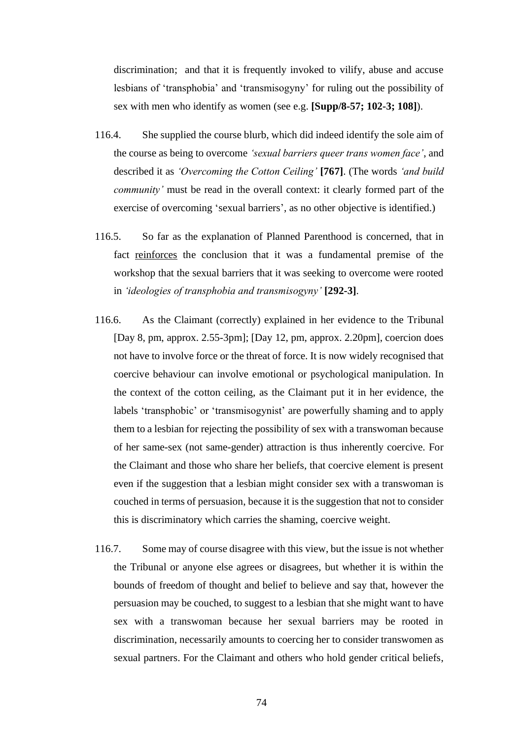discrimination; and that it is frequently invoked to vilify, abuse and accuse lesbians of 'transphobia' and 'transmisogyny' for ruling out the possibility of sex with men who identify as women (see e.g. **[Supp/8-57; 102-3; 108]**).

- 116.4. She supplied the course blurb, which did indeed identify the sole aim of the course as being to overcome *'sexual barriers queer trans women face'*, and described it as *'Overcoming the Cotton Ceiling'* **[767]**. (The words *'and build community'* must be read in the overall context: it clearly formed part of the exercise of overcoming 'sexual barriers', as no other objective is identified.)
- 116.5. So far as the explanation of Planned Parenthood is concerned, that in fact reinforces the conclusion that it was a fundamental premise of the workshop that the sexual barriers that it was seeking to overcome were rooted in *'ideologies of transphobia and transmisogyny'* **[292-3]**.
- 116.6. As the Claimant (correctly) explained in her evidence to the Tribunal [Day 8, pm, approx. 2.55-3pm]; [Day 12, pm, approx. 2.20pm], coercion does not have to involve force or the threat of force. It is now widely recognised that coercive behaviour can involve emotional or psychological manipulation. In the context of the cotton ceiling, as the Claimant put it in her evidence, the labels 'transphobic' or 'transmisogynist' are powerfully shaming and to apply them to a lesbian for rejecting the possibility of sex with a transwoman because of her same-sex (not same-gender) attraction is thus inherently coercive. For the Claimant and those who share her beliefs, that coercive element is present even if the suggestion that a lesbian might consider sex with a transwoman is couched in terms of persuasion, because it is the suggestion that not to consider this is discriminatory which carries the shaming, coercive weight.
- 116.7. Some may of course disagree with this view, but the issue is not whether the Tribunal or anyone else agrees or disagrees, but whether it is within the bounds of freedom of thought and belief to believe and say that, however the persuasion may be couched, to suggest to a lesbian that she might want to have sex with a transwoman because her sexual barriers may be rooted in discrimination, necessarily amounts to coercing her to consider transwomen as sexual partners. For the Claimant and others who hold gender critical beliefs,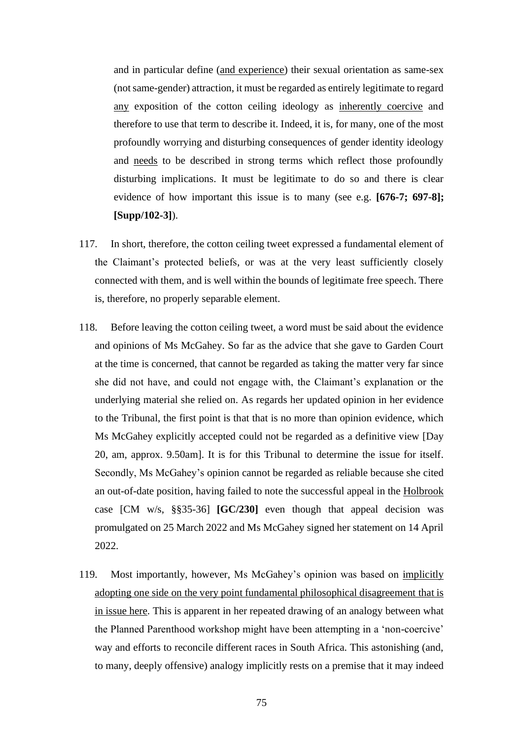and in particular define (and experience) their sexual orientation as same-sex (not same-gender) attraction, it must be regarded as entirely legitimate to regard any exposition of the cotton ceiling ideology as inherently coercive and therefore to use that term to describe it. Indeed, it is, for many, one of the most profoundly worrying and disturbing consequences of gender identity ideology and needs to be described in strong terms which reflect those profoundly disturbing implications. It must be legitimate to do so and there is clear evidence of how important this issue is to many (see e.g. **[676-7; 697-8]; [Supp/102-3]**).

- 117. In short, therefore, the cotton ceiling tweet expressed a fundamental element of the Claimant's protected beliefs, or was at the very least sufficiently closely connected with them, and is well within the bounds of legitimate free speech. There is, therefore, no properly separable element.
- 118. Before leaving the cotton ceiling tweet, a word must be said about the evidence and opinions of Ms McGahey. So far as the advice that she gave to Garden Court at the time is concerned, that cannot be regarded as taking the matter very far since she did not have, and could not engage with, the Claimant's explanation or the underlying material she relied on. As regards her updated opinion in her evidence to the Tribunal, the first point is that that is no more than opinion evidence, which Ms McGahey explicitly accepted could not be regarded as a definitive view [Day 20, am, approx. 9.50am]. It is for this Tribunal to determine the issue for itself. Secondly, Ms McGahey's opinion cannot be regarded as reliable because she cited an out-of-date position, having failed to note the successful appeal in the Holbrook case [CM w/s, §§35-36] **[GC/230]** even though that appeal decision was promulgated on 25 March 2022 and Ms McGahey signed her statement on 14 April 2022.
- 119. Most importantly, however, Ms McGahey's opinion was based on implicitly adopting one side on the very point fundamental philosophical disagreement that is in issue here. This is apparent in her repeated drawing of an analogy between what the Planned Parenthood workshop might have been attempting in a 'non-coercive' way and efforts to reconcile different races in South Africa. This astonishing (and, to many, deeply offensive) analogy implicitly rests on a premise that it may indeed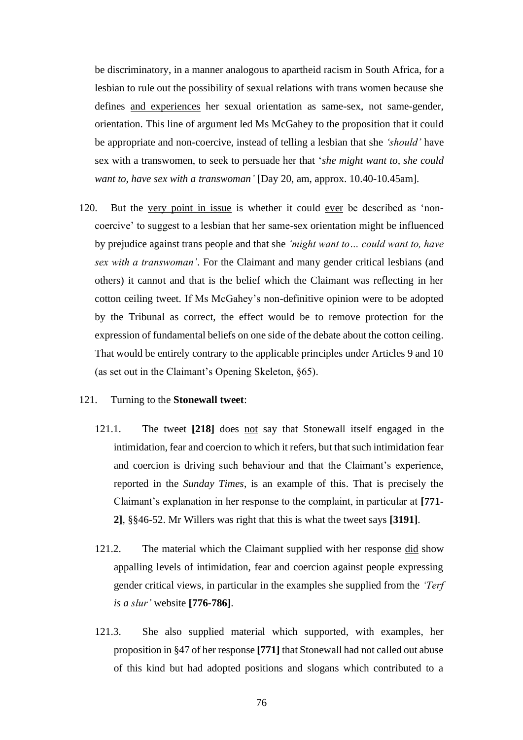be discriminatory, in a manner analogous to apartheid racism in South Africa, for a lesbian to rule out the possibility of sexual relations with trans women because she defines and experiences her sexual orientation as same-sex, not same-gender, orientation. This line of argument led Ms McGahey to the proposition that it could be appropriate and non-coercive, instead of telling a lesbian that she *'should'* have sex with a transwomen, to seek to persuade her that '*she might want to, she could want to, have sex with a transwoman'* [Day 20, am, approx. 10.40-10.45am].

120. But the very point in issue is whether it could ever be described as 'noncoercive' to suggest to a lesbian that her same-sex orientation might be influenced by prejudice against trans people and that she *'might want to… could want to, have sex with a transwoman'*. For the Claimant and many gender critical lesbians (and others) it cannot and that is the belief which the Claimant was reflecting in her cotton ceiling tweet. If Ms McGahey's non-definitive opinion were to be adopted by the Tribunal as correct, the effect would be to remove protection for the expression of fundamental beliefs on one side of the debate about the cotton ceiling. That would be entirely contrary to the applicable principles under Articles 9 and 10 (as set out in the Claimant's Opening Skeleton, §65).

#### 121. Turning to the **Stonewall tweet**:

- 121.1. The tweet **[218]** does not say that Stonewall itself engaged in the intimidation, fear and coercion to which it refers, but that such intimidation fear and coercion is driving such behaviour and that the Claimant's experience, reported in the *Sunday Times*, is an example of this. That is precisely the Claimant's explanation in her response to the complaint, in particular at **[771- 2]**, §§46-52. Mr Willers was right that this is what the tweet says **[3191]**.
- 121.2. The material which the Claimant supplied with her response did show appalling levels of intimidation, fear and coercion against people expressing gender critical views, in particular in the examples she supplied from the *'Terf is a slur'* website **[776-786]**.
- 121.3. She also supplied material which supported, with examples, her proposition in §47 of her response **[771]** that Stonewall had not called out abuse of this kind but had adopted positions and slogans which contributed to a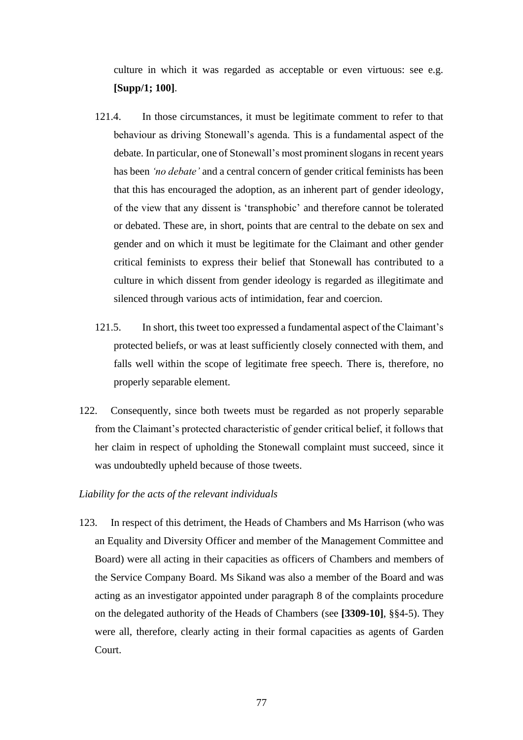culture in which it was regarded as acceptable or even virtuous: see e.g. **[Supp/1; 100]**.

- 121.4. In those circumstances, it must be legitimate comment to refer to that behaviour as driving Stonewall's agenda. This is a fundamental aspect of the debate. In particular, one of Stonewall's most prominent slogans in recent years has been *'no debate'* and a central concern of gender critical feminists has been that this has encouraged the adoption, as an inherent part of gender ideology, of the view that any dissent is 'transphobic' and therefore cannot be tolerated or debated. These are, in short, points that are central to the debate on sex and gender and on which it must be legitimate for the Claimant and other gender critical feminists to express their belief that Stonewall has contributed to a culture in which dissent from gender ideology is regarded as illegitimate and silenced through various acts of intimidation, fear and coercion.
- 121.5. In short, this tweet too expressed a fundamental aspect of the Claimant's protected beliefs, or was at least sufficiently closely connected with them, and falls well within the scope of legitimate free speech. There is, therefore, no properly separable element.
- 122. Consequently, since both tweets must be regarded as not properly separable from the Claimant's protected characteristic of gender critical belief, it follows that her claim in respect of upholding the Stonewall complaint must succeed, since it was undoubtedly upheld because of those tweets.

# *Liability for the acts of the relevant individuals*

123. In respect of this detriment, the Heads of Chambers and Ms Harrison (who was an Equality and Diversity Officer and member of the Management Committee and Board) were all acting in their capacities as officers of Chambers and members of the Service Company Board. Ms Sikand was also a member of the Board and was acting as an investigator appointed under paragraph 8 of the complaints procedure on the delegated authority of the Heads of Chambers (see **[3309-10]**, §§4-5). They were all, therefore, clearly acting in their formal capacities as agents of Garden Court.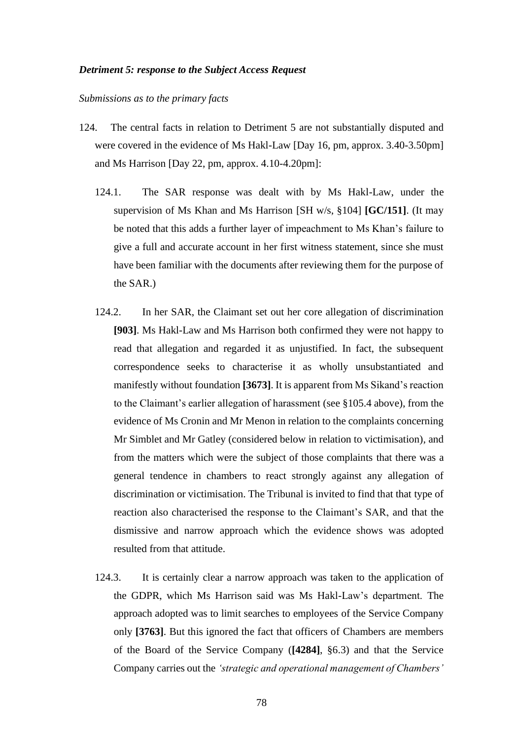#### *Detriment 5: response to the Subject Access Request*

#### *Submissions as to the primary facts*

- 124. The central facts in relation to Detriment 5 are not substantially disputed and were covered in the evidence of Ms Hakl-Law [Day 16, pm, approx. 3.40-3.50pm] and Ms Harrison [Day 22, pm, approx. 4.10-4.20pm]:
	- 124.1. The SAR response was dealt with by Ms Hakl-Law, under the supervision of Ms Khan and Ms Harrison [SH w/s, §104] **[GC/151]**. (It may be noted that this adds a further layer of impeachment to Ms Khan's failure to give a full and accurate account in her first witness statement, since she must have been familiar with the documents after reviewing them for the purpose of the SAR.)
	- 124.2. In her SAR, the Claimant set out her core allegation of discrimination **[903]**. Ms Hakl-Law and Ms Harrison both confirmed they were not happy to read that allegation and regarded it as unjustified. In fact, the subsequent correspondence seeks to characterise it as wholly unsubstantiated and manifestly without foundation **[3673]**. It is apparent from Ms Sikand's reaction to the Claimant's earlier allegation of harassment (see §105.4 above), from the evidence of Ms Cronin and Mr Menon in relation to the complaints concerning Mr Simblet and Mr Gatley (considered below in relation to victimisation), and from the matters which were the subject of those complaints that there was a general tendence in chambers to react strongly against any allegation of discrimination or victimisation. The Tribunal is invited to find that that type of reaction also characterised the response to the Claimant's SAR, and that the dismissive and narrow approach which the evidence shows was adopted resulted from that attitude.
	- 124.3. It is certainly clear a narrow approach was taken to the application of the GDPR, which Ms Harrison said was Ms Hakl-Law's department. The approach adopted was to limit searches to employees of the Service Company only **[3763]**. But this ignored the fact that officers of Chambers are members of the Board of the Service Company (**[4284]**, §6.3) and that the Service Company carries out the *'strategic and operational management of Chambers'*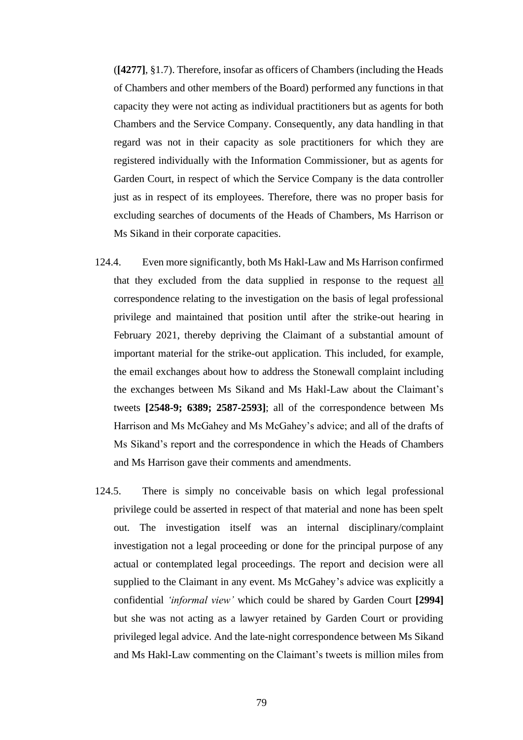(**[4277]**, §1.7). Therefore, insofar as officers of Chambers (including the Heads of Chambers and other members of the Board) performed any functions in that capacity they were not acting as individual practitioners but as agents for both Chambers and the Service Company. Consequently, any data handling in that regard was not in their capacity as sole practitioners for which they are registered individually with the Information Commissioner, but as agents for Garden Court, in respect of which the Service Company is the data controller just as in respect of its employees. Therefore, there was no proper basis for excluding searches of documents of the Heads of Chambers, Ms Harrison or Ms Sikand in their corporate capacities.

- 124.4. Even more significantly, both Ms Hakl-Law and Ms Harrison confirmed that they excluded from the data supplied in response to the request all correspondence relating to the investigation on the basis of legal professional privilege and maintained that position until after the strike-out hearing in February 2021, thereby depriving the Claimant of a substantial amount of important material for the strike-out application. This included, for example, the email exchanges about how to address the Stonewall complaint including the exchanges between Ms Sikand and Ms Hakl-Law about the Claimant's tweets **[2548-9; 6389; 2587-2593]**; all of the correspondence between Ms Harrison and Ms McGahey and Ms McGahey's advice; and all of the drafts of Ms Sikand's report and the correspondence in which the Heads of Chambers and Ms Harrison gave their comments and amendments.
- 124.5. There is simply no conceivable basis on which legal professional privilege could be asserted in respect of that material and none has been spelt out. The investigation itself was an internal disciplinary/complaint investigation not a legal proceeding or done for the principal purpose of any actual or contemplated legal proceedings. The report and decision were all supplied to the Claimant in any event. Ms McGahey's advice was explicitly a confidential *'informal view'* which could be shared by Garden Court **[2994]**  but she was not acting as a lawyer retained by Garden Court or providing privileged legal advice. And the late-night correspondence between Ms Sikand and Ms Hakl-Law commenting on the Claimant's tweets is million miles from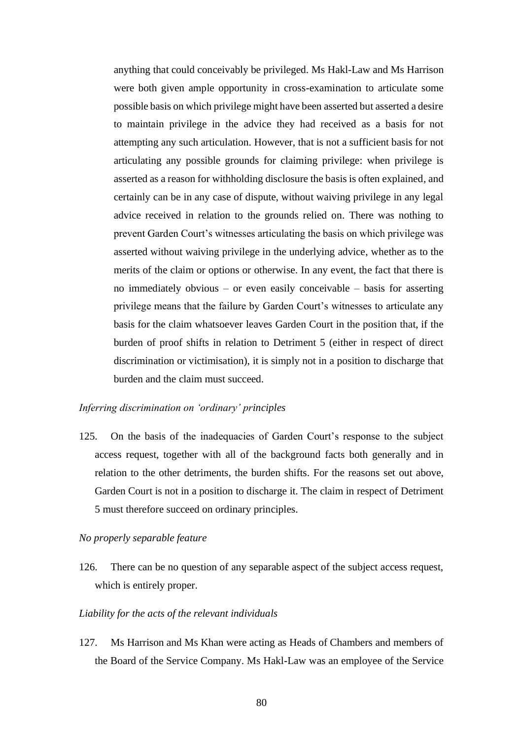anything that could conceivably be privileged. Ms Hakl-Law and Ms Harrison were both given ample opportunity in cross-examination to articulate some possible basis on which privilege might have been asserted but asserted a desire to maintain privilege in the advice they had received as a basis for not attempting any such articulation. However, that is not a sufficient basis for not articulating any possible grounds for claiming privilege: when privilege is asserted as a reason for withholding disclosure the basis is often explained, and certainly can be in any case of dispute, without waiving privilege in any legal advice received in relation to the grounds relied on. There was nothing to prevent Garden Court's witnesses articulating the basis on which privilege was asserted without waiving privilege in the underlying advice, whether as to the merits of the claim or options or otherwise. In any event, the fact that there is no immediately obvious – or even easily conceivable – basis for asserting privilege means that the failure by Garden Court's witnesses to articulate any basis for the claim whatsoever leaves Garden Court in the position that, if the burden of proof shifts in relation to Detriment 5 (either in respect of direct discrimination or victimisation), it is simply not in a position to discharge that burden and the claim must succeed.

# *Inferring discrimination on 'ordinary' principles*

125. On the basis of the inadequacies of Garden Court's response to the subject access request, together with all of the background facts both generally and in relation to the other detriments, the burden shifts. For the reasons set out above, Garden Court is not in a position to discharge it. The claim in respect of Detriment 5 must therefore succeed on ordinary principles.

### *No properly separable feature*

126. There can be no question of any separable aspect of the subject access request, which is entirely proper.

## *Liability for the acts of the relevant individuals*

127. Ms Harrison and Ms Khan were acting as Heads of Chambers and members of the Board of the Service Company. Ms Hakl-Law was an employee of the Service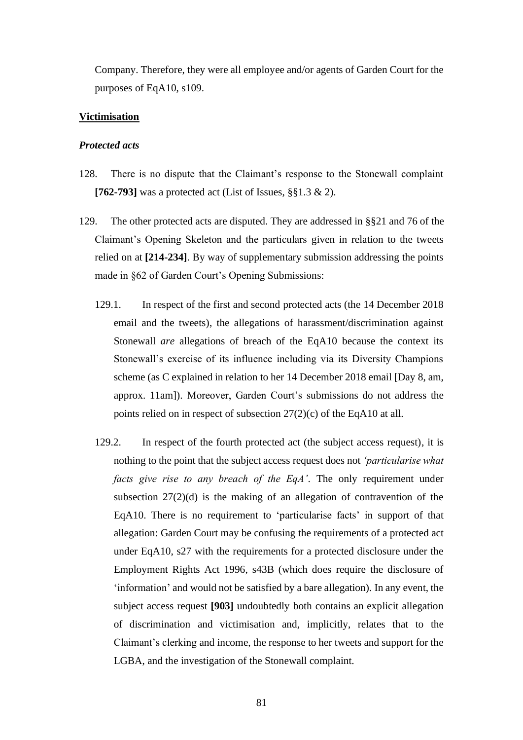Company. Therefore, they were all employee and/or agents of Garden Court for the purposes of EqA10, s109.

# **Victimisation**

#### *Protected acts*

- 128. There is no dispute that the Claimant's response to the Stonewall complaint **[762-793]** was a protected act (List of Issues, §§1.3 & 2).
- 129. The other protected acts are disputed. They are addressed in §§21 and 76 of the Claimant's Opening Skeleton and the particulars given in relation to the tweets relied on at **[214-234]**. By way of supplementary submission addressing the points made in §62 of Garden Court's Opening Submissions:
	- 129.1. In respect of the first and second protected acts (the 14 December 2018 email and the tweets), the allegations of harassment/discrimination against Stonewall *are* allegations of breach of the EqA10 because the context its Stonewall's exercise of its influence including via its Diversity Champions scheme (as C explained in relation to her 14 December 2018 email [Day 8, am, approx. 11am]). Moreover, Garden Court's submissions do not address the points relied on in respect of subsection 27(2)(c) of the EqA10 at all.
	- 129.2. In respect of the fourth protected act (the subject access request), it is nothing to the point that the subject access request does not *'particularise what facts give rise to any breach of the EqA'*. The only requirement under subsection  $27(2)(d)$  is the making of an allegation of contravention of the EqA10. There is no requirement to 'particularise facts' in support of that allegation: Garden Court may be confusing the requirements of a protected act under EqA10, s27 with the requirements for a protected disclosure under the Employment Rights Act 1996, s43B (which does require the disclosure of 'information' and would not be satisfied by a bare allegation). In any event, the subject access request **[903]** undoubtedly both contains an explicit allegation of discrimination and victimisation and, implicitly, relates that to the Claimant's clerking and income, the response to her tweets and support for the LGBA, and the investigation of the Stonewall complaint.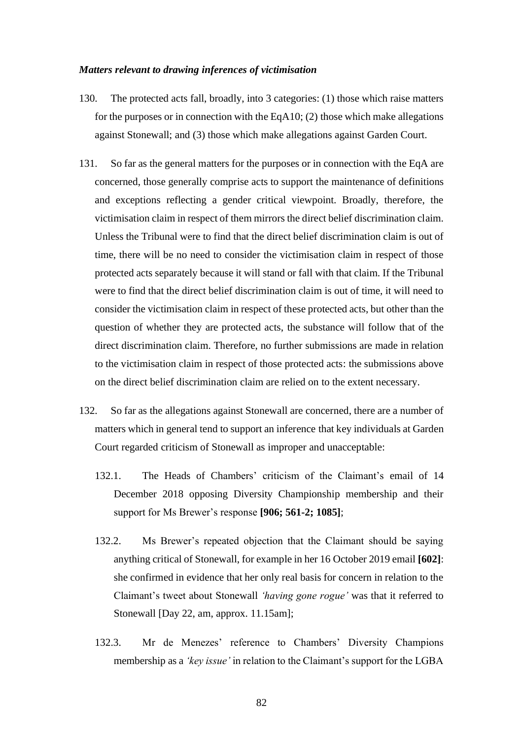#### *Matters relevant to drawing inferences of victimisation*

- 130. The protected acts fall, broadly, into 3 categories: (1) those which raise matters for the purposes or in connection with the EqA10; (2) those which make allegations against Stonewall; and (3) those which make allegations against Garden Court.
- 131. So far as the general matters for the purposes or in connection with the EqA are concerned, those generally comprise acts to support the maintenance of definitions and exceptions reflecting a gender critical viewpoint. Broadly, therefore, the victimisation claim in respect of them mirrors the direct belief discrimination claim. Unless the Tribunal were to find that the direct belief discrimination claim is out of time, there will be no need to consider the victimisation claim in respect of those protected acts separately because it will stand or fall with that claim. If the Tribunal were to find that the direct belief discrimination claim is out of time, it will need to consider the victimisation claim in respect of these protected acts, but other than the question of whether they are protected acts, the substance will follow that of the direct discrimination claim. Therefore, no further submissions are made in relation to the victimisation claim in respect of those protected acts: the submissions above on the direct belief discrimination claim are relied on to the extent necessary.
- 132. So far as the allegations against Stonewall are concerned, there are a number of matters which in general tend to support an inference that key individuals at Garden Court regarded criticism of Stonewall as improper and unacceptable:
	- 132.1. The Heads of Chambers' criticism of the Claimant's email of 14 December 2018 opposing Diversity Championship membership and their support for Ms Brewer's response **[906; 561-2; 1085]**;
	- 132.2. Ms Brewer's repeated objection that the Claimant should be saying anything critical of Stonewall, for example in her 16 October 2019 email **[602]**: she confirmed in evidence that her only real basis for concern in relation to the Claimant's tweet about Stonewall *'having gone rogue'* was that it referred to Stonewall [Day 22, am, approx. 11.15am];
	- 132.3. Mr de Menezes' reference to Chambers' Diversity Champions membership as a *'key issue'* in relation to the Claimant's support for the LGBA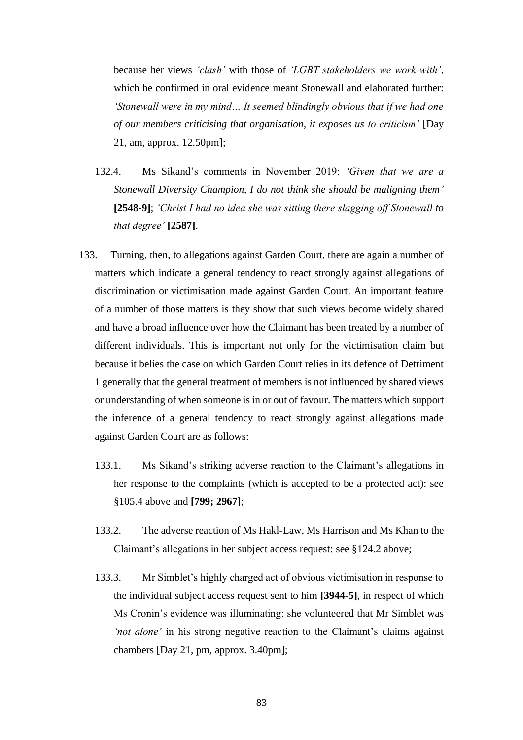because her views *'clash'* with those of *'LGBT stakeholders we work with'*, which he confirmed in oral evidence meant Stonewall and elaborated further: *'Stonewall were in my mind… It seemed blindingly obvious that if we had one of our members criticising that organisation, it exposes us to criticism'* [Day 21, am, approx. 12.50pm];

- 132.4. Ms Sikand's comments in November 2019: *'Given that we are a Stonewall Diversity Champion, I do not think she should be maligning them'* **[2548-9]**; *'Christ I had no idea she was sitting there slagging off Stonewall to that degree'* **[2587]**.
- 133. Turning, then, to allegations against Garden Court, there are again a number of matters which indicate a general tendency to react strongly against allegations of discrimination or victimisation made against Garden Court. An important feature of a number of those matters is they show that such views become widely shared and have a broad influence over how the Claimant has been treated by a number of different individuals. This is important not only for the victimisation claim but because it belies the case on which Garden Court relies in its defence of Detriment 1 generally that the general treatment of members is not influenced by shared views or understanding of when someone is in or out of favour. The matters which support the inference of a general tendency to react strongly against allegations made against Garden Court are as follows:
	- 133.1. Ms Sikand's striking adverse reaction to the Claimant's allegations in her response to the complaints (which is accepted to be a protected act): see §105.4 above and **[799; 2967]**;
	- 133.2. The adverse reaction of Ms Hakl-Law, Ms Harrison and Ms Khan to the Claimant's allegations in her subject access request: see §124.2 above;
	- 133.3. Mr Simblet's highly charged act of obvious victimisation in response to the individual subject access request sent to him **[3944-5]**, in respect of which Ms Cronin's evidence was illuminating: she volunteered that Mr Simblet was *'not alone'* in his strong negative reaction to the Claimant's claims against chambers [Day 21, pm, approx. 3.40pm];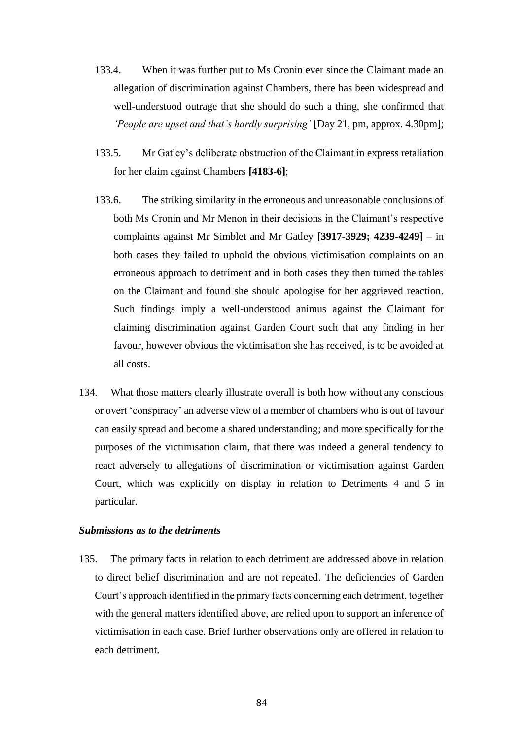- 133.4. When it was further put to Ms Cronin ever since the Claimant made an allegation of discrimination against Chambers, there has been widespread and well-understood outrage that she should do such a thing, she confirmed that *'People are upset and that's hardly surprising'* [Day 21, pm, approx. 4.30pm];
- 133.5. Mr Gatley's deliberate obstruction of the Claimant in express retaliation for her claim against Chambers **[4183-6]**;
- 133.6. The striking similarity in the erroneous and unreasonable conclusions of both Ms Cronin and Mr Menon in their decisions in the Claimant's respective complaints against Mr Simblet and Mr Gatley **[3917-3929; 4239-4249]** – in both cases they failed to uphold the obvious victimisation complaints on an erroneous approach to detriment and in both cases they then turned the tables on the Claimant and found she should apologise for her aggrieved reaction. Such findings imply a well-understood animus against the Claimant for claiming discrimination against Garden Court such that any finding in her favour, however obvious the victimisation she has received, is to be avoided at all costs.
- 134. What those matters clearly illustrate overall is both how without any conscious or overt 'conspiracy' an adverse view of a member of chambers who is out of favour can easily spread and become a shared understanding; and more specifically for the purposes of the victimisation claim, that there was indeed a general tendency to react adversely to allegations of discrimination or victimisation against Garden Court, which was explicitly on display in relation to Detriments 4 and 5 in particular.

# *Submissions as to the detriments*

135. The primary facts in relation to each detriment are addressed above in relation to direct belief discrimination and are not repeated. The deficiencies of Garden Court's approach identified in the primary facts concerning each detriment, together with the general matters identified above, are relied upon to support an inference of victimisation in each case. Brief further observations only are offered in relation to each detriment.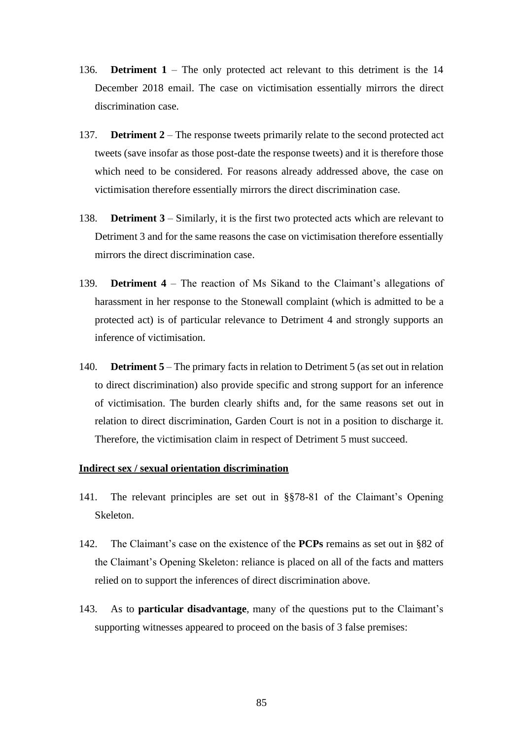- 136. **Detriment 1** The only protected act relevant to this detriment is the 14 December 2018 email. The case on victimisation essentially mirrors the direct discrimination case.
- 137. **Detriment 2** The response tweets primarily relate to the second protected act tweets (save insofar as those post-date the response tweets) and it is therefore those which need to be considered. For reasons already addressed above, the case on victimisation therefore essentially mirrors the direct discrimination case.
- 138. **Detriment 3** Similarly, it is the first two protected acts which are relevant to Detriment 3 and for the same reasons the case on victimisation therefore essentially mirrors the direct discrimination case.
- 139. **Detriment 4** The reaction of Ms Sikand to the Claimant's allegations of harassment in her response to the Stonewall complaint (which is admitted to be a protected act) is of particular relevance to Detriment 4 and strongly supports an inference of victimisation.
- 140. **Detriment 5** The primary facts in relation to Detriment 5 (as set out in relation to direct discrimination) also provide specific and strong support for an inference of victimisation. The burden clearly shifts and, for the same reasons set out in relation to direct discrimination, Garden Court is not in a position to discharge it. Therefore, the victimisation claim in respect of Detriment 5 must succeed.

# **Indirect sex / sexual orientation discrimination**

- 141. The relevant principles are set out in §§78-81 of the Claimant's Opening Skeleton.
- 142. The Claimant's case on the existence of the **PCPs** remains as set out in §82 of the Claimant's Opening Skeleton: reliance is placed on all of the facts and matters relied on to support the inferences of direct discrimination above.
- 143. As to **particular disadvantage**, many of the questions put to the Claimant's supporting witnesses appeared to proceed on the basis of 3 false premises: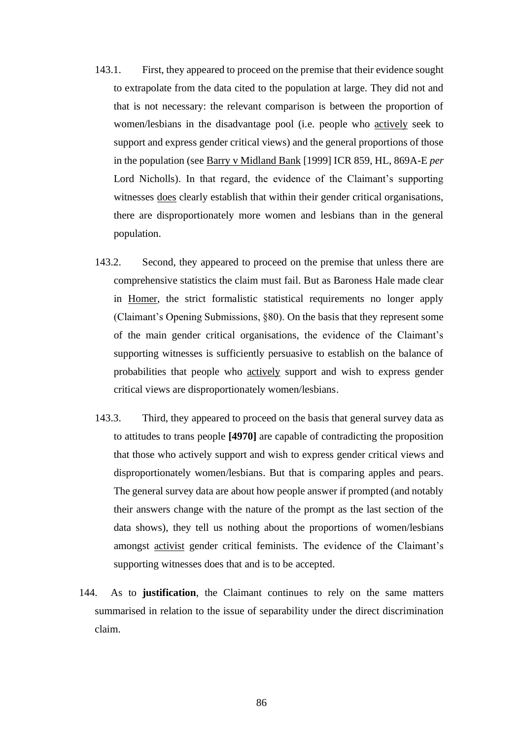- 143.1. First, they appeared to proceed on the premise that their evidence sought to extrapolate from the data cited to the population at large. They did not and that is not necessary: the relevant comparison is between the proportion of women/lesbians in the disadvantage pool (i.e. people who actively seek to support and express gender critical views) and the general proportions of those in the population (see Barry v Midland Bank [1999] ICR 859, HL, 869A-E *per* Lord Nicholls). In that regard, the evidence of the Claimant's supporting witnesses does clearly establish that within their gender critical organisations, there are disproportionately more women and lesbians than in the general population.
- 143.2. Second, they appeared to proceed on the premise that unless there are comprehensive statistics the claim must fail. But as Baroness Hale made clear in Homer, the strict formalistic statistical requirements no longer apply (Claimant's Opening Submissions, §80). On the basis that they represent some of the main gender critical organisations, the evidence of the Claimant's supporting witnesses is sufficiently persuasive to establish on the balance of probabilities that people who actively support and wish to express gender critical views are disproportionately women/lesbians.
- 143.3. Third, they appeared to proceed on the basis that general survey data as to attitudes to trans people **[4970]** are capable of contradicting the proposition that those who actively support and wish to express gender critical views and disproportionately women/lesbians. But that is comparing apples and pears. The general survey data are about how people answer if prompted (and notably their answers change with the nature of the prompt as the last section of the data shows), they tell us nothing about the proportions of women/lesbians amongst activist gender critical feminists. The evidence of the Claimant's supporting witnesses does that and is to be accepted.
- 144. As to **justification**, the Claimant continues to rely on the same matters summarised in relation to the issue of separability under the direct discrimination claim.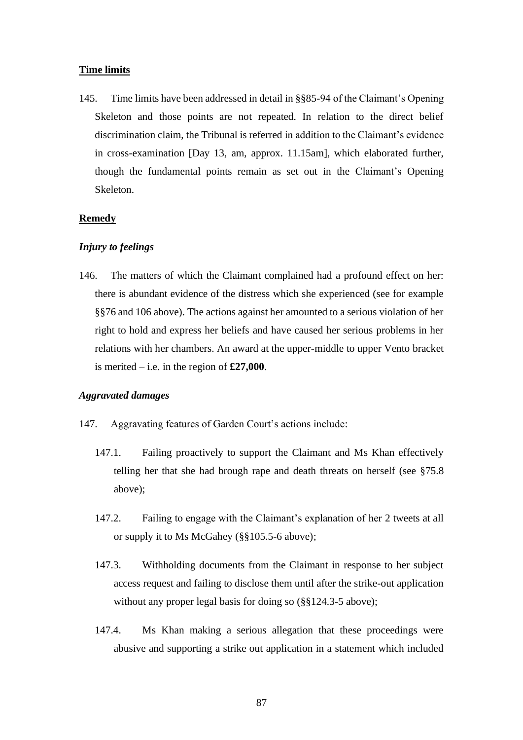## **Time limits**

145. Time limits have been addressed in detail in §§85-94 of the Claimant's Opening Skeleton and those points are not repeated. In relation to the direct belief discrimination claim, the Tribunal is referred in addition to the Claimant's evidence in cross-examination [Day 13, am, approx. 11.15am], which elaborated further, though the fundamental points remain as set out in the Claimant's Opening Skeleton.

# **Remedy**

### *Injury to feelings*

146. The matters of which the Claimant complained had a profound effect on her: there is abundant evidence of the distress which she experienced (see for example §§76 and 106 above). The actions against her amounted to a serious violation of her right to hold and express her beliefs and have caused her serious problems in her relations with her chambers. An award at the upper-middle to upper Vento bracket is merited – i.e. in the region of **£27,000**.

# *Aggravated damages*

- 147. Aggravating features of Garden Court's actions include:
	- 147.1. Failing proactively to support the Claimant and Ms Khan effectively telling her that she had brough rape and death threats on herself (see §75.8 above);
	- 147.2. Failing to engage with the Claimant's explanation of her 2 tweets at all or supply it to Ms McGahey (§§105.5-6 above);
	- 147.3. Withholding documents from the Claimant in response to her subject access request and failing to disclose them until after the strike-out application without any proper legal basis for doing so (§§124.3-5 above);
	- 147.4. Ms Khan making a serious allegation that these proceedings were abusive and supporting a strike out application in a statement which included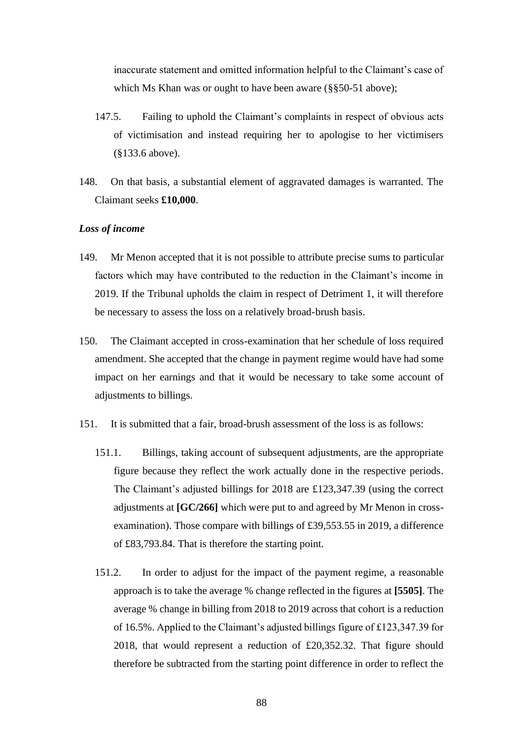inaccurate statement and omitted information helpful to the Claimant's case of which Ms Khan was or ought to have been aware (§§50-51 above);

- 147.5. Failing to uphold the Claimant's complaints in respect of obvious acts of victimisation and instead requiring her to apologise to her victimisers (§133.6 above).
- 148. On that basis, a substantial element of aggravated damages is warranted. The Claimant seeks **£10,000**.

# *Loss of income*

- 149. Mr Menon accepted that it is not possible to attribute precise sums to particular factors which may have contributed to the reduction in the Claimant's income in 2019. If the Tribunal upholds the claim in respect of Detriment 1, it will therefore be necessary to assess the loss on a relatively broad-brush basis.
- 150. The Claimant accepted in cross-examination that her schedule of loss required amendment. She accepted that the change in payment regime would have had some impact on her earnings and that it would be necessary to take some account of adjustments to billings.
- 151. It is submitted that a fair, broad-brush assessment of the loss is as follows:
	- 151.1. Billings, taking account of subsequent adjustments, are the appropriate figure because they reflect the work actually done in the respective periods. The Claimant's adjusted billings for 2018 are £123,347.39 (using the correct adjustments at **[GC/266]** which were put to and agreed by Mr Menon in crossexamination). Those compare with billings of £39,553.55 in 2019, a difference of £83,793.84. That is therefore the starting point.
	- 151.2. In order to adjust for the impact of the payment regime, a reasonable approach is to take the average % change reflected in the figures at **[5505]**. The average % change in billing from 2018 to 2019 across that cohort is a reduction of 16.5%. Applied to the Claimant's adjusted billings figure of £123,347.39 for 2018, that would represent a reduction of £20,352.32. That figure should therefore be subtracted from the starting point difference in order to reflect the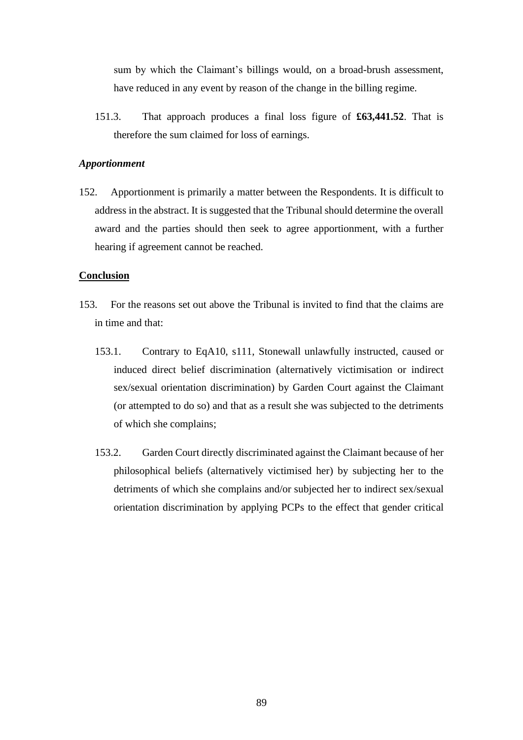sum by which the Claimant's billings would, on a broad-brush assessment, have reduced in any event by reason of the change in the billing regime.

151.3. That approach produces a final loss figure of **£63,441.52**. That is therefore the sum claimed for loss of earnings.

# *Apportionment*

152. Apportionment is primarily a matter between the Respondents. It is difficult to address in the abstract. It is suggested that the Tribunal should determine the overall award and the parties should then seek to agree apportionment, with a further hearing if agreement cannot be reached.

# **Conclusion**

- 153. For the reasons set out above the Tribunal is invited to find that the claims are in time and that:
	- 153.1. Contrary to EqA10, s111, Stonewall unlawfully instructed, caused or induced direct belief discrimination (alternatively victimisation or indirect sex/sexual orientation discrimination) by Garden Court against the Claimant (or attempted to do so) and that as a result she was subjected to the detriments of which she complains;
	- 153.2. Garden Court directly discriminated against the Claimant because of her philosophical beliefs (alternatively victimised her) by subjecting her to the detriments of which she complains and/or subjected her to indirect sex/sexual orientation discrimination by applying PCPs to the effect that gender critical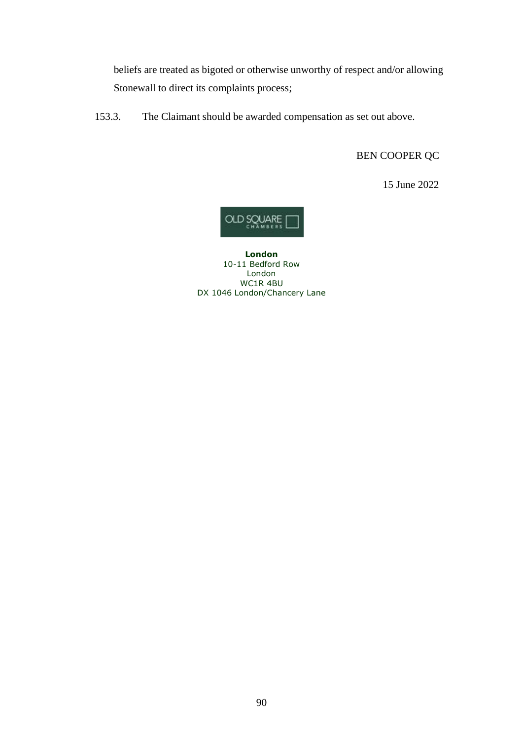beliefs are treated as bigoted or otherwise unworthy of respect and/or allowing Stonewall to direct its complaints process;

153.3. The Claimant should be awarded compensation as set out above.

BEN COOPER QC

15 June 2022



**London** 10-11 Bedford Row London WC1R 4BU DX 1046 London/Chancery Lane